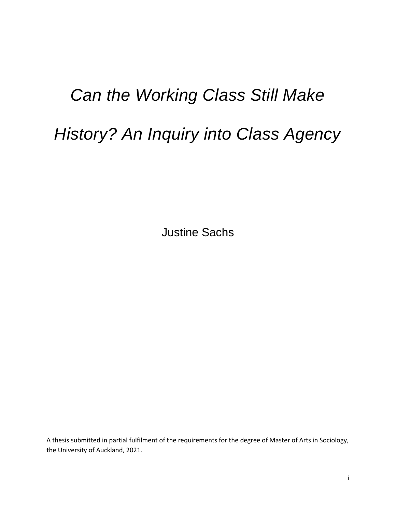## *Can the Working Class Still Make*

# *History? An Inquiry into Class Agency*

Justine Sachs

A thesis submitted in partial fulfilment of the requirements for the degree of Master of Arts in Sociology, the University of Auckland, 2021.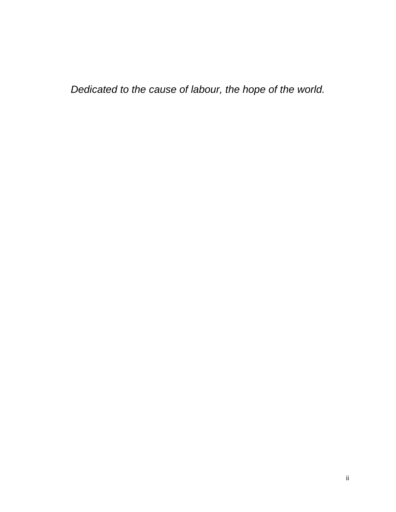*Dedicated to the cause of labour, the hope of the world.*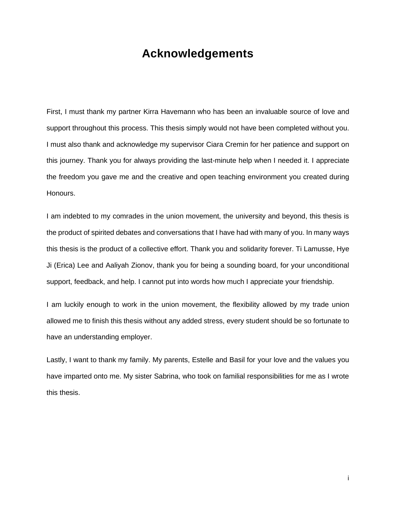### **Acknowledgements**

<span id="page-2-0"></span>First, I must thank my partner Kirra Havemann who has been an invaluable source of love and support throughout this process. This thesis simply would not have been completed without you. I must also thank and acknowledge my supervisor Ciara Cremin for her patience and support on this journey. Thank you for always providing the last-minute help when I needed it. I appreciate the freedom you gave me and the creative and open teaching environment you created during Honours.

I am indebted to my comrades in the union movement, the university and beyond, this thesis is the product of spirited debates and conversations that I have had with many of you. In many ways this thesis is the product of a collective effort. Thank you and solidarity forever. Ti Lamusse, Hye Ji (Erica) Lee and Aaliyah Zionov, thank you for being a sounding board, for your unconditional support, feedback, and help. I cannot put into words how much I appreciate your friendship.

I am luckily enough to work in the union movement, the flexibility allowed by my trade union allowed me to finish this thesis without any added stress, every student should be so fortunate to have an understanding employer.

Lastly, I want to thank my family. My parents, Estelle and Basil for your love and the values you have imparted onto me. My sister Sabrina, who took on familial responsibilities for me as I wrote this thesis.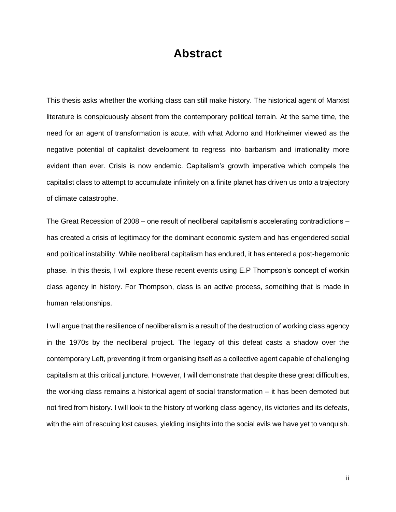## **Abstract**

<span id="page-3-0"></span>This thesis asks whether the working class can still make history. The historical agent of Marxist literature is conspicuously absent from the contemporary political terrain. At the same time, the need for an agent of transformation is acute, with what Adorno and Horkheimer viewed as the negative potential of capitalist development to regress into barbarism and irrationality more evident than ever. Crisis is now endemic. Capitalism's growth imperative which compels the capitalist class to attempt to accumulate infinitely on a finite planet has driven us onto a trajectory of climate catastrophe.

The Great Recession of 2008 – one result of neoliberal capitalism's accelerating contradictions – has created a crisis of legitimacy for the dominant economic system and has engendered social and political instability. While neoliberal capitalism has endured, it has entered a post-hegemonic phase. In this thesis, I will explore these recent events using E.P Thompson's concept of workin class agency in history. For Thompson, class is an active process, something that is made in human relationships.

I will argue that the resilience of neoliberalism is a result of the destruction of working class agency in the 1970s by the neoliberal project. The legacy of this defeat casts a shadow over the contemporary Left, preventing it from organising itself as a collective agent capable of challenging capitalism at this critical juncture. However, I will demonstrate that despite these great difficulties, the working class remains a historical agent of social transformation – it has been demoted but not fired from history. I will look to the history of working class agency, its victories and its defeats, with the aim of rescuing lost causes, yielding insights into the social evils we have yet to vanquish.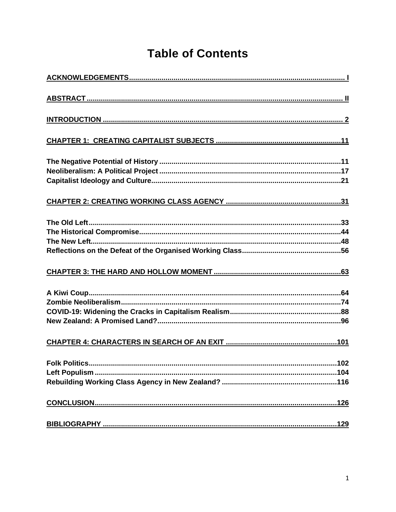## **Table of Contents**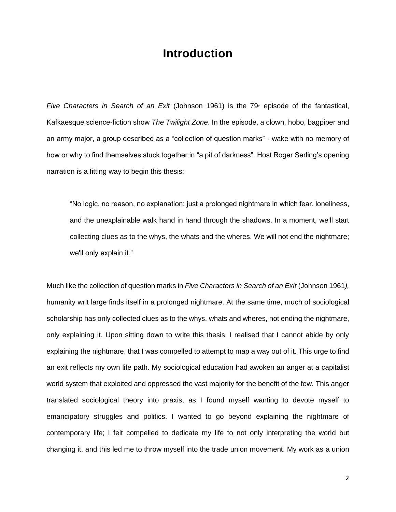### **Introduction**

<span id="page-5-0"></span>*Five Characters in Search of an Exit* (Johnson 1961) is the 79<sup>th</sup> episode of the fantastical, Kafkaesque science-fiction show *The Twilight Zone*. In the episode, a clown, hobo, bagpiper and an army major, a group described as a "collection of question marks" - wake with no memory of how or why to find themselves stuck together in "a pit of darkness". Host Roger Serling's opening narration is a fitting way to begin this thesis:

"No logic, no reason, no explanation; just a prolonged nightmare in which fear, loneliness, and the unexplainable walk hand in hand through the shadows. In a moment, we'll start collecting clues as to the whys, the whats and the wheres. We will not end the nightmare; we'll only explain it."

Much like the collection of question marks in *Five Characters in Search of an Exit* (Johnson 1961*),*  humanity writ large finds itself in a prolonged nightmare. At the same time, much of sociological scholarship has only collected clues as to the whys, whats and wheres, not ending the nightmare, only explaining it. Upon sitting down to write this thesis, I realised that I cannot abide by only explaining the nightmare, that I was compelled to attempt to map a way out of it. This urge to find an exit reflects my own life path. My sociological education had awoken an anger at a capitalist world system that exploited and oppressed the vast majority for the benefit of the few. This anger translated sociological theory into praxis, as I found myself wanting to devote myself to emancipatory struggles and politics. I wanted to go beyond explaining the nightmare of contemporary life; I felt compelled to dedicate my life to not only interpreting the world but changing it, and this led me to throw myself into the trade union movement. My work as a union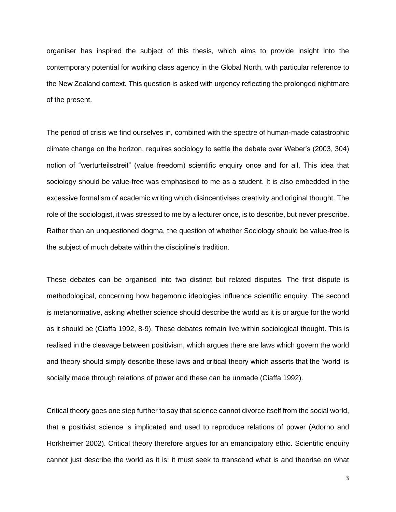organiser has inspired the subject of this thesis, which aims to provide insight into the contemporary potential for working class agency in the Global North, with particular reference to the New Zealand context. This question is asked with urgency reflecting the prolonged nightmare of the present.

The period of crisis we find ourselves in, combined with the spectre of human-made catastrophic climate change on the horizon, requires sociology to settle the debate over Weber's (2003, 304) notion of "werturteilsstreit" (value freedom) scientific enquiry once and for all. This idea that sociology should be value-free was emphasised to me as a student. It is also embedded in the excessive formalism of academic writing which disincentivises creativity and original thought. The role of the sociologist, it was stressed to me by a lecturer once, is to describe, but never prescribe. Rather than an unquestioned dogma, the question of whether Sociology should be value-free is the subject of much debate within the discipline's tradition.

These debates can be organised into two distinct but related disputes. The first dispute is methodological, concerning how hegemonic ideologies influence scientific enquiry. The second is metanormative, asking whether science should describe the world as it is or argue for the world as it should be (Ciaffa 1992, 8-9). These debates remain live within sociological thought. This is realised in the cleavage between positivism, which argues there are laws which govern the world and theory should simply describe these laws and critical theory which asserts that the 'world' is socially made through relations of power and these can be unmade (Ciaffa 1992).

Critical theory goes one step further to say that science cannot divorce itself from the social world, that a positivist science is implicated and used to reproduce relations of power (Adorno and Horkheimer 2002). Critical theory therefore argues for an emancipatory ethic. Scientific enquiry cannot just describe the world as it is; it must seek to transcend what is and theorise on what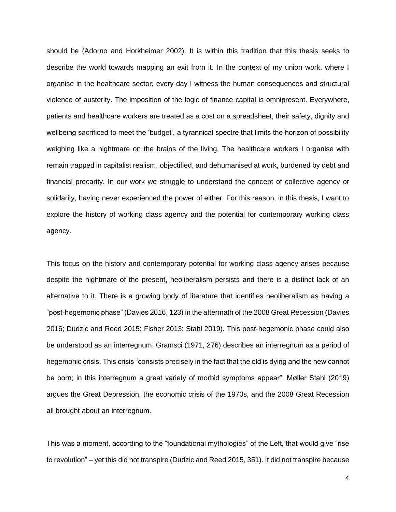should be (Adorno and Horkheimer 2002). It is within this tradition that this thesis seeks to describe the world towards mapping an exit from it. In the context of my union work, where I organise in the healthcare sector, every day I witness the human consequences and structural violence of austerity. The imposition of the logic of finance capital is omnipresent. Everywhere, patients and healthcare workers are treated as a cost on a spreadsheet, their safety, dignity and wellbeing sacrificed to meet the 'budget', a tyrannical spectre that limits the horizon of possibility weighing like a nightmare on the brains of the living. The healthcare workers I organise with remain trapped in capitalist realism, objectified, and dehumanised at work, burdened by debt and financial precarity. In our work we struggle to understand the concept of collective agency or solidarity, having never experienced the power of either. For this reason, in this thesis, I want to explore the history of working class agency and the potential for contemporary working class agency.

This focus on the history and contemporary potential for working class agency arises because despite the nightmare of the present, neoliberalism persists and there is a distinct lack of an alternative to it. There is a growing body of literature that identifies neoliberalism as having a "post-hegemonic phase" (Davies 2016, 123) in the aftermath of the 2008 Great Recession (Davies 2016; Dudzic and Reed 2015; Fisher 2013; Stahl 2019). This post-hegemonic phase could also be understood as an interregnum. Gramsci (1971, 276) describes an interregnum as a period of hegemonic crisis. This crisis "consists precisely in the fact that the old is dying and the new cannot be born; in this interregnum a great variety of morbid symptoms appear". Møller Stahl (2019) argues the Great Depression, the economic crisis of the 1970s, and the 2008 Great Recession all brought about an interregnum.

This was a moment, according to the "foundational mythologies" of the Left, that would give "rise to revolution" – yet this did not transpire (Dudzic and Reed 2015, 351). It did not transpire because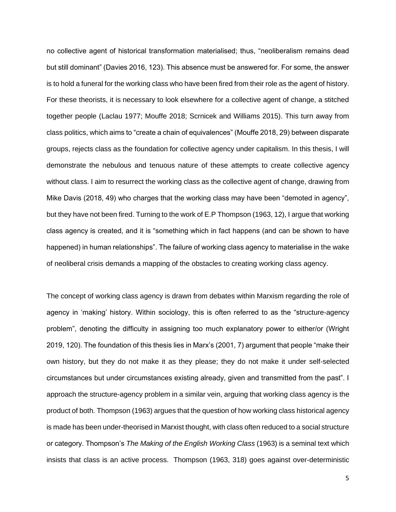no collective agent of historical transformation materialised; thus, "neoliberalism remains dead but still dominant" (Davies 2016, 123). This absence must be answered for. For some, the answer is to hold a funeral for the working class who have been fired from their role as the agent of history. For these theorists, it is necessary to look elsewhere for a collective agent of change, a stitched together people (Laclau 1977; Mouffe 2018; Scrnicek and Williams 2015). This turn away from class politics, which aims to "create a chain of equivalences" (Mouffe 2018, 29) between disparate groups, rejects class as the foundation for collective agency under capitalism. In this thesis, I will demonstrate the nebulous and tenuous nature of these attempts to create collective agency without class. I aim to resurrect the working class as the collective agent of change, drawing from Mike Davis (2018, 49) who charges that the working class may have been "demoted in agency", but they have not been fired. Turning to the work of E.P Thompson (1963, 12), I argue that working class agency is created, and it is "something which in fact happens (and can be shown to have happened) in human relationships". The failure of working class agency to materialise in the wake of neoliberal crisis demands a mapping of the obstacles to creating working class agency.

The concept of working class agency is drawn from debates within Marxism regarding the role of agency in 'making' history. Within sociology, this is often referred to as the "structure-agency problem", denoting the difficulty in assigning too much explanatory power to either/or (Wright 2019, 120). The foundation of this thesis lies in Marx's (2001, 7) argument that people "make their own history, but they do not make it as they please; they do not make it under self-selected circumstances but under circumstances existing already, given and transmitted from the past". I approach the structure-agency problem in a similar vein, arguing that working class agency is the product of both. Thompson (1963) argues that the question of how working class historical agency is made has been under-theorised in Marxist thought, with class often reduced to a social structure or category. Thompson's *The Making of the English Working Class* (1963) is a seminal text which insists that class is an active process. Thompson (1963, 318) goes against over-deterministic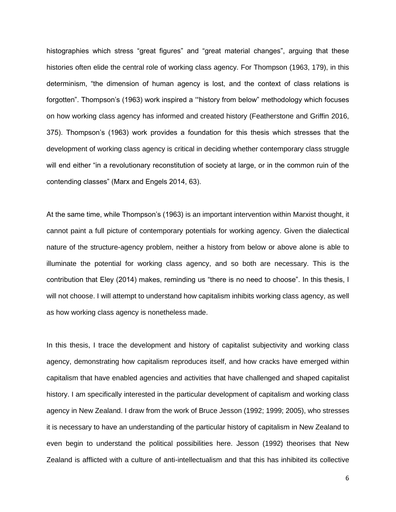histographies which stress "great figures" and "great material changes", arguing that these histories often elide the central role of working class agency. For Thompson (1963, 179), in this determinism, "the dimension of human agency is lost, and the context of class relations is forgotten". Thompson's (1963) work inspired a '"history from below" methodology which focuses on how working class agency has informed and created history (Featherstone and Griffin 2016, 375). Thompson's (1963) work provides a foundation for this thesis which stresses that the development of working class agency is critical in deciding whether contemporary class struggle will end either "in a revolutionary reconstitution of society at large, or in the common ruin of the contending classes" (Marx and Engels 2014, 63).

At the same time, while Thompson's (1963) is an important intervention within Marxist thought, it cannot paint a full picture of contemporary potentials for working agency. Given the dialectical nature of the structure-agency problem, neither a history from below or above alone is able to illuminate the potential for working class agency, and so both are necessary. This is the contribution that Eley (2014) makes, reminding us "there is no need to choose". In this thesis, I will not choose. I will attempt to understand how capitalism inhibits working class agency, as well as how working class agency is nonetheless made.

In this thesis, I trace the development and history of capitalist subjectivity and working class agency, demonstrating how capitalism reproduces itself, and how cracks have emerged within capitalism that have enabled agencies and activities that have challenged and shaped capitalist history. I am specifically interested in the particular development of capitalism and working class agency in New Zealand. I draw from the work of Bruce Jesson (1992; 1999; 2005), who stresses it is necessary to have an understanding of the particular history of capitalism in New Zealand to even begin to understand the political possibilities here. Jesson (1992) theorises that New Zealand is afflicted with a culture of anti-intellectualism and that this has inhibited its collective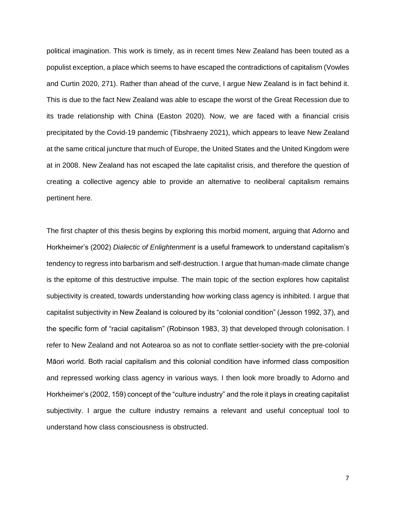political imagination. This work is timely, as in recent times New Zealand has been touted as a populist exception, a place which seems to have escaped the contradictions of capitalism (Vowles and Curtin 2020, 271). Rather than ahead of the curve, I argue New Zealand is in fact behind it. This is due to the fact New Zealand was able to escape the worst of the Great Recession due to its trade relationship with China (Easton 2020). Now, we are faced with a financial crisis precipitated by the Covid-19 pandemic (Tibshraeny 2021), which appears to leave New Zealand at the same critical juncture that much of Europe, the United States and the United Kingdom were at in 2008. New Zealand has not escaped the late capitalist crisis, and therefore the question of creating a collective agency able to provide an alternative to neoliberal capitalism remains pertinent here.

The first chapter of this thesis begins by exploring this morbid moment, arguing that Adorno and Horkheimer's (2002) *Dialectic of Enlightenment* is a useful framework to understand capitalism's tendency to regress into barbarism and self-destruction. I argue that human-made climate change is the epitome of this destructive impulse. The main topic of the section explores how capitalist subjectivity is created, towards understanding how working class agency is inhibited. I argue that capitalist subjectivity in New Zealand is coloured by its "colonial condition" (Jesson 1992, 37), and the specific form of "racial capitalism" (Robinson 1983, 3) that developed through colonisation. I refer to New Zealand and not Aotearoa so as not to conflate settler-society with the pre-colonial Māori world. Both racial capitalism and this colonial condition have informed class composition and repressed working class agency in various ways. I then look more broadly to Adorno and Horkheimer's (2002, 159) concept of the "culture industry" and the role it plays in creating capitalist subjectivity. I argue the culture industry remains a relevant and useful conceptual tool to understand how class consciousness is obstructed.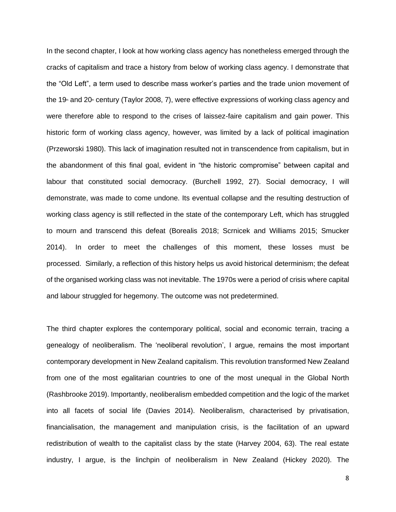In the second chapter, I look at how working class agency has nonetheless emerged through the cracks of capitalism and trace a history from below of working class agency. I demonstrate that the "Old Left", a term used to describe mass worker's parties and the trade union movement of the 19<sup>th</sup> and 20<sup>th</sup> century (Taylor 2008, 7), were effective expressions of working class agency and were therefore able to respond to the crises of laissez-faire capitalism and gain power. This historic form of working class agency, however, was limited by a lack of political imagination (Przeworski 1980). This lack of imagination resulted not in transcendence from capitalism, but in the abandonment of this final goal, evident in "the historic compromise" between capital and labour that constituted social democracy. (Burchell 1992, 27). Social democracy, I will demonstrate, was made to come undone. Its eventual collapse and the resulting destruction of working class agency is still reflected in the state of the contemporary Left, which has struggled to mourn and transcend this defeat (Borealis 2018; Scrnicek and Williams 2015; Smucker 2014). In order to meet the challenges of this moment, these losses must be processed. Similarly, a reflection of this history helps us avoid historical determinism; the defeat of the organised working class was not inevitable. The 1970s were a period of crisis where capital and labour struggled for hegemony. The outcome was not predetermined.

The third chapter explores the contemporary political, social and economic terrain, tracing a genealogy of neoliberalism. The 'neoliberal revolution', I argue, remains the most important contemporary development in New Zealand capitalism. This revolution transformed New Zealand from one of the most egalitarian countries to one of the most unequal in the Global North (Rashbrooke 2019). Importantly, neoliberalism embedded competition and the logic of the market into all facets of social life (Davies 2014). Neoliberalism, characterised by privatisation, financialisation, the management and manipulation crisis, is the facilitation of an upward redistribution of wealth to the capitalist class by the state (Harvey 2004, 63). The real estate industry, I argue, is the linchpin of neoliberalism in New Zealand (Hickey 2020). The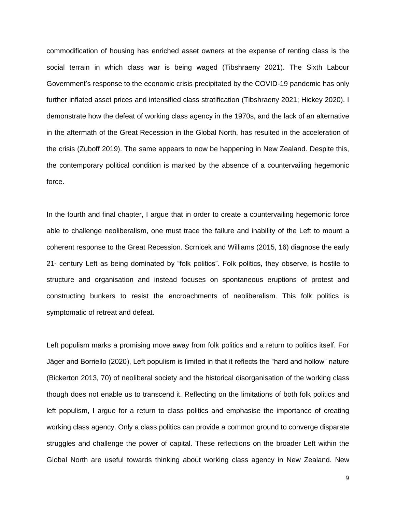commodification of housing has enriched asset owners at the expense of renting class is the social terrain in which class war is being waged (Tibshraeny 2021). The Sixth Labour Government's response to the economic crisis precipitated by the COVID-19 pandemic has only further inflated asset prices and intensified class stratification (Tibshraeny 2021; Hickey 2020). I demonstrate how the defeat of working class agency in the 1970s, and the lack of an alternative in the aftermath of the Great Recession in the Global North, has resulted in the acceleration of the crisis (Zuboff 2019). The same appears to now be happening in New Zealand. Despite this, the contemporary political condition is marked by the absence of a countervailing hegemonic force.

In the fourth and final chapter, I argue that in order to create a countervailing hegemonic force able to challenge neoliberalism, one must trace the failure and inability of the Left to mount a coherent response to the Great Recession. Scrnicek and Williams (2015, 16) diagnose the early  $21<sup>*</sup>$  century Left as being dominated by "folk politics". Folk politics, they observe, is hostile to structure and organisation and instead focuses on spontaneous eruptions of protest and constructing bunkers to resist the encroachments of neoliberalism. This folk politics is symptomatic of retreat and defeat.

Left populism marks a promising move away from folk politics and a return to politics itself. For Jäger and Borriello (2020), Left populism is limited in that it reflects the "hard and hollow" nature (Bickerton 2013, 70) of neoliberal society and the historical disorganisation of the working class though does not enable us to transcend it. Reflecting on the limitations of both folk politics and left populism, I argue for a return to class politics and emphasise the importance of creating working class agency. Only a class politics can provide a common ground to converge disparate struggles and challenge the power of capital. These reflections on the broader Left within the Global North are useful towards thinking about working class agency in New Zealand. New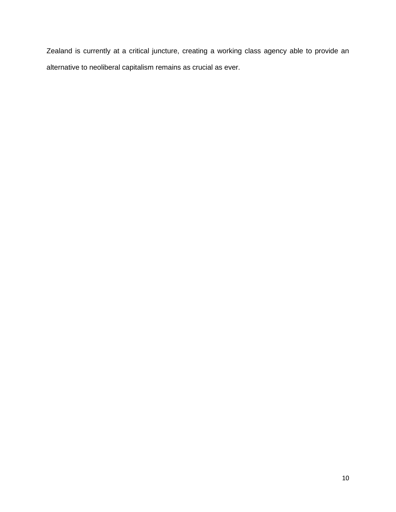<span id="page-13-0"></span>Zealand is currently at a critical juncture, creating a working class agency able to provide an alternative to neoliberal capitalism remains as crucial as ever.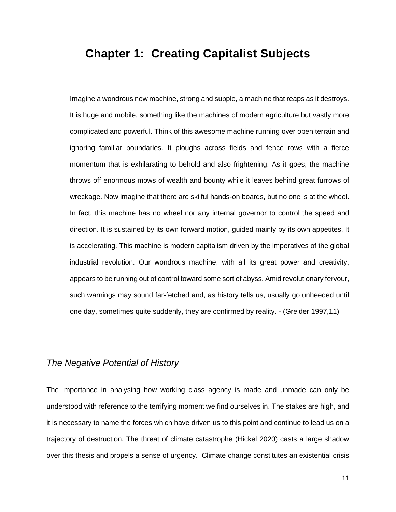### **Chapter 1: Creating Capitalist Subjects**

Imagine a wondrous new machine, strong and supple, a machine that reaps as it destroys. It is huge and mobile, something like the machines of modern agriculture but vastly more complicated and powerful. Think of this awesome machine running over open terrain and ignoring familiar boundaries. It ploughs across fields and fence rows with a fierce momentum that is exhilarating to behold and also frightening. As it goes, the machine throws off enormous mows of wealth and bounty while it leaves behind great furrows of wreckage. Now imagine that there are skilful hands-on boards, but no one is at the wheel. In fact, this machine has no wheel nor any internal governor to control the speed and direction. It is sustained by its own forward motion, guided mainly by its own appetites. It is accelerating. This machine is modern capitalism driven by the imperatives of the global industrial revolution. Our wondrous machine, with all its great power and creativity, appears to be running out of control toward some sort of abyss. Amid revolutionary fervour, such warnings may sound far-fetched and, as history tells us, usually go unheeded until one day, sometimes quite suddenly, they are confirmed by reality. - (Greider 1997,11)

#### <span id="page-14-0"></span>*The Negative Potential of History*

The importance in analysing how working class agency is made and unmade can only be understood with reference to the terrifying moment we find ourselves in. The stakes are high, and it is necessary to name the forces which have driven us to this point and continue to lead us on a trajectory of destruction. The threat of climate catastrophe (Hickel 2020) casts a large shadow over this thesis and propels a sense of urgency. Climate change constitutes an existential crisis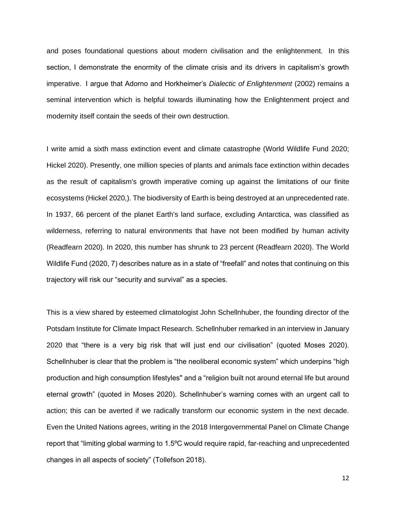and poses foundational questions about modern civilisation and the enlightenment. In this section, I demonstrate the enormity of the climate crisis and its drivers in capitalism's growth imperative. I argue that Adorno and Horkheimer's *Dialectic of Enlightenment* (2002) remains a seminal intervention which is helpful towards illuminating how the Enlightenment project and modernity itself contain the seeds of their own destruction.

I write amid a sixth mass extinction event and climate catastrophe (World Wildlife Fund 2020; Hickel 2020). Presently, one million species of plants and animals face extinction within decades as the result of capitalism's growth imperative coming up against the limitations of our finite ecosystems (Hickel 2020,). The biodiversity of Earth is being destroyed at an unprecedented rate. In 1937, 66 percent of the planet Earth's land surface, excluding Antarctica, was classified as wilderness, referring to natural environments that have not been modified by human activity (Readfearn 2020). In 2020, this number has shrunk to 23 percent (Readfearn 2020). The World Wildlife Fund (2020, 7) describes nature as in a state of "freefall" and notes that continuing on this trajectory will risk our "security and survival" as a species.

This is a view shared by esteemed climatologist John Schellnhuber, the founding director of the Potsdam Institute for Climate Impact Research. Schellnhuber remarked in an interview in January 2020 that "there is a very big risk that will just end our civilisation" (quoted Moses 2020). Schellnhuber is clear that the problem is "the neoliberal economic system" which underpins "high production and high consumption lifestyles'' and a "religion built not around eternal life but around eternal growth" (quoted in Moses 2020). Schellnhuber's warning comes with an urgent call to action; this can be averted if we radically transform our economic system in the next decade. Even the United Nations agrees, writing in the 2018 Intergovernmental Panel on Climate Change report that "limiting global warming to 1.5ºC would require rapid, far-reaching and unprecedented changes in all aspects of society" (Tollefson 2018).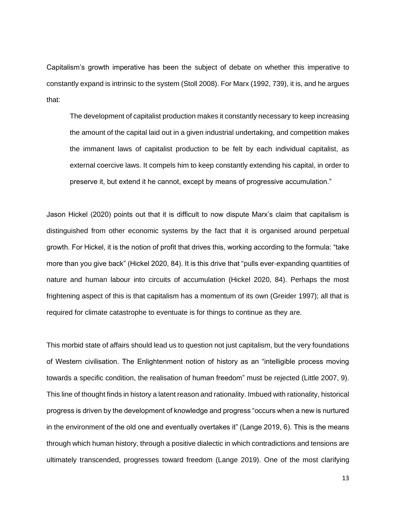Capitalism's growth imperative has been the subject of debate on whether this imperative to constantly expand is intrinsic to the system (Stoll 2008). For Marx (1992, 739), it is, and he argues that:

The development of capitalist production makes it constantly necessary to keep increasing the amount of the capital laid out in a given industrial undertaking, and competition makes the immanent laws of capitalist production to be felt by each individual capitalist, as external coercive laws. It compels him to keep constantly extending his capital, in order to preserve it, but extend it he cannot, except by means of progressive accumulation."

Jason Hickel (2020) points out that it is difficult to now dispute Marx's claim that capitalism is distinguished from other economic systems by the fact that it is organised around perpetual growth. For Hickel, it is the notion of profit that drives this, working according to the formula: "take more than you give back" (Hickel 2020, 84). It is this drive that "pulls ever-expanding quantities of nature and human labour into circuits of accumulation (Hickel 2020, 84). Perhaps the most frightening aspect of this is that capitalism has a momentum of its own (Greider 1997); all that is required for climate catastrophe to eventuate is for things to continue as they are.

This morbid state of affairs should lead us to question not just capitalism, but the very foundations of Western civilisation. The Enlightenment notion of history as an "intelligible process moving towards a specific condition, the realisation of human freedom" must be rejected (Little 2007, 9). This line of thought finds in history a latent reason and rationality. Imbued with rationality, historical progress is driven by the development of knowledge and progress "occurs when a new is nurtured in the environment of the old one and eventually overtakes it" (Lange 2019, 6). This is the means through which human history, through a positive dialectic in which contradictions and tensions are ultimately transcended, progresses toward freedom (Lange 2019). One of the most clarifying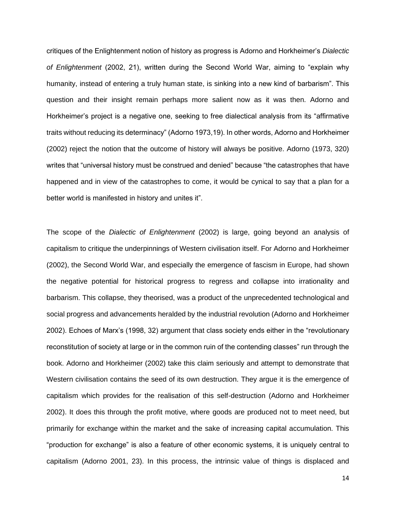critiques of the Enlightenment notion of history as progress is Adorno and Horkheimer's *Dialectic of Enlightenment* (2002, 21), written during the Second World War, aiming to "explain why humanity, instead of entering a truly human state, is sinking into a new kind of barbarism". This question and their insight remain perhaps more salient now as it was then. Adorno and Horkheimer's project is a negative one, seeking to free dialectical analysis from its "affirmative traits without reducing its determinacy" (Adorno 1973,19). In other words, Adorno and Horkheimer (2002) reject the notion that the outcome of history will always be positive. Adorno (1973, 320) writes that "universal history must be construed and denied" because "the catastrophes that have happened and in view of the catastrophes to come, it would be cynical to say that a plan for a better world is manifested in history and unites it".

The scope of the *Dialectic of Enlightenment* (2002) is large, going beyond an analysis of capitalism to critique the underpinnings of Western civilisation itself. For Adorno and Horkheimer (2002), the Second World War, and especially the emergence of fascism in Europe, had shown the negative potential for historical progress to regress and collapse into irrationality and barbarism. This collapse, they theorised, was a product of the unprecedented technological and social progress and advancements heralded by the industrial revolution (Adorno and Horkheimer 2002). Echoes of Marx's (1998, 32) argument that class society ends either in the "revolutionary reconstitution of society at large or in the common ruin of the contending classes" run through the book. Adorno and Horkheimer (2002) take this claim seriously and attempt to demonstrate that Western civilisation contains the seed of its own destruction. They argue it is the emergence of capitalism which provides for the realisation of this self-destruction (Adorno and Horkheimer 2002). It does this through the profit motive, where goods are produced not to meet need, but primarily for exchange within the market and the sake of increasing capital accumulation. This "production for exchange" is also a feature of other economic systems, it is uniquely central to capitalism (Adorno 2001, 23). In this process, the intrinsic value of things is displaced and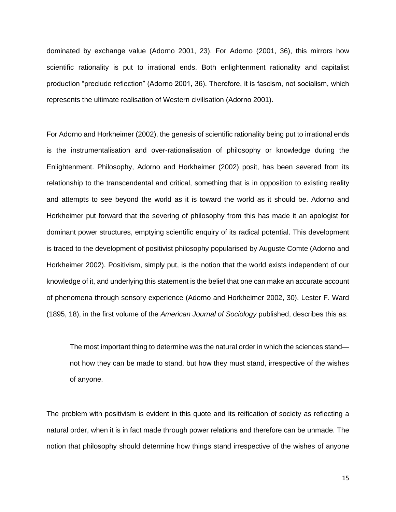dominated by exchange value (Adorno 2001, 23). For Adorno (2001, 36), this mirrors how scientific rationality is put to irrational ends. Both enlightenment rationality and capitalist production "preclude reflection" (Adorno 2001, 36). Therefore, it is fascism, not socialism, which represents the ultimate realisation of Western civilisation (Adorno 2001).

For Adorno and Horkheimer (2002), the genesis of scientific rationality being put to irrational ends is the instrumentalisation and over-rationalisation of philosophy or knowledge during the Enlightenment. Philosophy, Adorno and Horkheimer (2002) posit, has been severed from its relationship to the transcendental and critical, something that is in opposition to existing reality and attempts to see beyond the world as it is toward the world as it should be. Adorno and Horkheimer put forward that the severing of philosophy from this has made it an apologist for dominant power structures, emptying scientific enquiry of its radical potential. This development is traced to the development of positivist philosophy popularised by Auguste Comte (Adorno and Horkheimer 2002). Positivism, simply put, is the notion that the world exists independent of our knowledge of it, and underlying this statement is the belief that one can make an accurate account of phenomena through sensory experience (Adorno and Horkheimer 2002, 30). Lester F. Ward (1895, 18), in the first volume of the *American Journal of Sociology* published, describes this as:

The most important thing to determine was the natural order in which the sciences stand not how they can be made to stand, but how they must stand, irrespective of the wishes of anyone.

The problem with positivism is evident in this quote and its reification of society as reflecting a natural order, when it is in fact made through power relations and therefore can be unmade. The notion that philosophy should determine how things stand irrespective of the wishes of anyone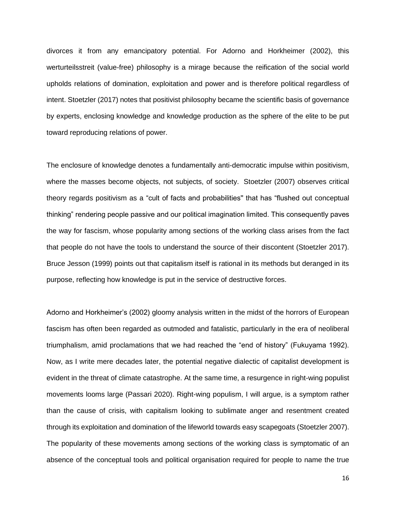divorces it from any emancipatory potential. For Adorno and Horkheimer (2002), this werturteilsstreit (value-free) philosophy is a mirage because the reification of the social world upholds relations of domination, exploitation and power and is therefore political regardless of intent. Stoetzler (2017) notes that positivist philosophy became the scientific basis of governance by experts, enclosing knowledge and knowledge production as the sphere of the elite to be put toward reproducing relations of power.

The enclosure of knowledge denotes a fundamentally anti-democratic impulse within positivism, where the masses become objects, not subjects, of society. Stoetzler (2007) observes critical theory regards positivism as a "cult of facts and probabilities'' that has "flushed out conceptual thinking" rendering people passive and our political imagination limited. This consequently paves the way for fascism, whose popularity among sections of the working class arises from the fact that people do not have the tools to understand the source of their discontent (Stoetzler 2017). Bruce Jesson (1999) points out that capitalism itself is rational in its methods but deranged in its purpose, reflecting how knowledge is put in the service of destructive forces.

Adorno and Horkheimer's (2002) gloomy analysis written in the midst of the horrors of European fascism has often been regarded as outmoded and fatalistic, particularly in the era of neoliberal triumphalism, amid proclamations that we had reached the "end of history" (Fukuyama 1992). Now, as I write mere decades later, the potential negative dialectic of capitalist development is evident in the threat of climate catastrophe. At the same time, a resurgence in right-wing populist movements looms large (Passari 2020). Right-wing populism, I will argue, is a symptom rather than the cause of crisis, with capitalism looking to sublimate anger and resentment created through its exploitation and domination of the lifeworld towards easy scapegoats (Stoetzler 2007). The popularity of these movements among sections of the working class is symptomatic of an absence of the conceptual tools and political organisation required for people to name the true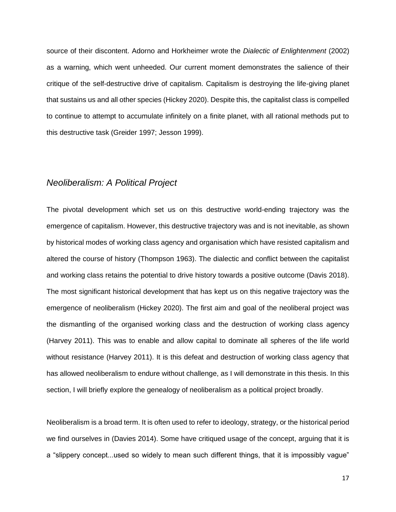source of their discontent. Adorno and Horkheimer wrote the *Dialectic of Enlightenment* (2002) as a warning, which went unheeded. Our current moment demonstrates the salience of their critique of the self-destructive drive of capitalism. Capitalism is destroying the life-giving planet that sustains us and all other species (Hickey 2020). Despite this, the capitalist class is compelled to continue to attempt to accumulate infinitely on a finite planet, with all rational methods put to this destructive task (Greider 1997; Jesson 1999).

#### <span id="page-20-0"></span>*Neoliberalism: A Political Project*

The pivotal development which set us on this destructive world-ending trajectory was the emergence of capitalism. However, this destructive trajectory was and is not inevitable, as shown by historical modes of working class agency and organisation which have resisted capitalism and altered the course of history (Thompson 1963). The dialectic and conflict between the capitalist and working class retains the potential to drive history towards a positive outcome (Davis 2018). The most significant historical development that has kept us on this negative trajectory was the emergence of neoliberalism (Hickey 2020). The first aim and goal of the neoliberal project was the dismantling of the organised working class and the destruction of working class agency (Harvey 2011). This was to enable and allow capital to dominate all spheres of the life world without resistance (Harvey 2011). It is this defeat and destruction of working class agency that has allowed neoliberalism to endure without challenge, as I will demonstrate in this thesis. In this section, I will briefly explore the genealogy of neoliberalism as a political project broadly.

Neoliberalism is a broad term. It is often used to refer to ideology, strategy, or the historical period we find ourselves in (Davies 2014). Some have critiqued usage of the concept, arguing that it is a "slippery concept...used so widely to mean such different things, that it is impossibly vague"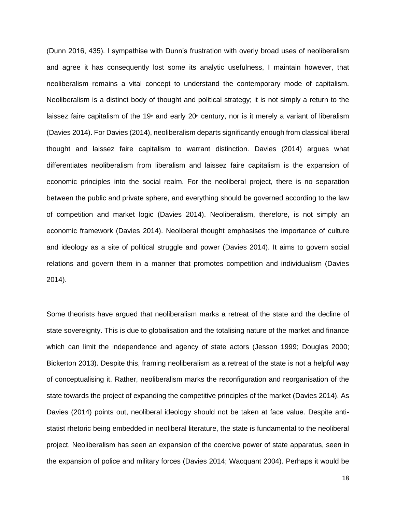(Dunn 2016, 435). I sympathise with Dunn's frustration with overly broad uses of neoliberalism and agree it has consequently lost some its analytic usefulness, I maintain however, that neoliberalism remains a vital concept to understand the contemporary mode of capitalism. Neoliberalism is a distinct body of thought and political strategy; it is not simply a return to the laissez faire capitalism of the 19<sup>th</sup> and early 20<sup>th</sup> century, nor is it merely a variant of liberalism (Davies 2014). For Davies (2014), neoliberalism departs significantly enough from classical liberal thought and laissez faire capitalism to warrant distinction. Davies (2014) argues what differentiates neoliberalism from liberalism and laissez faire capitalism is the expansion of economic principles into the social realm. For the neoliberal project, there is no separation between the public and private sphere, and everything should be governed according to the law of competition and market logic (Davies 2014). Neoliberalism, therefore, is not simply an economic framework (Davies 2014). Neoliberal thought emphasises the importance of culture and ideology as a site of political struggle and power (Davies 2014). It aims to govern social relations and govern them in a manner that promotes competition and individualism (Davies 2014).

Some theorists have argued that neoliberalism marks a retreat of the state and the decline of state sovereignty. This is due to globalisation and the totalising nature of the market and finance which can limit the independence and agency of state actors (Jesson 1999; Douglas 2000; Bickerton 2013). Despite this, framing neoliberalism as a retreat of the state is not a helpful way of conceptualising it. Rather, neoliberalism marks the reconfiguration and reorganisation of the state towards the project of expanding the competitive principles of the market (Davies 2014). As Davies (2014) points out, neoliberal ideology should not be taken at face value. Despite antistatist rhetoric being embedded in neoliberal literature, the state is fundamental to the neoliberal project. Neoliberalism has seen an expansion of the coercive power of state apparatus, seen in the expansion of police and military forces (Davies 2014; Wacquant 2004). Perhaps it would be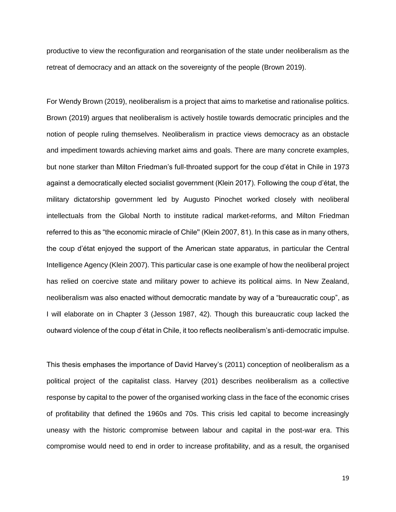productive to view the reconfiguration and reorganisation of the state under neoliberalism as the retreat of democracy and an attack on the sovereignty of the people (Brown 2019).

For Wendy Brown (2019), neoliberalism is a project that aims to marketise and rationalise politics. Brown (2019) argues that neoliberalism is actively hostile towards democratic principles and the notion of people ruling themselves. Neoliberalism in practice views democracy as an obstacle and impediment towards achieving market aims and goals. There are many concrete examples, but none starker than Milton Friedman's full-throated support for the coup d'état in Chile in 1973 against a democratically elected socialist government (Klein 2017). Following the coup d'état, the military dictatorship government led by Augusto Pinochet worked closely with neoliberal intellectuals from the Global North to institute radical market-reforms, and Milton Friedman referred to this as "the economic miracle of Chile'' (Klein 2007, 81). In this case as in many others, the coup d'état enjoyed the support of the American state apparatus, in particular the Central Intelligence Agency (Klein 2007). This particular case is one example of how the neoliberal project has relied on coercive state and military power to achieve its political aims. In New Zealand, neoliberalism was also enacted without democratic mandate by way of a "bureaucratic coup", as I will elaborate on in Chapter 3 (Jesson 1987, 42). Though this bureaucratic coup lacked the outward violence of the coup d'état in Chile, it too reflects neoliberalism's anti-democratic impulse.

This thesis emphases the importance of David Harvey's (2011) conception of neoliberalism as a political project of the capitalist class. Harvey (201) describes neoliberalism as a collective response by capital to the power of the organised working class in the face of the economic crises of profitability that defined the 1960s and 70s. This crisis led capital to become increasingly uneasy with the historic compromise between labour and capital in the post-war era. This compromise would need to end in order to increase profitability, and as a result, the organised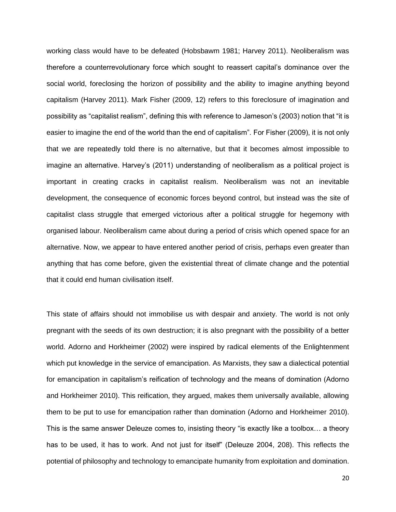working class would have to be defeated (Hobsbawm 1981; Harvey 2011). Neoliberalism was therefore a counterrevolutionary force which sought to reassert capital's dominance over the social world, foreclosing the horizon of possibility and the ability to imagine anything beyond capitalism (Harvey 2011). Mark Fisher (2009, 12) refers to this foreclosure of imagination and possibility as "capitalist realism", defining this with reference to Jameson's (2003) notion that "it is easier to imagine the end of the world than the end of capitalism". For Fisher (2009), it is not only that we are repeatedly told there is no alternative, but that it becomes almost impossible to imagine an alternative. Harvey's (2011) understanding of neoliberalism as a political project is important in creating cracks in capitalist realism. Neoliberalism was not an inevitable development, the consequence of economic forces beyond control, but instead was the site of capitalist class struggle that emerged victorious after a political struggle for hegemony with organised labour. Neoliberalism came about during a period of crisis which opened space for an alternative. Now, we appear to have entered another period of crisis, perhaps even greater than anything that has come before, given the existential threat of climate change and the potential that it could end human civilisation itself.

This state of affairs should not immobilise us with despair and anxiety. The world is not only pregnant with the seeds of its own destruction; it is also pregnant with the possibility of a better world. Adorno and Horkheimer (2002) were inspired by radical elements of the Enlightenment which put knowledge in the service of emancipation. As Marxists, they saw a dialectical potential for emancipation in capitalism's reification of technology and the means of domination (Adorno and Horkheimer 2010). This reification, they argued, makes them universally available, allowing them to be put to use for emancipation rather than domination (Adorno and Horkheimer 2010). This is the same answer Deleuze comes to, insisting theory "is exactly like a toolbox… a theory has to be used, it has to work. And not just for itself" (Deleuze 2004, 208). This reflects the potential of philosophy and technology to emancipate humanity from exploitation and domination.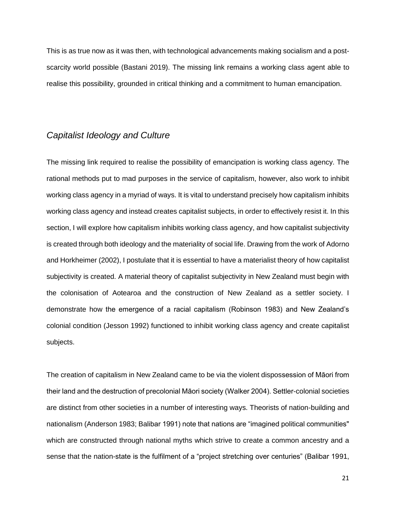This is as true now as it was then, with technological advancements making socialism and a postscarcity world possible (Bastani 2019). The missing link remains a working class agent able to realise this possibility, grounded in critical thinking and a commitment to human emancipation.

#### <span id="page-24-0"></span>*Capitalist Ideology and Culture*

The missing link required to realise the possibility of emancipation is working class agency. The rational methods put to mad purposes in the service of capitalism, however, also work to inhibit working class agency in a myriad of ways. It is vital to understand precisely how capitalism inhibits working class agency and instead creates capitalist subjects, in order to effectively resist it. In this section, I will explore how capitalism inhibits working class agency, and how capitalist subjectivity is created through both ideology and the materiality of social life. Drawing from the work of Adorno and Horkheimer (2002), I postulate that it is essential to have a materialist theory of how capitalist subjectivity is created. A material theory of capitalist subjectivity in New Zealand must begin with the colonisation of Aotearoa and the construction of New Zealand as a settler society. I demonstrate how the emergence of a racial capitalism (Robinson 1983) and New Zealand's colonial condition (Jesson 1992) functioned to inhibit working class agency and create capitalist subjects.

The creation of capitalism in New Zealand came to be via the violent dispossession of Māori from their land and the destruction of precolonial Māori society (Walker 2004). Settler-colonial societies are distinct from other societies in a number of interesting ways. Theorists of nation-building and nationalism (Anderson 1983; Balibar 1991) note that nations are "imagined political communities'' which are constructed through national myths which strive to create a common ancestry and a sense that the nation-state is the fulfilment of a "project stretching over centuries" (Balibar 1991,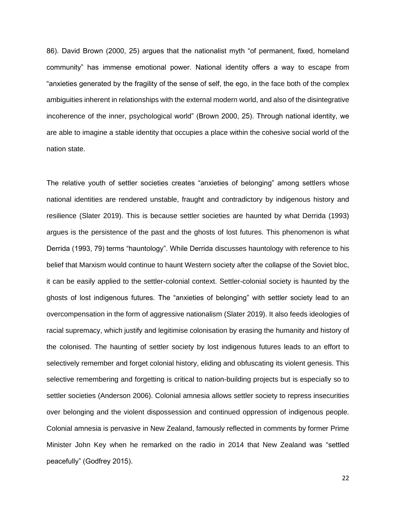86). David Brown (2000, 25) argues that the nationalist myth "of permanent, fixed, homeland community" has immense emotional power. National identity offers a way to escape from "anxieties generated by the fragility of the sense of self, the ego, in the face both of the complex ambiguities inherent in relationships with the external modern world, and also of the disintegrative incoherence of the inner, psychological world" (Brown 2000, 25). Through national identity, we are able to imagine a stable identity that occupies a place within the cohesive social world of the nation state.

The relative youth of settler societies creates "anxieties of belonging" among settlers whose national identities are rendered unstable, fraught and contradictory by indigenous history and resilience (Slater 2019). This is because settler societies are haunted by what Derrida (1993) argues is the persistence of the past and the ghosts of lost futures. This phenomenon is what Derrida (1993, 79) terms "hauntology". While Derrida discusses hauntology with reference to his belief that Marxism would continue to haunt Western society after the collapse of the Soviet bloc, it can be easily applied to the settler-colonial context. Settler-colonial society is haunted by the ghosts of lost indigenous futures. The "anxieties of belonging" with settler society lead to an overcompensation in the form of aggressive nationalism (Slater 2019). It also feeds ideologies of racial supremacy, which justify and legitimise colonisation by erasing the humanity and history of the colonised. The haunting of settler society by lost indigenous futures leads to an effort to selectively remember and forget colonial history, eliding and obfuscating its violent genesis. This selective remembering and forgetting is critical to nation-building projects but is especially so to settler societies (Anderson 2006). Colonial amnesia allows settler society to repress insecurities over belonging and the violent dispossession and continued oppression of indigenous people. Colonial amnesia is pervasive in New Zealand, famously reflected in comments by former Prime Minister John Key when he remarked on the radio in 2014 that New Zealand was "settled peacefully" (Godfrey 2015).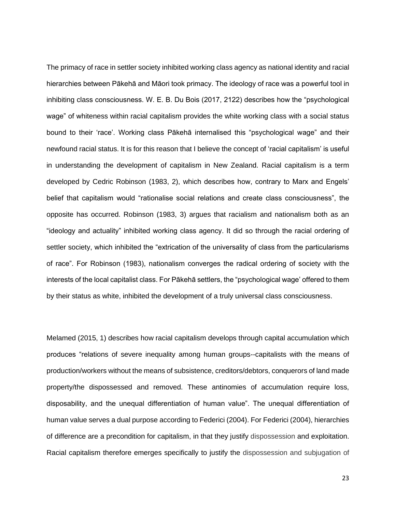The primacy of race in settler society inhibited working class agency as national identity and racial hierarchies between Pākehā and Māori took primacy. The ideology of race was a powerful tool in inhibiting class consciousness. W. E. B. Du Bois (2017, 2122) describes how the "psychological wage" of whiteness within racial capitalism provides the white working class with a social status bound to their 'race'. Working class Pākehā internalised this "psychological wage" and their newfound racial status. It is for this reason that I believe the concept of 'racial capitalism' is useful in understanding the development of capitalism in New Zealand. Racial capitalism is a term developed by Cedric Robinson (1983, 2), which describes how, contrary to Marx and Engels' belief that capitalism would "rationalise social relations and create class consciousness", the opposite has occurred. Robinson (1983, 3) argues that racialism and nationalism both as an "ideology and actuality" inhibited working class agency. It did so through the racial ordering of settler society, which inhibited the "extrication of the universality of class from the particularisms of race". For Robinson (1983), nationalism converges the radical ordering of society with the interests of the local capitalist class. For Pākehā settlers, the "psychological wage' offered to them by their status as white, inhibited the development of a truly universal class consciousness.

Melamed (2015, 1) describes how racial capitalism develops through capital accumulation which produces "relations of severe inequality among human groups--capitalists with the means of production/workers without the means of subsistence, creditors/debtors, conquerors of land made property/the dispossessed and removed. These antinomies of accumulation require loss, disposability, and the unequal differentiation of human value". The unequal differentiation of human value serves a dual purpose according to Federici (2004). For Federici (2004), hierarchies of difference are a precondition for capitalism, in that they justify dispossession and exploitation. Racial capitalism therefore emerges specifically to justify the dispossession and subjugation of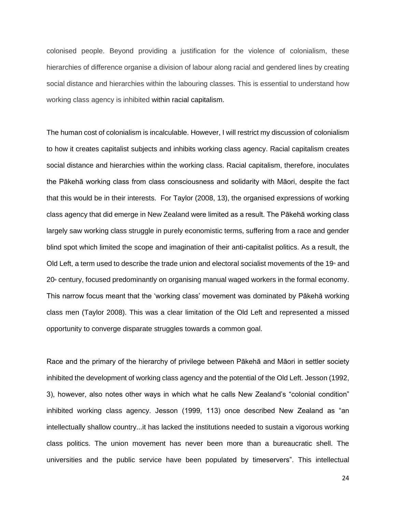colonised people. Beyond providing a justification for the violence of colonialism, these hierarchies of difference organise a division of labour along racial and gendered lines by creating social distance and hierarchies within the labouring classes. This is essential to understand how working class agency is inhibited within racial capitalism.

The human cost of colonialism is incalculable. However, I will restrict my discussion of colonialism to how it creates capitalist subjects and inhibits working class agency. Racial capitalism creates social distance and hierarchies within the working class. Racial capitalism, therefore, inoculates the Pākehā working class from class consciousness and solidarity with Māori, despite the fact that this would be in their interests. For Taylor (2008, 13), the organised expressions of working class agency that did emerge in New Zealand were limited as a result. The Pākehā working class largely saw working class struggle in purely economistic terms, suffering from a race and gender blind spot which limited the scope and imagination of their anti-capitalist politics. As a result, the Old Left, a term used to describe the trade union and electoral socialist movements of the 19<sup>th</sup> and  $20<sup>6</sup>$  century, focused predominantly on organising manual waged workers in the formal economy. This narrow focus meant that the 'working class' movement was dominated by Pākehā working class men (Taylor 2008). This was a clear limitation of the Old Left and represented a missed opportunity to converge disparate struggles towards a common goal.

Race and the primary of the hierarchy of privilege between Pākehā and Māori in settler society inhibited the development of working class agency and the potential of the Old Left. Jesson (1992, 3), however, also notes other ways in which what he calls New Zealand's "colonial condition" inhibited working class agency. Jesson (1999, 113) once described New Zealand as "an intellectually shallow country...it has lacked the institutions needed to sustain a vigorous working class politics. The union movement has never been more than a bureaucratic shell. The universities and the public service have been populated by timeservers". This intellectual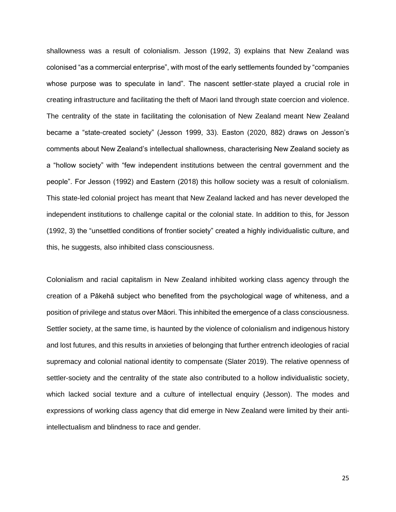shallowness was a result of colonialism. Jesson (1992, 3) explains that New Zealand was colonised "as a commercial enterprise", with most of the early settlements founded by "companies whose purpose was to speculate in land". The nascent settler-state played a crucial role in creating infrastructure and facilitating the theft of Maori land through state coercion and violence. The centrality of the state in facilitating the colonisation of New Zealand meant New Zealand became a "state-created society" (Jesson 1999, 33). Easton (2020, 882) draws on Jesson's comments about New Zealand's intellectual shallowness, characterising New Zealand society as a "hollow society" with "few independent institutions between the central government and the people". For Jesson (1992) and Eastern (2018) this hollow society was a result of colonialism. This state-led colonial project has meant that New Zealand lacked and has never developed the independent institutions to challenge capital or the colonial state. In addition to this, for Jesson (1992, 3) the "unsettled conditions of frontier society" created a highly individualistic culture, and this, he suggests, also inhibited class consciousness.

Colonialism and racial capitalism in New Zealand inhibited working class agency through the creation of a Pākehā subject who benefited from the psychological wage of whiteness, and a position of privilege and status over Māori. This inhibited the emergence of a class consciousness. Settler society, at the same time, is haunted by the violence of colonialism and indigenous history and lost futures, and this results in anxieties of belonging that further entrench ideologies of racial supremacy and colonial national identity to compensate (Slater 2019). The relative openness of settler-society and the centrality of the state also contributed to a hollow individualistic society, which lacked social texture and a culture of intellectual enquiry (Jesson). The modes and expressions of working class agency that did emerge in New Zealand were limited by their antiintellectualism and blindness to race and gender.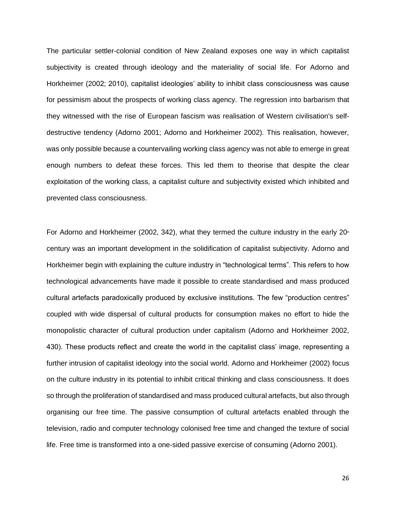The particular settler-colonial condition of New Zealand exposes one way in which capitalist subjectivity is created through ideology and the materiality of social life. For Adorno and Horkheimer (2002; 2010), capitalist ideologies' ability to inhibit class consciousness was cause for pessimism about the prospects of working class agency. The regression into barbarism that they witnessed with the rise of European fascism was realisation of Western civilisation's selfdestructive tendency (Adorno 2001; Adorno and Horkheimer 2002). This realisation, however, was only possible because a countervailing working class agency was not able to emerge in great enough numbers to defeat these forces. This led them to theorise that despite the clear exploitation of the working class, a capitalist culture and subjectivity existed which inhibited and prevented class consciousness.

For Adorno and Horkheimer (2002, 342), what they termed the culture industry in the early  $20<sup>n</sup>$ century was an important development in the solidification of capitalist subjectivity. Adorno and Horkheimer begin with explaining the culture industry in "technological terms". This refers to how technological advancements have made it possible to create standardised and mass produced cultural artefacts paradoxically produced by exclusive institutions. The few "production centres" coupled with wide dispersal of cultural products for consumption makes no effort to hide the monopolistic character of cultural production under capitalism (Adorno and Horkheimer 2002, 430). These products reflect and create the world in the capitalist class' image, representing a further intrusion of capitalist ideology into the social world. Adorno and Horkheimer (2002) focus on the culture industry in its potential to inhibit critical thinking and class consciousness. It does so through the proliferation of standardised and mass produced cultural artefacts, but also through organising our free time. The passive consumption of cultural artefacts enabled through the television, radio and computer technology colonised free time and changed the texture of social life. Free time is transformed into a one-sided passive exercise of consuming (Adorno 2001).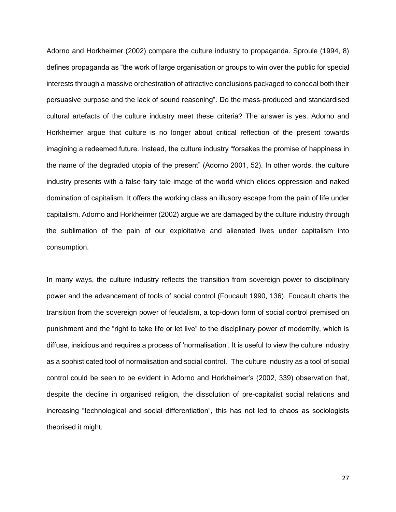Adorno and Horkheimer (2002) compare the culture industry to propaganda. Sproule (1994, 8) defines propaganda as "the work of large organisation or groups to win over the public for special interests through a massive orchestration of attractive conclusions packaged to conceal both their persuasive purpose and the lack of sound reasoning". Do the mass-produced and standardised cultural artefacts of the culture industry meet these criteria? The answer is yes. Adorno and Horkheimer argue that culture is no longer about critical reflection of the present towards imagining a redeemed future. Instead, the culture industry "forsakes the promise of happiness in the name of the degraded utopia of the present" (Adorno 2001, 52). In other words, the culture industry presents with a false fairy tale image of the world which elides oppression and naked domination of capitalism. It offers the working class an illusory escape from the pain of life under capitalism. Adorno and Horkheimer (2002) argue we are damaged by the culture industry through the sublimation of the pain of our exploitative and alienated lives under capitalism into consumption.

In many ways, the culture industry reflects the transition from sovereign power to disciplinary power and the advancement of tools of social control (Foucault 1990, 136). Foucault charts the transition from the sovereign power of feudalism, a top-down form of social control premised on punishment and the "right to take life or let live" to the disciplinary power of modernity, which is diffuse, insidious and requires a process of 'normalisation'. It is useful to view the culture industry as a sophisticated tool of normalisation and social control. The culture industry as a tool of social control could be seen to be evident in Adorno and Horkheimer's (2002, 339) observation that, despite the decline in organised religion, the dissolution of pre-capitalist social relations and increasing "technological and social differentiation", this has not led to chaos as sociologists theorised it might.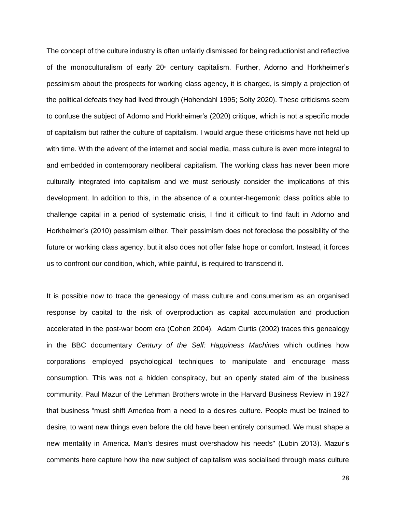The concept of the culture industry is often unfairly dismissed for being reductionist and reflective of the monoculturalism of early 20<sup>th</sup> century capitalism. Further, Adorno and Horkheimer's pessimism about the prospects for working class agency, it is charged, is simply a projection of the political defeats they had lived through (Hohendahl 1995; Solty 2020). These criticisms seem to confuse the subject of Adorno and Horkheimer's (2020) critique, which is not a specific mode of capitalism but rather the culture of capitalism. I would argue these criticisms have not held up with time. With the advent of the internet and social media, mass culture is even more integral to and embedded in contemporary neoliberal capitalism. The working class has never been more culturally integrated into capitalism and we must seriously consider the implications of this development. In addition to this, in the absence of a counter-hegemonic class politics able to challenge capital in a period of systematic crisis, I find it difficult to find fault in Adorno and Horkheimer's (2010) pessimism either. Their pessimism does not foreclose the possibility of the future or working class agency, but it also does not offer false hope or comfort. Instead, it forces us to confront our condition, which, while painful, is required to transcend it.

It is possible now to trace the genealogy of mass culture and consumerism as an organised response by capital to the risk of overproduction as capital accumulation and production accelerated in the post-war boom era (Cohen 2004). Adam Curtis (2002) traces this genealogy in the BBC documentary *Century of the Self: Happiness Machines* which outlines how corporations employed psychological techniques to manipulate and encourage mass consumption. This was not a hidden conspiracy, but an openly stated aim of the business community. Paul Mazur of the Lehman Brothers wrote in the Harvard Business Review in 1927 that business "must shift America from a need to a desires culture. People must be trained to desire, to want new things even before the old have been entirely consumed. We must shape a new mentality in America. Man's desires must overshadow his needs" (Lubin 2013). Mazur's comments here capture how the new subject of capitalism was socialised through mass culture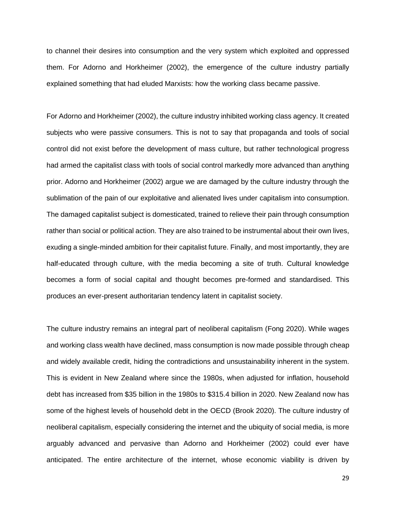to channel their desires into consumption and the very system which exploited and oppressed them. For Adorno and Horkheimer (2002), the emergence of the culture industry partially explained something that had eluded Marxists: how the working class became passive.

For Adorno and Horkheimer (2002), the culture industry inhibited working class agency. It created subjects who were passive consumers. This is not to say that propaganda and tools of social control did not exist before the development of mass culture, but rather technological progress had armed the capitalist class with tools of social control markedly more advanced than anything prior. Adorno and Horkheimer (2002) argue we are damaged by the culture industry through the sublimation of the pain of our exploitative and alienated lives under capitalism into consumption. The damaged capitalist subject is domesticated, trained to relieve their pain through consumption rather than social or political action. They are also trained to be instrumental about their own lives, exuding a single-minded ambition for their capitalist future. Finally, and most importantly, they are half-educated through culture, with the media becoming a site of truth. Cultural knowledge becomes a form of social capital and thought becomes pre-formed and standardised. This produces an ever-present authoritarian tendency latent in capitalist society.

The culture industry remains an integral part of neoliberal capitalism (Fong 2020). While wages and working class wealth have declined, mass consumption is now made possible through cheap and widely available credit, hiding the contradictions and unsustainability inherent in the system. This is evident in New Zealand where since the 1980s, when adjusted for inflation, household debt has increased from \$35 billion in the 1980s to \$315.4 billion in 2020. New Zealand now has some of the highest levels of household debt in the OECD (Brook 2020). The culture industry of neoliberal capitalism, especially considering the internet and the ubiquity of social media, is more arguably advanced and pervasive than Adorno and Horkheimer (2002) could ever have anticipated. The entire architecture of the internet, whose economic viability is driven by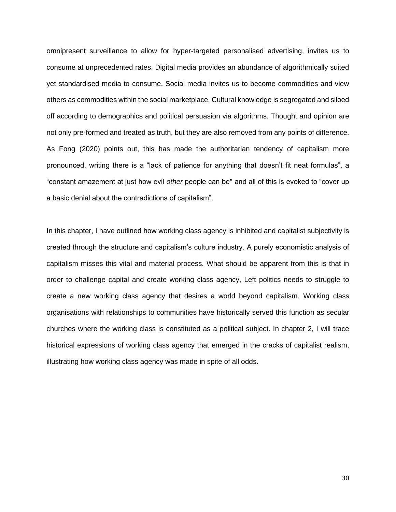omnipresent surveillance to allow for hyper-targeted personalised advertising, invites us to consume at unprecedented rates. Digital media provides an abundance of algorithmically suited yet standardised media to consume. Social media invites us to become commodities and view others as commodities within the social marketplace. Cultural knowledge is segregated and siloed off according to demographics and political persuasion via algorithms. Thought and opinion are not only pre-formed and treated as truth, but they are also removed from any points of difference. As Fong (2020) points out, this has made the authoritarian tendency of capitalism more pronounced, writing there is a "lack of patience for anything that doesn't fit neat formulas", a "constant amazement at just how evil *other* people can be'' and all of this is evoked to "cover up a basic denial about the contradictions of capitalism".

<span id="page-33-0"></span>In this chapter, I have outlined how working class agency is inhibited and capitalist subjectivity is created through the structure and capitalism's culture industry. A purely economistic analysis of capitalism misses this vital and material process. What should be apparent from this is that in order to challenge capital and create working class agency, Left politics needs to struggle to create a new working class agency that desires a world beyond capitalism. Working class organisations with relationships to communities have historically served this function as secular churches where the working class is constituted as a political subject. In chapter 2, I will trace historical expressions of working class agency that emerged in the cracks of capitalist realism, illustrating how working class agency was made in spite of all odds.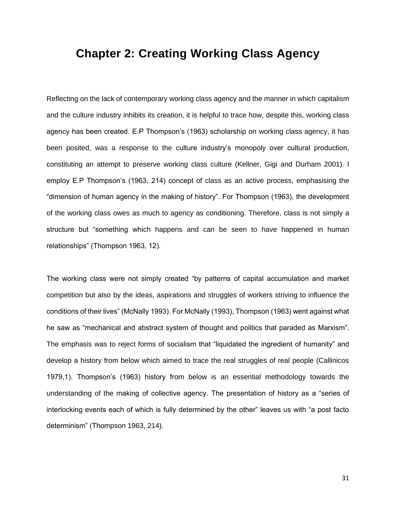### **Chapter 2: Creating Working Class Agency**

Reflecting on the lack of contemporary working class agency and the manner in which capitalism and the culture industry inhibits its creation, it is helpful to trace how, despite this, working class agency has been created. E.P Thompson's (1963) scholarship on working class agency, it has been posited, was a response to the culture industry's monopoly over cultural production, constituting an attempt to preserve working class culture (Kellner, Gigi and Durham 2001). I employ E.P Thompson's (1963, 214) concept of class as an active process, emphasising the "dimension of human agency in the making of history". For Thompson (1963), the development of the working class owes as much to agency as conditioning. Therefore, class is not simply a structure but "something which happens and can be seen to have happened in human relationships" (Thompson 1963, 12).

The working class were not simply created "by patterns of capital accumulation and market competition but also by the ideas, aspirations and struggles of workers striving to influence the conditions of their lives" (McNally 1993). For McNally (1993), Thompson (1963) went against what he saw as "mechanical and abstract system of thought and politics that paraded as Marxism". The emphasis was to reject forms of socialism that "liquidated the ingredient of humanity" and develop a history from below which aimed to trace the real struggles of real people (Callinicos 1979,1). Thompson's (1963) history from below is an essential methodology towards the understanding of the making of collective agency. The presentation of history as a "series of interlocking events each of which is fully determined by the other" leaves us with "a post facto determinism" (Thompson 1963, 214).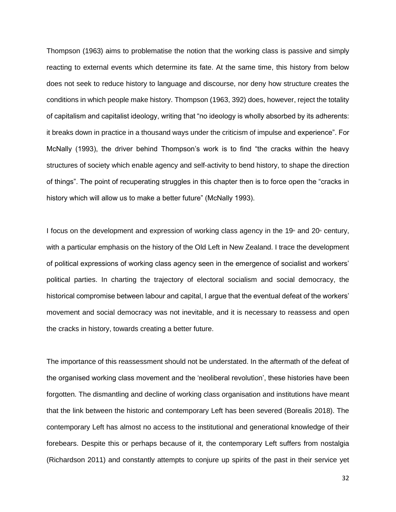Thompson (1963) aims to problematise the notion that the working class is passive and simply reacting to external events which determine its fate. At the same time, this history from below does not seek to reduce history to language and discourse, nor deny how structure creates the conditions in which people make history. Thompson (1963, 392) does, however, reject the totality of capitalism and capitalist ideology, writing that "no ideology is wholly absorbed by its adherents: it breaks down in practice in a thousand ways under the criticism of impulse and experience". For McNally (1993), the driver behind Thompson's work is to find "the cracks within the heavy structures of society which enable agency and self-activity to bend history, to shape the direction of things". The point of recuperating struggles in this chapter then is to force open the "cracks in history which will allow us to make a better future" (McNally 1993).

I focus on the development and expression of working class agency in the 19<sup>th</sup> and 20<sup>th</sup> century, with a particular emphasis on the history of the Old Left in New Zealand. I trace the development of political expressions of working class agency seen in the emergence of socialist and workers' political parties. In charting the trajectory of electoral socialism and social democracy, the historical compromise between labour and capital, I argue that the eventual defeat of the workers' movement and social democracy was not inevitable, and it is necessary to reassess and open the cracks in history, towards creating a better future.

The importance of this reassessment should not be understated. In the aftermath of the defeat of the organised working class movement and the 'neoliberal revolution', these histories have been forgotten. The dismantling and decline of working class organisation and institutions have meant that the link between the historic and contemporary Left has been severed (Borealis 2018). The contemporary Left has almost no access to the institutional and generational knowledge of their forebears. Despite this or perhaps because of it, the contemporary Left suffers from nostalgia (Richardson 2011) and constantly attempts to conjure up spirits of the past in their service yet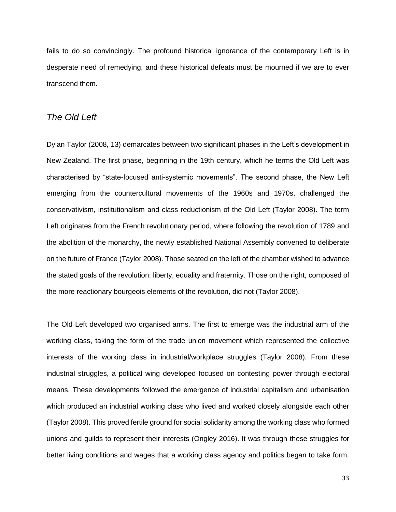fails to do so convincingly. The profound historical ignorance of the contemporary Left is in desperate need of remedying, and these historical defeats must be mourned if we are to ever transcend them.

#### *The Old Left*

Dylan Taylor (2008, 13) demarcates between two significant phases in the Left's development in New Zealand. The first phase, beginning in the 19th century, which he terms the Old Left was characterised by "state-focused anti-systemic movements". The second phase, the New Left emerging from the countercultural movements of the 1960s and 1970s, challenged the conservativism, institutionalism and class reductionism of the Old Left (Taylor 2008). The term Left originates from the French revolutionary period, where following the revolution of 1789 and the abolition of the monarchy, the newly established National Assembly convened to deliberate on the future of France (Taylor 2008). Those seated on the left of the chamber wished to advance the stated goals of the revolution: liberty, equality and fraternity. Those on the right, composed of the more reactionary bourgeois elements of the revolution, did not (Taylor 2008).

The Old Left developed two organised arms. The first to emerge was the industrial arm of the working class, taking the form of the trade union movement which represented the collective interests of the working class in industrial/workplace struggles (Taylor 2008). From these industrial struggles, a political wing developed focused on contesting power through electoral means. These developments followed the emergence of industrial capitalism and urbanisation which produced an industrial working class who lived and worked closely alongside each other (Taylor 2008). This proved fertile ground for social solidarity among the working class who formed unions and guilds to represent their interests (Ongley 2016). It was through these struggles for better living conditions and wages that a working class agency and politics began to take form.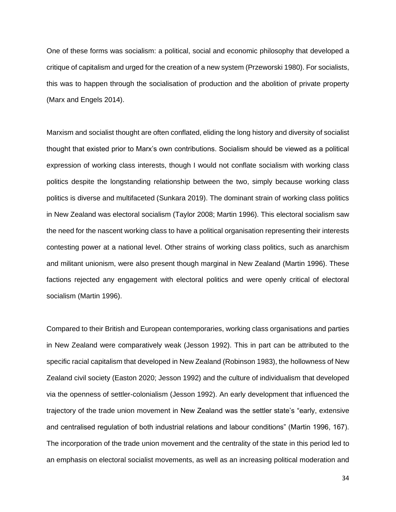One of these forms was socialism: a political, social and economic philosophy that developed a critique of capitalism and urged for the creation of a new system (Przeworski 1980). For socialists, this was to happen through the socialisation of production and the abolition of private property (Marx and Engels 2014).

Marxism and socialist thought are often conflated, eliding the long history and diversity of socialist thought that existed prior to Marx's own contributions. Socialism should be viewed as a political expression of working class interests, though I would not conflate socialism with working class politics despite the longstanding relationship between the two, simply because working class politics is diverse and multifaceted (Sunkara 2019). The dominant strain of working class politics in New Zealand was electoral socialism (Taylor 2008; Martin 1996). This electoral socialism saw the need for the nascent working class to have a political organisation representing their interests contesting power at a national level. Other strains of working class politics, such as anarchism and militant unionism, were also present though marginal in New Zealand (Martin 1996). These factions rejected any engagement with electoral politics and were openly critical of electoral socialism (Martin 1996).

Compared to their British and European contemporaries, working class organisations and parties in New Zealand were comparatively weak (Jesson 1992). This in part can be attributed to the specific racial capitalism that developed in New Zealand (Robinson 1983), the hollowness of New Zealand civil society (Easton 2020; Jesson 1992) and the culture of individualism that developed via the openness of settler-colonialism (Jesson 1992). An early development that influenced the trajectory of the trade union movement in New Zealand was the settler state's "early, extensive and centralised regulation of both industrial relations and labour conditions" (Martin 1996, 167). The incorporation of the trade union movement and the centrality of the state in this period led to an emphasis on electoral socialist movements, as well as an increasing political moderation and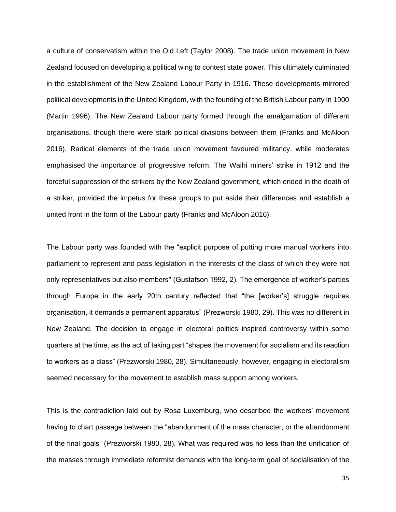a culture of conservatism within the Old Left (Taylor 2008). The trade union movement in New Zealand focused on developing a political wing to contest state power. This ultimately culminated in the establishment of the New Zealand Labour Party in 1916. These developments mirrored political developments in the United Kingdom, with the founding of the British Labour party in 1900 (Martin 1996). The New Zealand Labour party formed through the amalgamation of different organisations, though there were stark political divisions between them (Franks and McAloon 2016). Radical elements of the trade union movement favoured militancy, while moderates emphasised the importance of progressive reform. The Waihi miners' strike in 1912 and the forceful suppression of the strikers by the New Zealand government, which ended in the death of a striker, provided the impetus for these groups to put aside their differences and establish a united front in the form of the Labour party (Franks and McAloon 2016).

The Labour party was founded with the "explicit purpose of putting more manual workers into parliament to represent and pass legislation in the interests of the class of which they were not only representatives but also members'' (Gustafson 1992, 2). The emergence of worker's parties through Europe in the early 20th century reflected that "the [worker's] struggle requires organisation, it demands a permanent apparatus" (Prezworski 1980, 29). This was no different in New Zealand. The decision to engage in electoral politics inspired controversy within some quarters at the time, as the act of taking part "shapes the movement for socialism and its reaction to workers as a class" (Prezworski 1980, 28). Simultaneously, however, engaging in electoralism seemed necessary for the movement to establish mass support among workers.

This is the contradiction laid out by Rosa Luxemburg, who described the workers' movement having to chart passage between the "abandonment of the mass character, or the abandonment of the final goals" (Prezworski 1980, 28). What was required was no less than the unification of the masses through immediate reformist demands with the long-term goal of socialisation of the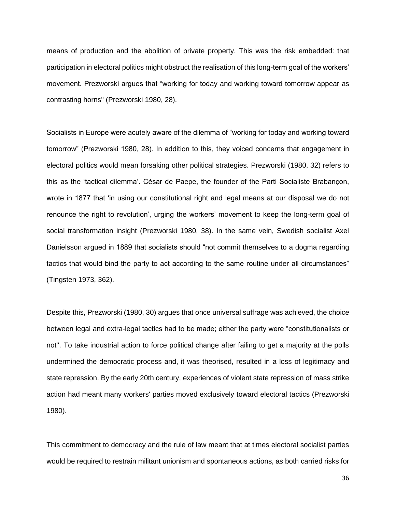means of production and the abolition of private property. This was the risk embedded: that participation in electoral politics might obstruct the realisation of this long-term goal of the workers' movement. Prezworski argues that "working for today and working toward tomorrow appear as contrasting horns'' (Prezworski 1980, 28).

Socialists in Europe were acutely aware of the dilemma of "working for today and working toward tomorrow" (Prezworski 1980, 28). In addition to this, they voiced concerns that engagement in electoral politics would mean forsaking other political strategies. Prezworski (1980, 32) refers to this as the 'tactical dilemma'. César de Paepe, the founder of the Parti Socialiste Brabançon, wrote in 1877 that 'in using our constitutional right and legal means at our disposal we do not renounce the right to revolution', urging the workers' movement to keep the long-term goal of social transformation insight (Prezworski 1980, 38). In the same vein, Swedish socialist Axel Danielsson argued in 1889 that socialists should "not commit themselves to a dogma regarding tactics that would bind the party to act according to the same routine under all circumstances" (Tingsten 1973, 362).

Despite this, Prezworski (1980, 30) argues that once universal suffrage was achieved, the choice between legal and extra-legal tactics had to be made; either the party were "constitutionalists or not''. To take industrial action to force political change after failing to get a majority at the polls undermined the democratic process and, it was theorised, resulted in a loss of legitimacy and state repression. By the early 20th century, experiences of violent state repression of mass strike action had meant many workers' parties moved exclusively toward electoral tactics (Prezworski 1980).

This commitment to democracy and the rule of law meant that at times electoral socialist parties would be required to restrain militant unionism and spontaneous actions, as both carried risks for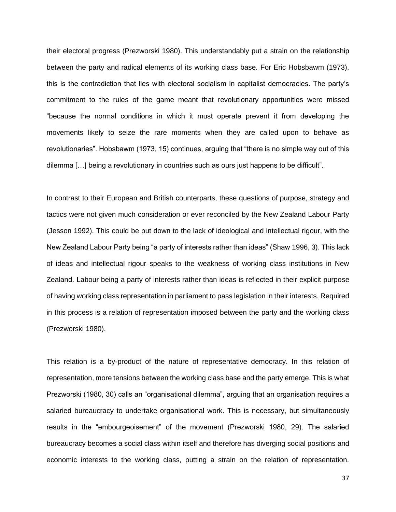their electoral progress (Prezworski 1980). This understandably put a strain on the relationship between the party and radical elements of its working class base. For Eric Hobsbawm (1973), this is the contradiction that lies with electoral socialism in capitalist democracies. The party's commitment to the rules of the game meant that revolutionary opportunities were missed "because the normal conditions in which it must operate prevent it from developing the movements likely to seize the rare moments when they are called upon to behave as revolutionaries". Hobsbawm (1973, 15) continues, arguing that "there is no simple way out of this dilemma […] being a revolutionary in countries such as ours just happens to be difficult".

In contrast to their European and British counterparts, these questions of purpose, strategy and tactics were not given much consideration or ever reconciled by the New Zealand Labour Party (Jesson 1992). This could be put down to the lack of ideological and intellectual rigour, with the New Zealand Labour Party being "a party of interests rather than ideas" (Shaw 1996, 3). This lack of ideas and intellectual rigour speaks to the weakness of working class institutions in New Zealand. Labour being a party of interests rather than ideas is reflected in their explicit purpose of having working class representation in parliament to pass legislation in their interests. Required in this process is a relation of representation imposed between the party and the working class (Prezworski 1980).

This relation is a by-product of the nature of representative democracy. In this relation of representation, more tensions between the working class base and the party emerge. This is what Prezworski (1980, 30) calls an "organisational dilemma", arguing that an organisation requires a salaried bureaucracy to undertake organisational work. This is necessary, but simultaneously results in the "embourgeoisement" of the movement (Prezworski 1980, 29). The salaried bureaucracy becomes a social class within itself and therefore has diverging social positions and economic interests to the working class, putting a strain on the relation of representation.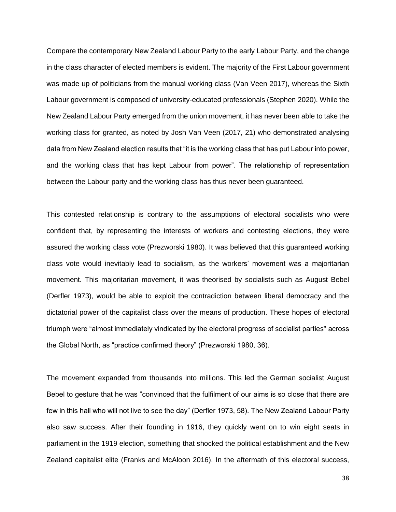Compare the contemporary New Zealand Labour Party to the early Labour Party, and the change in the class character of elected members is evident. The majority of the First Labour government was made up of politicians from the manual working class (Van Veen 2017), whereas the Sixth Labour government is composed of university-educated professionals (Stephen 2020). While the New Zealand Labour Party emerged from the union movement, it has never been able to take the working class for granted, as noted by Josh Van Veen (2017, 21) who demonstrated analysing data from New Zealand election results that "it is the working class that has put Labour into power, and the working class that has kept Labour from power". The relationship of representation between the Labour party and the working class has thus never been guaranteed.

This contested relationship is contrary to the assumptions of electoral socialists who were confident that, by representing the interests of workers and contesting elections, they were assured the working class vote (Prezworski 1980). It was believed that this guaranteed working class vote would inevitably lead to socialism, as the workers' movement was a majoritarian movement. This majoritarian movement, it was theorised by socialists such as August Bebel (Derfler 1973), would be able to exploit the contradiction between liberal democracy and the dictatorial power of the capitalist class over the means of production. These hopes of electoral triumph were "almost immediately vindicated by the electoral progress of socialist parties'' across the Global North, as "practice confirmed theory" (Prezworski 1980, 36).

The movement expanded from thousands into millions. This led the German socialist August Bebel to gesture that he was "convinced that the fulfilment of our aims is so close that there are few in this hall who will not live to see the day" (Derfler 1973, 58). The New Zealand Labour Party also saw success. After their founding in 1916, they quickly went on to win eight seats in parliament in the 1919 election, something that shocked the political establishment and the New Zealand capitalist elite (Franks and McAloon 2016). In the aftermath of this electoral success,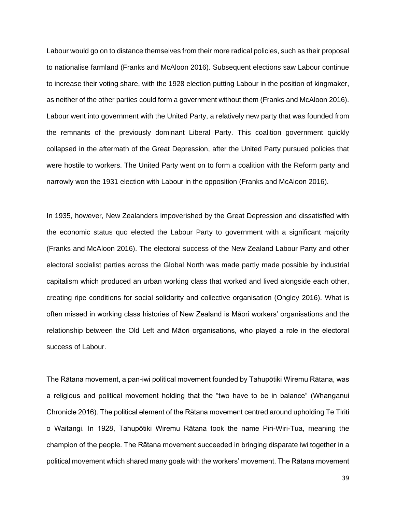Labour would go on to distance themselves from their more radical policies, such as their proposal to nationalise farmland (Franks and McAloon 2016). Subsequent elections saw Labour continue to increase their voting share, with the 1928 election putting Labour in the position of kingmaker, as neither of the other parties could form a government without them (Franks and McAloon 2016). Labour went into government with the United Party, a relatively new party that was founded from the remnants of the previously dominant Liberal Party. This coalition government quickly collapsed in the aftermath of the Great Depression, after the United Party pursued policies that were hostile to workers. The United Party went on to form a coalition with the Reform party and narrowly won the 1931 election with Labour in the opposition (Franks and McAloon 2016).

In 1935, however, New Zealanders impoverished by the Great Depression and dissatisfied with the economic status quo elected the Labour Party to government with a significant majority (Franks and McAloon 2016). The electoral success of the New Zealand Labour Party and other electoral socialist parties across the Global North was made partly made possible by industrial capitalism which produced an urban working class that worked and lived alongside each other, creating ripe conditions for social solidarity and collective organisation (Ongley 2016). What is often missed in working class histories of New Zealand is Māori workers' organisations and the relationship between the Old Left and Māori organisations, who played a role in the electoral success of Labour.

The Rātana movement, a pan-iwi political movement founded by Tahupōtiki Wiremu Rātana, was a religious and political movement holding that the "two have to be in balance" (Whanganui Chronicle 2016). The political element of the Rātana movement centred around upholding Te Tiriti o Waitangi. In 1928, Tahupōtiki Wiremu Rātana took the name Piri-Wiri-Tua, meaning the champion of the people. The Rātana movement succeeded in bringing disparate iwi together in a political movement which shared many goals with the workers' movement. The Rātana movement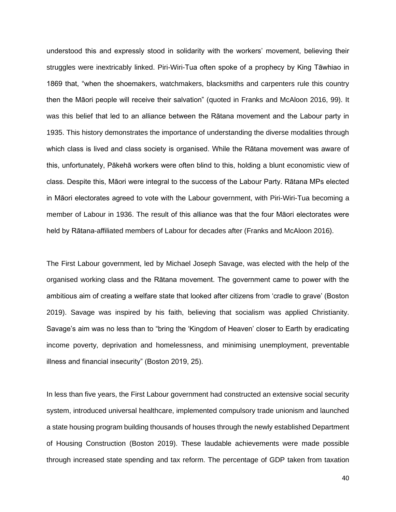understood this and expressly stood in solidarity with the workers' movement, believing their struggles were inextricably linked. Piri-Wiri-Tua often spoke of a prophecy by King Tāwhiao in 1869 that, "when the shoemakers, watchmakers, blacksmiths and carpenters rule this country then the Māori people will receive their salvation" (quoted in Franks and McAloon 2016, 99). It was this belief that led to an alliance between the Rātana movement and the Labour party in 1935. This history demonstrates the importance of understanding the diverse modalities through which class is lived and class society is organised. While the Rātana movement was aware of this, unfortunately, Pākehā workers were often blind to this, holding a blunt economistic view of class. Despite this, Māori were integral to the success of the Labour Party. Rātana MPs elected in Māori electorates agreed to vote with the Labour government, with Piri-Wiri-Tua becoming a member of Labour in 1936. The result of this alliance was that the four Māori electorates were held by Rātana-affiliated members of Labour for decades after (Franks and McAloon 2016).

The First Labour government, led by Michael Joseph Savage, was elected with the help of the organised working class and the Rātana movement. The government came to power with the ambitious aim of creating a welfare state that looked after citizens from 'cradle to grave' (Boston 2019). Savage was inspired by his faith, believing that socialism was applied Christianity. Savage's aim was no less than to "bring the 'Kingdom of Heaven' closer to Earth by eradicating income poverty, deprivation and homelessness, and minimising unemployment, preventable illness and financial insecurity" (Boston 2019, 25).

In less than five years, the First Labour government had constructed an extensive social security system, introduced universal healthcare, implemented compulsory trade unionism and launched a state housing program building thousands of houses through the newly established Department of Housing Construction (Boston 2019). These laudable achievements were made possible through increased state spending and tax reform. The percentage of GDP taken from taxation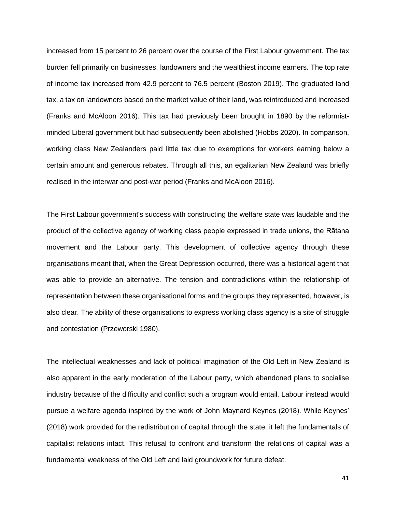increased from 15 percent to 26 percent over the course of the First Labour government. The tax burden fell primarily on businesses, landowners and the wealthiest income earners. The top rate of income tax increased from 42.9 percent to 76.5 percent (Boston 2019). The graduated land tax, a tax on landowners based on the market value of their land, was reintroduced and increased (Franks and McAloon 2016). This tax had previously been brought in 1890 by the reformistminded Liberal government but had subsequently been abolished (Hobbs 2020). In comparison, working class New Zealanders paid little tax due to exemptions for workers earning below a certain amount and generous rebates. Through all this, an egalitarian New Zealand was briefly realised in the interwar and post-war period (Franks and McAloon 2016).

The First Labour government's success with constructing the welfare state was laudable and the product of the collective agency of working class people expressed in trade unions, the Rātana movement and the Labour party. This development of collective agency through these organisations meant that, when the Great Depression occurred, there was a historical agent that was able to provide an alternative. The tension and contradictions within the relationship of representation between these organisational forms and the groups they represented, however, is also clear. The ability of these organisations to express working class agency is a site of struggle and contestation (Przeworski 1980).

The intellectual weaknesses and lack of political imagination of the Old Left in New Zealand is also apparent in the early moderation of the Labour party, which abandoned plans to socialise industry because of the difficulty and conflict such a program would entail. Labour instead would pursue a welfare agenda inspired by the work of John Maynard Keynes (2018). While Keynes' (2018) work provided for the redistribution of capital through the state, it left the fundamentals of capitalist relations intact. This refusal to confront and transform the relations of capital was a fundamental weakness of the Old Left and laid groundwork for future defeat.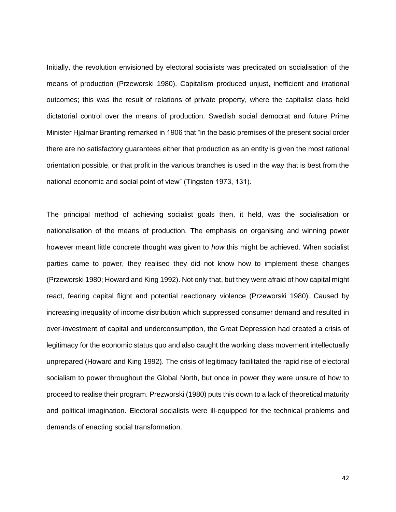Initially, the revolution envisioned by electoral socialists was predicated on socialisation of the means of production (Przeworski 1980). Capitalism produced unjust, inefficient and irrational outcomes; this was the result of relations of private property, where the capitalist class held dictatorial control over the means of production. Swedish social democrat and future Prime Minister Hjalmar Branting remarked in 1906 that "in the basic premises of the present social order there are no satisfactory guarantees either that production as an entity is given the most rational orientation possible, or that profit in the various branches is used in the way that is best from the national economic and social point of view" (Tingsten 1973, 131).

The principal method of achieving socialist goals then, it held, was the socialisation or nationalisation of the means of production. The emphasis on organising and winning power however meant little concrete thought was given to *how* this might be achieved. When socialist parties came to power, they realised they did not know how to implement these changes (Przeworski 1980; Howard and King 1992). Not only that, but they were afraid of how capital might react, fearing capital flight and potential reactionary violence (Przeworski 1980). Caused by increasing inequality of income distribution which suppressed consumer demand and resulted in over-investment of capital and underconsumption, the Great Depression had created a crisis of legitimacy for the economic status quo and also caught the working class movement intellectually unprepared (Howard and King 1992). The crisis of legitimacy facilitated the rapid rise of electoral socialism to power throughout the Global North, but once in power they were unsure of how to proceed to realise their program. Prezworski (1980) puts this down to a lack of theoretical maturity and political imagination. Electoral socialists were ill-equipped for the technical problems and demands of enacting social transformation.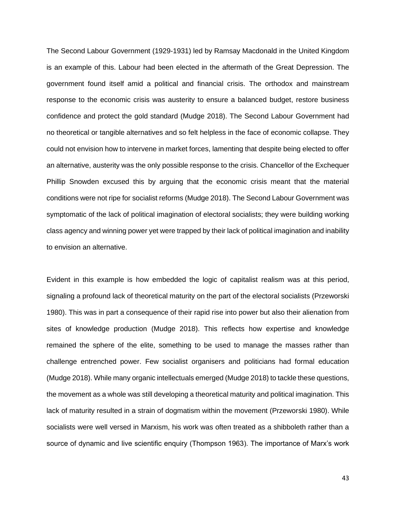The Second Labour Government (1929-1931) led by Ramsay Macdonald in the United Kingdom is an example of this. Labour had been elected in the aftermath of the Great Depression. The government found itself amid a political and financial crisis. The orthodox and mainstream response to the economic crisis was austerity to ensure a balanced budget, restore business confidence and protect the gold standard (Mudge 2018). The Second Labour Government had no theoretical or tangible alternatives and so felt helpless in the face of economic collapse. They could not envision how to intervene in market forces, lamenting that despite being elected to offer an alternative, austerity was the only possible response to the crisis. Chancellor of the Exchequer Phillip Snowden excused this by arguing that the economic crisis meant that the material conditions were not ripe for socialist reforms (Mudge 2018). The Second Labour Government was symptomatic of the lack of political imagination of electoral socialists; they were building working class agency and winning power yet were trapped by their lack of political imagination and inability to envision an alternative.

Evident in this example is how embedded the logic of capitalist realism was at this period, signaling a profound lack of theoretical maturity on the part of the electoral socialists (Przeworski 1980). This was in part a consequence of their rapid rise into power but also their alienation from sites of knowledge production (Mudge 2018). This reflects how expertise and knowledge remained the sphere of the elite, something to be used to manage the masses rather than challenge entrenched power. Few socialist organisers and politicians had formal education (Mudge 2018). While many organic intellectuals emerged (Mudge 2018) to tackle these questions, the movement as a whole was still developing a theoretical maturity and political imagination. This lack of maturity resulted in a strain of dogmatism within the movement (Przeworski 1980). While socialists were well versed in Marxism, his work was often treated as a shibboleth rather than a source of dynamic and live scientific enquiry (Thompson 1963). The importance of Marx's work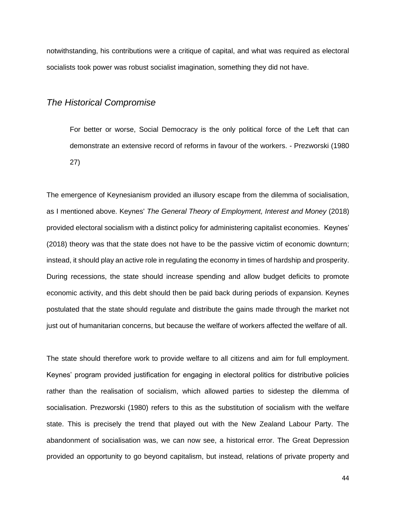notwithstanding, his contributions were a critique of capital, and what was required as electoral socialists took power was robust socialist imagination, something they did not have.

#### *The Historical Compromise*

For better or worse, Social Democracy is the only political force of the Left that can demonstrate an extensive record of reforms in favour of the workers. - Prezworski (1980 27)

The emergence of Keynesianism provided an illusory escape from the dilemma of socialisation, as I mentioned above. Keynes' *The General Theory of Employment, Interest and Money* (2018) provided electoral socialism with a distinct policy for administering capitalist economies. Keynes' (2018) theory was that the state does not have to be the passive victim of economic downturn; instead, it should play an active role in regulating the economy in times of hardship and prosperity. During recessions, the state should increase spending and allow budget deficits to promote economic activity, and this debt should then be paid back during periods of expansion. Keynes postulated that the state should regulate and distribute the gains made through the market not just out of humanitarian concerns, but because the welfare of workers affected the welfare of all.

The state should therefore work to provide welfare to all citizens and aim for full employment. Keynes' program provided justification for engaging in electoral politics for distributive policies rather than the realisation of socialism, which allowed parties to sidestep the dilemma of socialisation. Prezworski (1980) refers to this as the substitution of socialism with the welfare state. This is precisely the trend that played out with the New Zealand Labour Party. The abandonment of socialisation was, we can now see, a historical error. The Great Depression provided an opportunity to go beyond capitalism, but instead, relations of private property and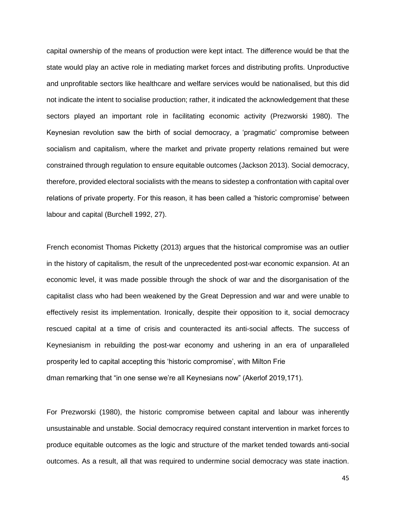capital ownership of the means of production were kept intact. The difference would be that the state would play an active role in mediating market forces and distributing profits. Unproductive and unprofitable sectors like healthcare and welfare services would be nationalised, but this did not indicate the intent to socialise production; rather, it indicated the acknowledgement that these sectors played an important role in facilitating economic activity (Prezworski 1980). The Keynesian revolution saw the birth of social democracy, a 'pragmatic' compromise between socialism and capitalism, where the market and private property relations remained but were constrained through regulation to ensure equitable outcomes (Jackson 2013). Social democracy, therefore, provided electoral socialists with the means to sidestep a confrontation with capital over relations of private property. For this reason, it has been called a 'historic compromise' between labour and capital (Burchell 1992, 27).

French economist Thomas Picketty (2013) argues that the historical compromise was an outlier in the history of capitalism, the result of the unprecedented post-war economic expansion. At an economic level, it was made possible through the shock of war and the disorganisation of the capitalist class who had been weakened by the Great Depression and war and were unable to effectively resist its implementation. Ironically, despite their opposition to it, social democracy rescued capital at a time of crisis and counteracted its anti-social affects. The success of Keynesianism in rebuilding the post-war economy and ushering in an era of unparalleled prosperity led to capital accepting this 'historic compromise', with Milton Frie dman remarking that "in one sense we're all Keynesians now" (Akerlof 2019,171).

For Prezworski (1980), the historic compromise between capital and labour was inherently unsustainable and unstable. Social democracy required constant intervention in market forces to produce equitable outcomes as the logic and structure of the market tended towards anti-social outcomes. As a result, all that was required to undermine social democracy was state inaction.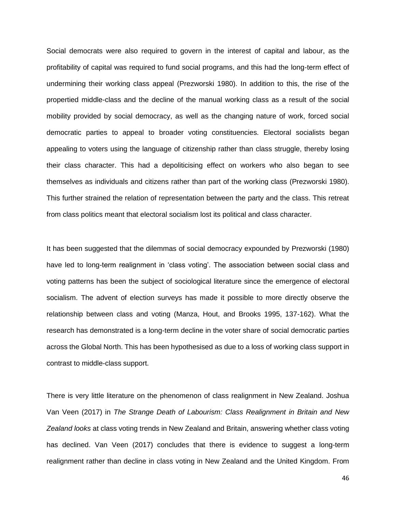Social democrats were also required to govern in the interest of capital and labour, as the profitability of capital was required to fund social programs, and this had the long-term effect of undermining their working class appeal (Prezworski 1980). In addition to this, the rise of the propertied middle-class and the decline of the manual working class as a result of the social mobility provided by social democracy, as well as the changing nature of work, forced social democratic parties to appeal to broader voting constituencies. Electoral socialists began appealing to voters using the language of citizenship rather than class struggle, thereby losing their class character. This had a depoliticising effect on workers who also began to see themselves as individuals and citizens rather than part of the working class (Prezworski 1980). This further strained the relation of representation between the party and the class. This retreat from class politics meant that electoral socialism lost its political and class character.

It has been suggested that the dilemmas of social democracy expounded by Prezworski (1980) have led to long-term realignment in 'class voting'. The association between social class and voting patterns has been the subject of sociological literature since the emergence of electoral socialism. The advent of election surveys has made it possible to more directly observe the relationship between class and voting (Manza, Hout, and Brooks 1995, 137-162). What the research has demonstrated is a long-term decline in the voter share of social democratic parties across the Global North. This has been hypothesised as due to a loss of working class support in contrast to middle-class support.

There is very little literature on the phenomenon of class realignment in New Zealand. Joshua Van Veen (2017) in *The Strange Death of Labourism: Class Realignment in Britain and New Zealand looks* at class voting trends in New Zealand and Britain, answering whether class voting has declined. Van Veen (2017) concludes that there is evidence to suggest a long-term realignment rather than decline in class voting in New Zealand and the United Kingdom. From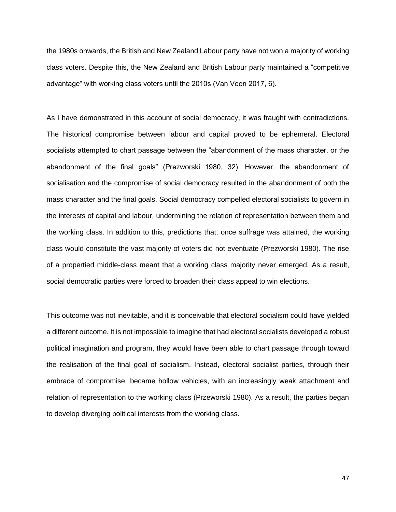the 1980s onwards, the British and New Zealand Labour party have not won a majority of working class voters. Despite this, the New Zealand and British Labour party maintained a "competitive advantage" with working class voters until the 2010s (Van Veen 2017, 6).

As I have demonstrated in this account of social democracy, it was fraught with contradictions. The historical compromise between labour and capital proved to be ephemeral. Electoral socialists attempted to chart passage between the "abandonment of the mass character, or the abandonment of the final goals" (Prezworski 1980, 32). However, the abandonment of socialisation and the compromise of social democracy resulted in the abandonment of both the mass character and the final goals. Social democracy compelled electoral socialists to govern in the interests of capital and labour, undermining the relation of representation between them and the working class. In addition to this, predictions that, once suffrage was attained, the working class would constitute the vast majority of voters did not eventuate (Prezworski 1980). The rise of a propertied middle-class meant that a working class majority never emerged. As a result, social democratic parties were forced to broaden their class appeal to win elections.

This outcome was not inevitable, and it is conceivable that electoral socialism could have yielded a different outcome. It is not impossible to imagine that had electoral socialists developed a robust political imagination and program, they would have been able to chart passage through toward the realisation of the final goal of socialism. Instead, electoral socialist parties, through their embrace of compromise, became hollow vehicles, with an increasingly weak attachment and relation of representation to the working class (Przeworski 1980). As a result, the parties began to develop diverging political interests from the working class.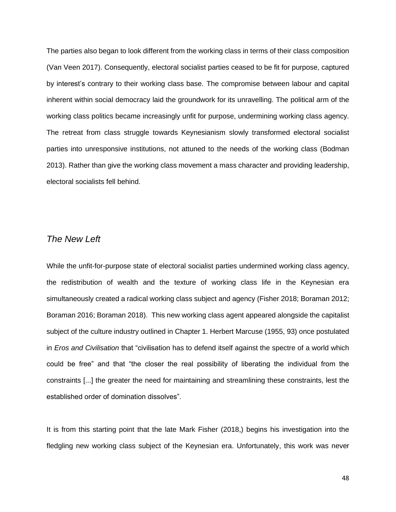The parties also began to look different from the working class in terms of their class composition (Van Veen 2017). Consequently, electoral socialist parties ceased to be fit for purpose, captured by interest's contrary to their working class base. The compromise between labour and capital inherent within social democracy laid the groundwork for its unravelling. The political arm of the working class politics became increasingly unfit for purpose, undermining working class agency. The retreat from class struggle towards Keynesianism slowly transformed electoral socialist parties into unresponsive institutions, not attuned to the needs of the working class (Bodman 2013). Rather than give the working class movement a mass character and providing leadership, electoral socialists fell behind.

# *The New Left*

While the unfit-for-purpose state of electoral socialist parties undermined working class agency, the redistribution of wealth and the texture of working class life in the Keynesian era simultaneously created a radical working class subject and agency (Fisher 2018; Boraman 2012; Boraman 2016; Boraman 2018). This new working class agent appeared alongside the capitalist subject of the culture industry outlined in Chapter 1. Herbert Marcuse (1955, 93) once postulated in *Eros and Civilisation* that "civilisation has to defend itself against the spectre of a world which could be free" and that "the closer the real possibility of liberating the individual from the constraints [...] the greater the need for maintaining and streamlining these constraints, lest the established order of domination dissolves".

It is from this starting point that the late Mark Fisher (2018,) begins his investigation into the fledgling new working class subject of the Keynesian era. Unfortunately, this work was never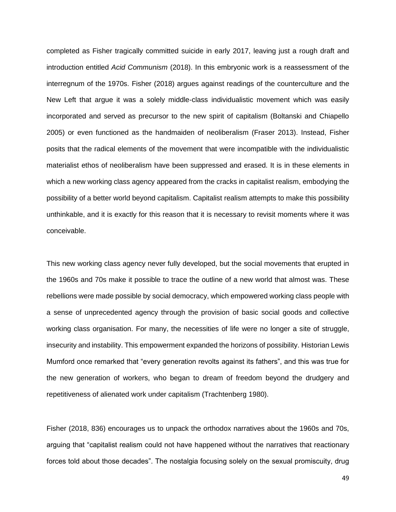completed as Fisher tragically committed suicide in early 2017, leaving just a rough draft and introduction entitled *Acid Communism* (2018). In this embryonic work is a reassessment of the interregnum of the 1970s. Fisher (2018) argues against readings of the counterculture and the New Left that argue it was a solely middle-class individualistic movement which was easily incorporated and served as precursor to the new spirit of capitalism (Boltanski and Chiapello 2005) or even functioned as the handmaiden of neoliberalism (Fraser 2013). Instead, Fisher posits that the radical elements of the movement that were incompatible with the individualistic materialist ethos of neoliberalism have been suppressed and erased. It is in these elements in which a new working class agency appeared from the cracks in capitalist realism, embodying the possibility of a better world beyond capitalism. Capitalist realism attempts to make this possibility unthinkable, and it is exactly for this reason that it is necessary to revisit moments where it was conceivable.

This new working class agency never fully developed, but the social movements that erupted in the 1960s and 70s make it possible to trace the outline of a new world that almost was. These rebellions were made possible by social democracy, which empowered working class people with a sense of unprecedented agency through the provision of basic social goods and collective working class organisation. For many, the necessities of life were no longer a site of struggle, insecurity and instability. This empowerment expanded the horizons of possibility. Historian Lewis Mumford once remarked that "every generation revolts against its fathers", and this was true for the new generation of workers, who began to dream of freedom beyond the drudgery and repetitiveness of alienated work under capitalism (Trachtenberg 1980).

Fisher (2018, 836) encourages us to unpack the orthodox narratives about the 1960s and 70s, arguing that "capitalist realism could not have happened without the narratives that reactionary forces told about those decades". The nostalgia focusing solely on the sexual promiscuity, drug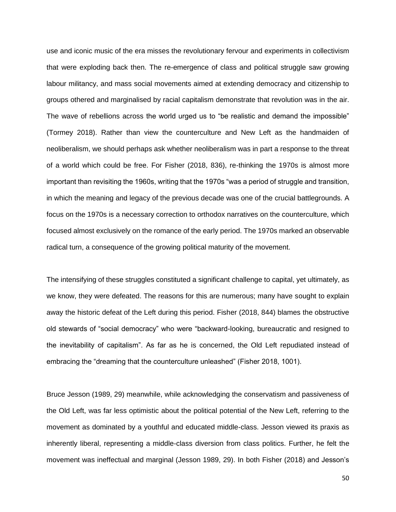use and iconic music of the era misses the revolutionary fervour and experiments in collectivism that were exploding back then. The re-emergence of class and political struggle saw growing labour militancy, and mass social movements aimed at extending democracy and citizenship to groups othered and marginalised by racial capitalism demonstrate that revolution was in the air. The wave of rebellions across the world urged us to "be realistic and demand the impossible" (Tormey 2018). Rather than view the counterculture and New Left as the handmaiden of neoliberalism, we should perhaps ask whether neoliberalism was in part a response to the threat of a world which could be free. For Fisher (2018, 836), re-thinking the 1970s is almost more important than revisiting the 1960s, writing that the 1970s "was a period of struggle and transition, in which the meaning and legacy of the previous decade was one of the crucial battlegrounds. A focus on the 1970s is a necessary correction to orthodox narratives on the counterculture, which focused almost exclusively on the romance of the early period. The 1970s marked an observable radical turn, a consequence of the growing political maturity of the movement.

The intensifying of these struggles constituted a significant challenge to capital, yet ultimately, as we know, they were defeated. The reasons for this are numerous; many have sought to explain away the historic defeat of the Left during this period. Fisher (2018, 844) blames the obstructive old stewards of "social democracy" who were "backward-looking, bureaucratic and resigned to the inevitability of capitalism". As far as he is concerned, the Old Left repudiated instead of embracing the "dreaming that the counterculture unleashed" (Fisher 2018, 1001).

Bruce Jesson (1989, 29) meanwhile, while acknowledging the conservatism and passiveness of the Old Left, was far less optimistic about the political potential of the New Left, referring to the movement as dominated by a youthful and educated middle-class. Jesson viewed its praxis as inherently liberal, representing a middle-class diversion from class politics. Further, he felt the movement was ineffectual and marginal (Jesson 1989, 29). In both Fisher (2018) and Jesson's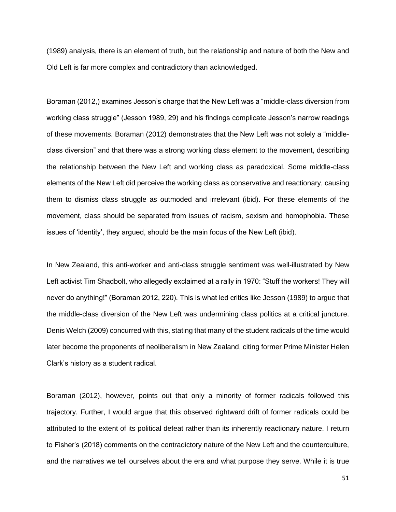(1989) analysis, there is an element of truth, but the relationship and nature of both the New and Old Left is far more complex and contradictory than acknowledged.

Boraman (2012,) examines Jesson's charge that the New Left was a "middle-class diversion from working class struggle" (Jesson 1989, 29) and his findings complicate Jesson's narrow readings of these movements. Boraman (2012) demonstrates that the New Left was not solely a "middleclass diversion" and that there was a strong working class element to the movement, describing the relationship between the New Left and working class as paradoxical. Some middle-class elements of the New Left did perceive the working class as conservative and reactionary, causing them to dismiss class struggle as outmoded and irrelevant (ibid). For these elements of the movement, class should be separated from issues of racism, sexism and homophobia. These issues of 'identity', they argued, should be the main focus of the New Left (ibid).

In New Zealand, this anti-worker and anti-class struggle sentiment was well-illustrated by New Left activist Tim Shadbolt, who allegedly exclaimed at a rally in 1970: "Stuff the workers! They will never do anything!" (Boraman 2012, 220). This is what led critics like Jesson (1989) to argue that the middle-class diversion of the New Left was undermining class politics at a critical juncture. Denis Welch (2009) concurred with this, stating that many of the student radicals of the time would later become the proponents of neoliberalism in New Zealand, citing former Prime Minister Helen Clark's history as a student radical.

Boraman (2012), however, points out that only a minority of former radicals followed this trajectory. Further, I would argue that this observed rightward drift of former radicals could be attributed to the extent of its political defeat rather than its inherently reactionary nature. I return to Fisher's (2018) comments on the contradictory nature of the New Left and the counterculture, and the narratives we tell ourselves about the era and what purpose they serve. While it is true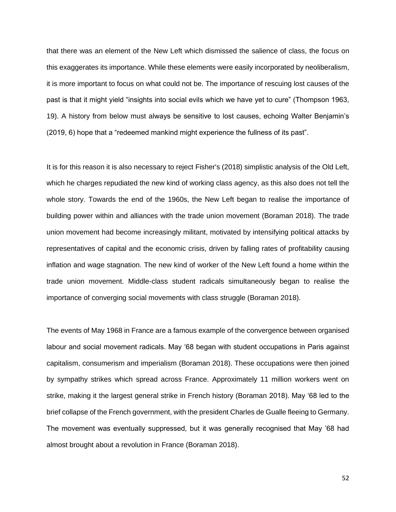that there was an element of the New Left which dismissed the salience of class, the focus on this exaggerates its importance. While these elements were easily incorporated by neoliberalism, it is more important to focus on what could not be. The importance of rescuing lost causes of the past is that it might yield "insights into social evils which we have yet to cure" (Thompson 1963, 19). A history from below must always be sensitive to lost causes, echoing Walter Benjamin's (2019, 6) hope that a "redeemed mankind might experience the fullness of its past".

It is for this reason it is also necessary to reject Fisher's (2018) simplistic analysis of the Old Left, which he charges repudiated the new kind of working class agency, as this also does not tell the whole story. Towards the end of the 1960s, the New Left began to realise the importance of building power within and alliances with the trade union movement (Boraman 2018). The trade union movement had become increasingly militant, motivated by intensifying political attacks by representatives of capital and the economic crisis, driven by falling rates of profitability causing inflation and wage stagnation. The new kind of worker of the New Left found a home within the trade union movement. Middle-class student radicals simultaneously began to realise the importance of converging social movements with class struggle (Boraman 2018).

The events of May 1968 in France are a famous example of the convergence between organised labour and social movement radicals. May '68 began with student occupations in Paris against capitalism, consumerism and imperialism (Boraman 2018). These occupations were then joined by sympathy strikes which spread across France. Approximately 11 million workers went on strike, making it the largest general strike in French history (Boraman 2018). May '68 led to the brief collapse of the French government, with the president Charles de Gualle fleeing to Germany. The movement was eventually suppressed, but it was generally recognised that May '68 had almost brought about a revolution in France (Boraman 2018).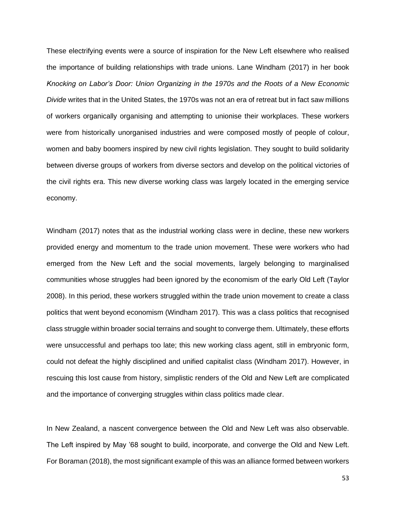These electrifying events were a source of inspiration for the New Left elsewhere who realised the importance of building relationships with trade unions. Lane Windham (2017) in her book *Knocking on Labor's Door: Union Organizing in the 1970s and the Roots of a New Economic Divide* writes that in the United States, the 1970s was not an era of retreat but in fact saw millions of workers organically organising and attempting to unionise their workplaces. These workers were from historically unorganised industries and were composed mostly of people of colour, women and baby boomers inspired by new civil rights legislation. They sought to build solidarity between diverse groups of workers from diverse sectors and develop on the political victories of the civil rights era. This new diverse working class was largely located in the emerging service economy.

Windham (2017) notes that as the industrial working class were in decline, these new workers provided energy and momentum to the trade union movement. These were workers who had emerged from the New Left and the social movements, largely belonging to marginalised communities whose struggles had been ignored by the economism of the early Old Left (Taylor 2008). In this period, these workers struggled within the trade union movement to create a class politics that went beyond economism (Windham 2017). This was a class politics that recognised class struggle within broader social terrains and sought to converge them. Ultimately, these efforts were unsuccessful and perhaps too late; this new working class agent, still in embryonic form, could not defeat the highly disciplined and unified capitalist class (Windham 2017). However, in rescuing this lost cause from history, simplistic renders of the Old and New Left are complicated and the importance of converging struggles within class politics made clear.

In New Zealand, a nascent convergence between the Old and New Left was also observable. The Left inspired by May '68 sought to build, incorporate, and converge the Old and New Left. For Boraman (2018), the most significant example of this was an alliance formed between workers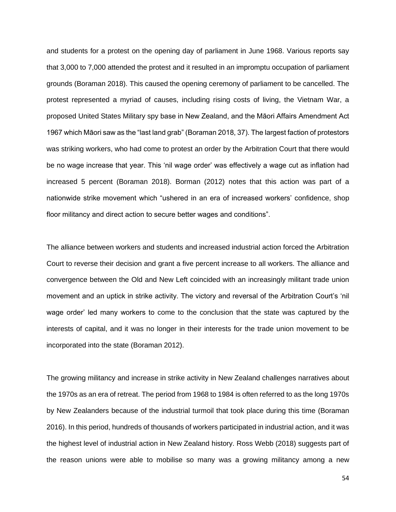and students for a protest on the opening day of parliament in June 1968. Various reports say that 3,000 to 7,000 attended the protest and it resulted in an impromptu occupation of parliament grounds (Boraman 2018). This caused the opening ceremony of parliament to be cancelled. The protest represented a myriad of causes, including rising costs of living, the Vietnam War, a proposed United States Military spy base in New Zealand, and the Māori Affairs Amendment Act 1967 which Māori saw as the "last land grab" (Boraman 2018, 37). The largest faction of protestors was striking workers, who had come to protest an order by the Arbitration Court that there would be no wage increase that year. This 'nil wage order' was effectively a wage cut as inflation had increased 5 percent (Boraman 2018). Borman (2012) notes that this action was part of a nationwide strike movement which "ushered in an era of increased workers' confidence, shop floor militancy and direct action to secure better wages and conditions".

The alliance between workers and students and increased industrial action forced the Arbitration Court to reverse their decision and grant a five percent increase to all workers. The alliance and convergence between the Old and New Left coincided with an increasingly militant trade union movement and an uptick in strike activity. The victory and reversal of the Arbitration Court's 'nil wage order' led many workers to come to the conclusion that the state was captured by the interests of capital, and it was no longer in their interests for the trade union movement to be incorporated into the state (Boraman 2012).

The growing militancy and increase in strike activity in New Zealand challenges narratives about the 1970s as an era of retreat. The period from 1968 to 1984 is often referred to as the long 1970s by New Zealanders because of the industrial turmoil that took place during this time (Boraman 2016). In this period, hundreds of thousands of workers participated in industrial action, and it was the highest level of industrial action in New Zealand history. Ross Webb (2018) suggests part of the reason unions were able to mobilise so many was a growing militancy among a new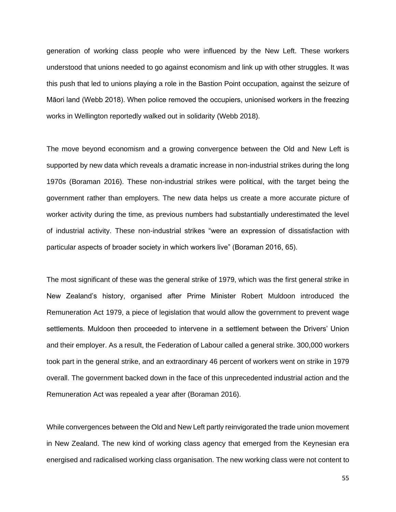generation of working class people who were influenced by the New Left. These workers understood that unions needed to go against economism and link up with other struggles. It was this push that led to unions playing a role in the Bastion Point occupation, against the seizure of Māori land (Webb 2018). When police removed the occupiers, unionised workers in the freezing works in Wellington reportedly walked out in solidarity (Webb 2018).

The move beyond economism and a growing convergence between the Old and New Left is supported by new data which reveals a dramatic increase in non-industrial strikes during the long 1970s (Boraman 2016). These non-industrial strikes were political, with the target being the government rather than employers. The new data helps us create a more accurate picture of worker activity during the time, as previous numbers had substantially underestimated the level of industrial activity. These non-industrial strikes "were an expression of dissatisfaction with particular aspects of broader society in which workers live" (Boraman 2016, 65).

The most significant of these was the general strike of 1979, which was the first general strike in New Zealand's history, organised after Prime Minister Robert Muldoon introduced the Remuneration Act 1979, a piece of legislation that would allow the government to prevent wage settlements. Muldoon then proceeded to intervene in a settlement between the Drivers' Union and their employer. As a result, the Federation of Labour called a general strike. 300,000 workers took part in the general strike, and an extraordinary 46 percent of workers went on strike in 1979 overall. The government backed down in the face of this unprecedented industrial action and the Remuneration Act was repealed a year after (Boraman 2016).

While convergences between the Old and New Left partly reinvigorated the trade union movement in New Zealand. The new kind of working class agency that emerged from the Keynesian era energised and radicalised working class organisation. The new working class were not content to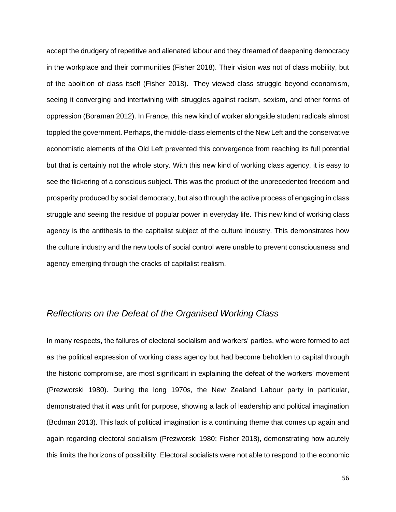accept the drudgery of repetitive and alienated labour and they dreamed of deepening democracy in the workplace and their communities (Fisher 2018). Their vision was not of class mobility, but of the abolition of class itself (Fisher 2018). They viewed class struggle beyond economism, seeing it converging and intertwining with struggles against racism, sexism, and other forms of oppression (Boraman 2012). In France, this new kind of worker alongside student radicals almost toppled the government. Perhaps, the middle-class elements of the New Left and the conservative economistic elements of the Old Left prevented this convergence from reaching its full potential but that is certainly not the whole story. With this new kind of working class agency, it is easy to see the flickering of a conscious subject. This was the product of the unprecedented freedom and prosperity produced by social democracy, but also through the active process of engaging in class struggle and seeing the residue of popular power in everyday life. This new kind of working class agency is the antithesis to the capitalist subject of the culture industry. This demonstrates how the culture industry and the new tools of social control were unable to prevent consciousness and agency emerging through the cracks of capitalist realism.

# *Reflections on the Defeat of the Organised Working Class*

In many respects, the failures of electoral socialism and workers' parties, who were formed to act as the political expression of working class agency but had become beholden to capital through the historic compromise, are most significant in explaining the defeat of the workers' movement (Prezworski 1980). During the long 1970s, the New Zealand Labour party in particular, demonstrated that it was unfit for purpose, showing a lack of leadership and political imagination (Bodman 2013). This lack of political imagination is a continuing theme that comes up again and again regarding electoral socialism (Prezworski 1980; Fisher 2018), demonstrating how acutely this limits the horizons of possibility. Electoral socialists were not able to respond to the economic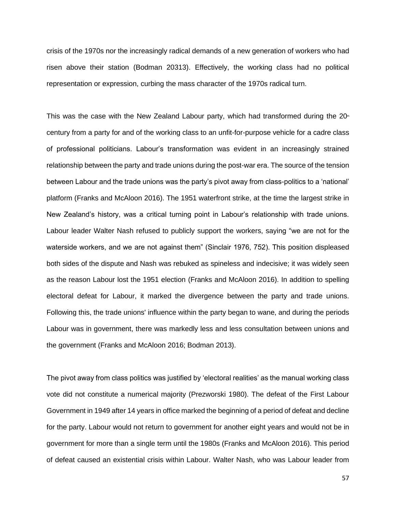crisis of the 1970s nor the increasingly radical demands of a new generation of workers who had risen above their station (Bodman 20313). Effectively, the working class had no political representation or expression, curbing the mass character of the 1970s radical turn.

This was the case with the New Zealand Labour party, which had transformed during the  $20<sup>n</sup>$ century from a party for and of the working class to an unfit-for-purpose vehicle for a cadre class of professional politicians. Labour's transformation was evident in an increasingly strained relationship between the party and trade unions during the post-war era. The source of the tension between Labour and the trade unions was the party's pivot away from class-politics to a 'national' platform (Franks and McAloon 2016). The 1951 waterfront strike, at the time the largest strike in New Zealand's history, was a critical turning point in Labour's relationship with trade unions. Labour leader Walter Nash refused to publicly support the workers, saying "we are not for the waterside workers, and we are not against them" (Sinclair 1976, 752). This position displeased both sides of the dispute and Nash was rebuked as spineless and indecisive; it was widely seen as the reason Labour lost the 1951 election (Franks and McAloon 2016). In addition to spelling electoral defeat for Labour, it marked the divergence between the party and trade unions. Following this, the trade unions' influence within the party began to wane, and during the periods Labour was in government, there was markedly less and less consultation between unions and the government (Franks and McAloon 2016; Bodman 2013).

The pivot away from class politics was justified by 'electoral realities' as the manual working class vote did not constitute a numerical majority (Prezworski 1980). The defeat of the First Labour Government in 1949 after 14 years in office marked the beginning of a period of defeat and decline for the party. Labour would not return to government for another eight years and would not be in government for more than a single term until the 1980s (Franks and McAloon 2016). This period of defeat caused an existential crisis within Labour. Walter Nash, who was Labour leader from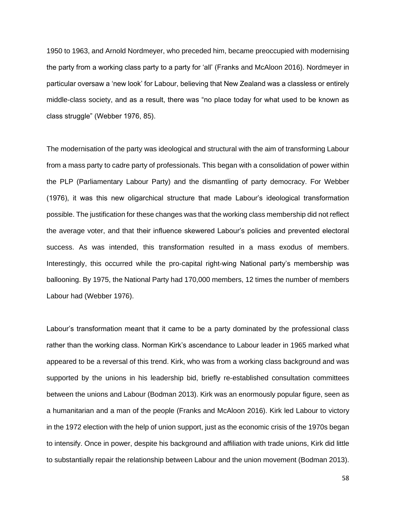1950 to 1963, and Arnold Nordmeyer, who preceded him, became preoccupied with modernising the party from a working class party to a party for 'all' (Franks and McAloon 2016). Nordmeyer in particular oversaw a 'new look' for Labour, believing that New Zealand was a classless or entirely middle-class society, and as a result, there was "no place today for what used to be known as class struggle" (Webber 1976, 85).

The modernisation of the party was ideological and structural with the aim of transforming Labour from a mass party to cadre party of professionals. This began with a consolidation of power within the PLP (Parliamentary Labour Party) and the dismantling of party democracy. For Webber (1976), it was this new oligarchical structure that made Labour's ideological transformation possible. The justification for these changes was that the working class membership did not reflect the average voter, and that their influence skewered Labour's policies and prevented electoral success. As was intended, this transformation resulted in a mass exodus of members. Interestingly, this occurred while the pro-capital right-wing National party's membership was ballooning. By 1975, the National Party had 170,000 members, 12 times the number of members Labour had (Webber 1976).

Labour's transformation meant that it came to be a party dominated by the professional class rather than the working class. Norman Kirk's ascendance to Labour leader in 1965 marked what appeared to be a reversal of this trend. Kirk, who was from a working class background and was supported by the unions in his leadership bid, briefly re-established consultation committees between the unions and Labour (Bodman 2013). Kirk was an enormously popular figure, seen as a humanitarian and a man of the people (Franks and McAloon 2016). Kirk led Labour to victory in the 1972 election with the help of union support, just as the economic crisis of the 1970s began to intensify. Once in power, despite his background and affiliation with trade unions, Kirk did little to substantially repair the relationship between Labour and the union movement (Bodman 2013).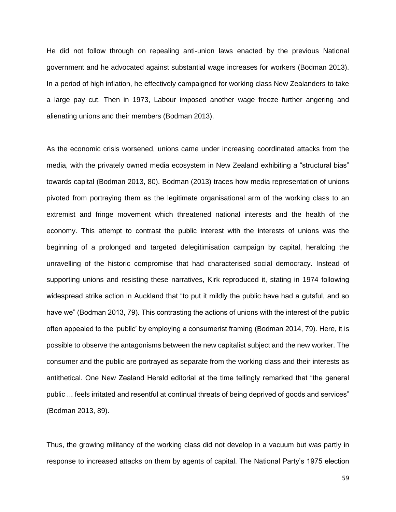He did not follow through on repealing anti-union laws enacted by the previous National government and he advocated against substantial wage increases for workers (Bodman 2013). In a period of high inflation, he effectively campaigned for working class New Zealanders to take a large pay cut. Then in 1973, Labour imposed another wage freeze further angering and alienating unions and their members (Bodman 2013).

As the economic crisis worsened, unions came under increasing coordinated attacks from the media, with the privately owned media ecosystem in New Zealand exhibiting a "structural bias" towards capital (Bodman 2013, 80). Bodman (2013) traces how media representation of unions pivoted from portraying them as the legitimate organisational arm of the working class to an extremist and fringe movement which threatened national interests and the health of the economy. This attempt to contrast the public interest with the interests of unions was the beginning of a prolonged and targeted delegitimisation campaign by capital, heralding the unravelling of the historic compromise that had characterised social democracy. Instead of supporting unions and resisting these narratives, Kirk reproduced it, stating in 1974 following widespread strike action in Auckland that "to put it mildly the public have had a gutsful, and so have we" (Bodman 2013, 79). This contrasting the actions of unions with the interest of the public often appealed to the 'public' by employing a consumerist framing (Bodman 2014, 79). Here, it is possible to observe the antagonisms between the new capitalist subject and the new worker. The consumer and the public are portrayed as separate from the working class and their interests as antithetical. One New Zealand Herald editorial at the time tellingly remarked that "the general public ... feels irritated and resentful at continual threats of being deprived of goods and services" (Bodman 2013, 89).

Thus, the growing militancy of the working class did not develop in a vacuum but was partly in response to increased attacks on them by agents of capital. The National Party's 1975 election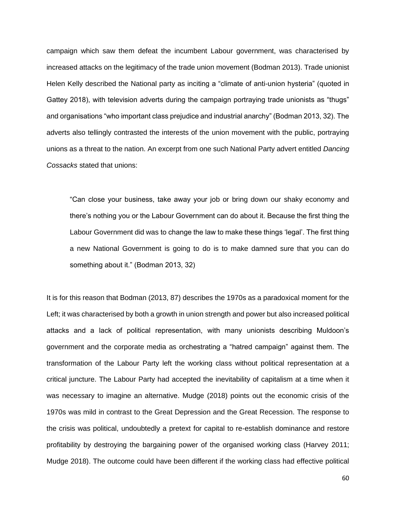campaign which saw them defeat the incumbent Labour government, was characterised by increased attacks on the legitimacy of the trade union movement (Bodman 2013). Trade unionist Helen Kelly described the National party as inciting a "climate of anti-union hysteria" (quoted in Gattey 2018), with television adverts during the campaign portraying trade unionists as "thugs" and organisations "who important class prejudice and industrial anarchy" (Bodman 2013, 32). The adverts also tellingly contrasted the interests of the union movement with the public, portraying unions as a threat to the nation. An excerpt from one such National Party advert entitled *Dancing Cossacks* stated that unions:

"Can close your business, take away your job or bring down our shaky economy and there's nothing you or the Labour Government can do about it. Because the first thing the Labour Government did was to change the law to make these things 'legal'. The first thing a new National Government is going to do is to make damned sure that you can do something about it." (Bodman 2013, 32)

It is for this reason that Bodman (2013, 87) describes the 1970s as a paradoxical moment for the Left; it was characterised by both a growth in union strength and power but also increased political attacks and a lack of political representation, with many unionists describing Muldoon's government and the corporate media as orchestrating a "hatred campaign" against them. The transformation of the Labour Party left the working class without political representation at a critical juncture. The Labour Party had accepted the inevitability of capitalism at a time when it was necessary to imagine an alternative. Mudge (2018) points out the economic crisis of the 1970s was mild in contrast to the Great Depression and the Great Recession. The response to the crisis was political, undoubtedly a pretext for capital to re-establish dominance and restore profitability by destroying the bargaining power of the organised working class (Harvey 2011; Mudge 2018). The outcome could have been different if the working class had effective political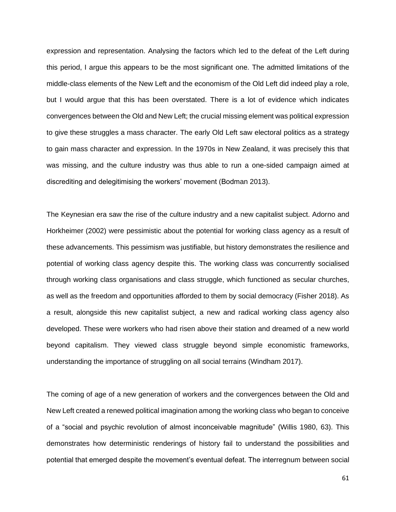expression and representation. Analysing the factors which led to the defeat of the Left during this period, I argue this appears to be the most significant one. The admitted limitations of the middle-class elements of the New Left and the economism of the Old Left did indeed play a role, but I would argue that this has been overstated. There is a lot of evidence which indicates convergences between the Old and New Left; the crucial missing element was political expression to give these struggles a mass character. The early Old Left saw electoral politics as a strategy to gain mass character and expression. In the 1970s in New Zealand, it was precisely this that was missing, and the culture industry was thus able to run a one-sided campaign aimed at discrediting and delegitimising the workers' movement (Bodman 2013).

The Keynesian era saw the rise of the culture industry and a new capitalist subject. Adorno and Horkheimer (2002) were pessimistic about the potential for working class agency as a result of these advancements. This pessimism was justifiable, but history demonstrates the resilience and potential of working class agency despite this. The working class was concurrently socialised through working class organisations and class struggle, which functioned as secular churches, as well as the freedom and opportunities afforded to them by social democracy (Fisher 2018). As a result, alongside this new capitalist subject, a new and radical working class agency also developed. These were workers who had risen above their station and dreamed of a new world beyond capitalism. They viewed class struggle beyond simple economistic frameworks, understanding the importance of struggling on all social terrains (Windham 2017).

The coming of age of a new generation of workers and the convergences between the Old and New Left created a renewed political imagination among the working class who began to conceive of a "social and psychic revolution of almost inconceivable magnitude" (Willis 1980, 63). This demonstrates how deterministic renderings of history fail to understand the possibilities and potential that emerged despite the movement's eventual defeat. The interregnum between social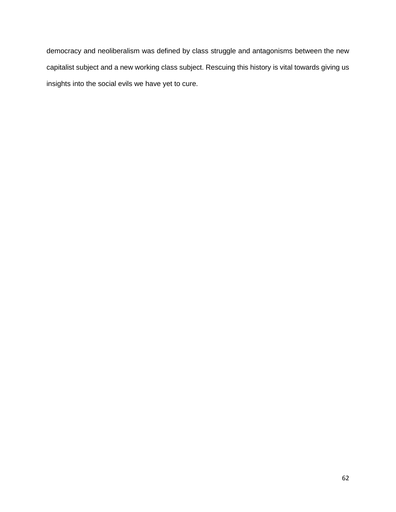democracy and neoliberalism was defined by class struggle and antagonisms between the new capitalist subject and a new working class subject. Rescuing this history is vital towards giving us insights into the social evils we have yet to cure.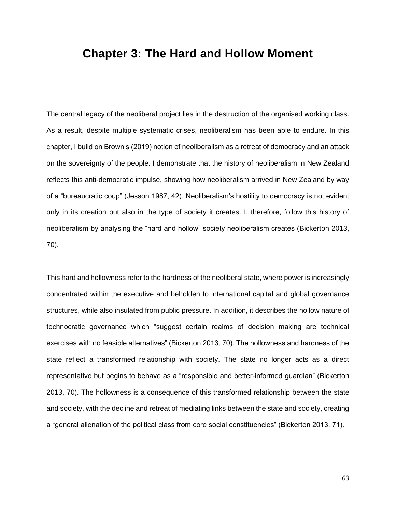# **Chapter 3: The Hard and Hollow Moment**

The central legacy of the neoliberal project lies in the destruction of the organised working class. As a result, despite multiple systematic crises, neoliberalism has been able to endure. In this chapter, I build on Brown's (2019) notion of neoliberalism as a retreat of democracy and an attack on the sovereignty of the people. I demonstrate that the history of neoliberalism in New Zealand reflects this anti-democratic impulse, showing how neoliberalism arrived in New Zealand by way of a "bureaucratic coup" (Jesson 1987, 42). Neoliberalism's hostility to democracy is not evident only in its creation but also in the type of society it creates. I, therefore, follow this history of neoliberalism by analysing the "hard and hollow" society neoliberalism creates (Bickerton 2013, 70).

This hard and hollowness refer to the hardness of the neoliberal state, where power is increasingly concentrated within the executive and beholden to international capital and global governance structures, while also insulated from public pressure. In addition, it describes the hollow nature of technocratic governance which "suggest certain realms of decision making are technical exercises with no feasible alternatives" (Bickerton 2013, 70). The hollowness and hardness of the state reflect a transformed relationship with society. The state no longer acts as a direct representative but begins to behave as a "responsible and better-informed guardian" (Bickerton 2013, 70). The hollowness is a consequence of this transformed relationship between the state and society, with the decline and retreat of mediating links between the state and society, creating a "general alienation of the political class from core social constituencies" (Bickerton 2013, 71).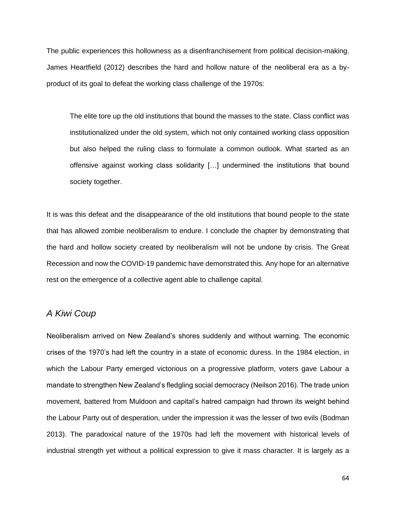The public experiences this hollowness as a disenfranchisement from political decision-making. James Heartfield (2012) describes the hard and hollow nature of the neoliberal era as a byproduct of its goal to defeat the working class challenge of the 1970s:

The elite tore up the old institutions that bound the masses to the state. Class conflict was institutionalized under the old system, which not only contained working class opposition but also helped the ruling class to formulate a common outlook. What started as an offensive against working class solidarity […] undermined the institutions that bound society together.

It is was this defeat and the disappearance of the old institutions that bound people to the state that has allowed zombie neoliberalism to endure. I conclude the chapter by demonstrating that the hard and hollow society created by neoliberalism will not be undone by crisis. The Great Recession and now the COVID-19 pandemic have demonstrated this. Any hope for an alternative rest on the emergence of a collective agent able to challenge capital.

### *A Kiwi Coup*

Neoliberalism arrived on New Zealand's shores suddenly and without warning. The economic crises of the 1970's had left the country in a state of economic duress. In the 1984 election, in which the Labour Party emerged victorious on a progressive platform, voters gave Labour a mandate to strengthen New Zealand's fledgling social democracy (Neilson 2016). The trade union movement, battered from Muldoon and capital's hatred campaign had thrown its weight behind the Labour Party out of desperation, under the impression it was the lesser of two evils (Bodman 2013). The paradoxical nature of the 1970s had left the movement with historical levels of industrial strength yet without a political expression to give it mass character. It is largely as a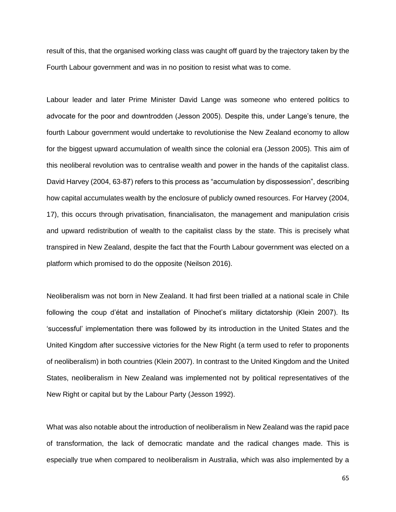result of this, that the organised working class was caught off guard by the trajectory taken by the Fourth Labour government and was in no position to resist what was to come.

Labour leader and later Prime Minister David Lange was someone who entered politics to advocate for the poor and downtrodden (Jesson 2005). Despite this, under Lange's tenure, the fourth Labour government would undertake to revolutionise the New Zealand economy to allow for the biggest upward accumulation of wealth since the colonial era (Jesson 2005). This aim of this neoliberal revolution was to centralise wealth and power in the hands of the capitalist class. David Harvey (2004, 63-87) refers to this process as "accumulation by dispossession", describing how capital accumulates wealth by the enclosure of publicly owned resources. For Harvey (2004, 17), this occurs through privatisation, financialisaton, the management and manipulation crisis and upward redistribution of wealth to the capitalist class by the state. This is precisely what transpired in New Zealand, despite the fact that the Fourth Labour government was elected on a platform which promised to do the opposite (Neilson 2016).

Neoliberalism was not born in New Zealand. It had first been trialled at a national scale in Chile following the coup d'état and installation of Pinochet's military dictatorship (Klein 2007). Its 'successful' implementation there was followed by its introduction in the United States and the United Kingdom after successive victories for the New Right (a term used to refer to proponents of neoliberalism) in both countries (Klein 2007). In contrast to the United Kingdom and the United States, neoliberalism in New Zealand was implemented not by political representatives of the New Right or capital but by the Labour Party (Jesson 1992).

What was also notable about the introduction of neoliberalism in New Zealand was the rapid pace of transformation, the lack of democratic mandate and the radical changes made. This is especially true when compared to neoliberalism in Australia, which was also implemented by a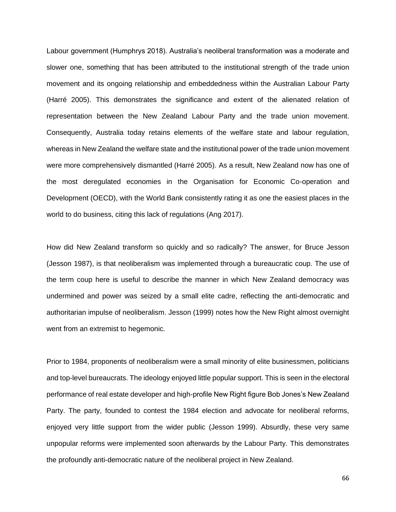Labour government (Humphrys 2018). Australia's neoliberal transformation was a moderate and slower one, something that has been attributed to the institutional strength of the trade union movement and its ongoing relationship and embeddedness within the Australian Labour Party (Harré 2005). This demonstrates the significance and extent of the alienated relation of representation between the New Zealand Labour Party and the trade union movement. Consequently, Australia today retains elements of the welfare state and labour regulation, whereas in New Zealand the welfare state and the institutional power of the trade union movement were more comprehensively dismantled (Harré 2005). As a result, New Zealand now has one of the most deregulated economies in the Organisation for Economic Co-operation and Development (OECD), with the World Bank consistently rating it as one the easiest places in the world to do business, citing this lack of regulations (Ang 2017).

How did New Zealand transform so quickly and so radically? The answer, for Bruce Jesson (Jesson 1987), is that neoliberalism was implemented through a bureaucratic coup. The use of the term coup here is useful to describe the manner in which New Zealand democracy was undermined and power was seized by a small elite cadre, reflecting the anti-democratic and authoritarian impulse of neoliberalism. Jesson (1999) notes how the New Right almost overnight went from an extremist to hegemonic.

Prior to 1984, proponents of neoliberalism were a small minority of elite businessmen, politicians and top-level bureaucrats. The ideology enjoyed little popular support. This is seen in the electoral performance of real estate developer and high-profile New Right figure Bob Jones's New Zealand Party. The party, founded to contest the 1984 election and advocate for neoliberal reforms, enjoyed very little support from the wider public (Jesson 1999). Absurdly, these very same unpopular reforms were implemented soon afterwards by the Labour Party. This demonstrates the profoundly anti-democratic nature of the neoliberal project in New Zealand.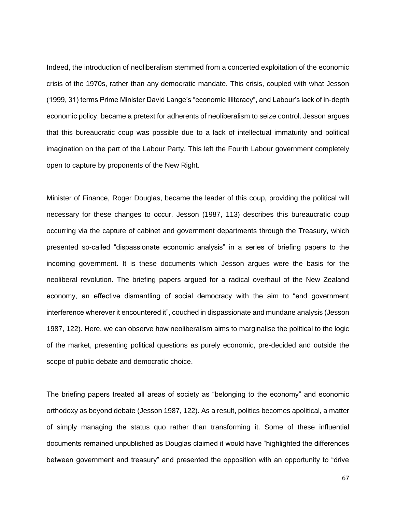Indeed, the introduction of neoliberalism stemmed from a concerted exploitation of the economic crisis of the 1970s, rather than any democratic mandate. This crisis, coupled with what Jesson (1999, 31) terms Prime Minister David Lange's "economic illiteracy", and Labour's lack of in-depth economic policy, became a pretext for adherents of neoliberalism to seize control. Jesson argues that this bureaucratic coup was possible due to a lack of intellectual immaturity and political imagination on the part of the Labour Party. This left the Fourth Labour government completely open to capture by proponents of the New Right.

Minister of Finance, Roger Douglas, became the leader of this coup, providing the political will necessary for these changes to occur. Jesson (1987, 113) describes this bureaucratic coup occurring via the capture of cabinet and government departments through the Treasury, which presented so-called "dispassionate economic analysis" in a series of briefing papers to the incoming government. It is these documents which Jesson argues were the basis for the neoliberal revolution. The briefing papers argued for a radical overhaul of the New Zealand economy, an effective dismantling of social democracy with the aim to "end government interference wherever it encountered it", couched in dispassionate and mundane analysis (Jesson 1987, 122). Here, we can observe how neoliberalism aims to marginalise the political to the logic of the market, presenting political questions as purely economic, pre-decided and outside the scope of public debate and democratic choice.

The briefing papers treated all areas of society as "belonging to the economy" and economic orthodoxy as beyond debate (Jesson 1987, 122). As a result, politics becomes apolitical, a matter of simply managing the status quo rather than transforming it. Some of these influential documents remained unpublished as Douglas claimed it would have "highlighted the differences between government and treasury" and presented the opposition with an opportunity to "drive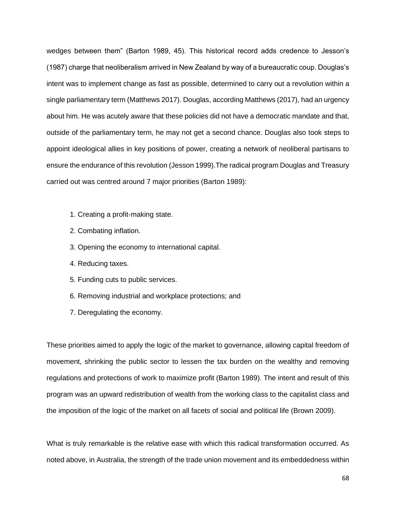wedges between them" (Barton 1989, 45). This historical record adds credence to Jesson's (1987) charge that neoliberalism arrived in New Zealand by way of a bureaucratic coup. Douglas's intent was to implement change as fast as possible, determined to carry out a revolution within a single parliamentary term (Matthews 2017). Douglas, according Matthews (2017), had an urgency about him. He was acutely aware that these policies did not have a democratic mandate and that, outside of the parliamentary term, he may not get a second chance. Douglas also took steps to appoint ideological allies in key positions of power, creating a network of neoliberal partisans to ensure the endurance of this revolution (Jesson 1999).The radical program Douglas and Treasury carried out was centred around 7 major priorities (Barton 1989):

- 1. Creating a profit-making state.
- 2. Combating inflation.
- 3. Opening the economy to international capital.
- 4. Reducing taxes.
- 5. Funding cuts to public services.
- 6. Removing industrial and workplace protections; and
- 7. Deregulating the economy.

These priorities aimed to apply the logic of the market to governance, allowing capital freedom of movement, shrinking the public sector to lessen the tax burden on the wealthy and removing regulations and protections of work to maximize profit (Barton 1989). The intent and result of this program was an upward redistribution of wealth from the working class to the capitalist class and the imposition of the logic of the market on all facets of social and political life (Brown 2009).

What is truly remarkable is the relative ease with which this radical transformation occurred. As noted above, in Australia, the strength of the trade union movement and its embeddedness within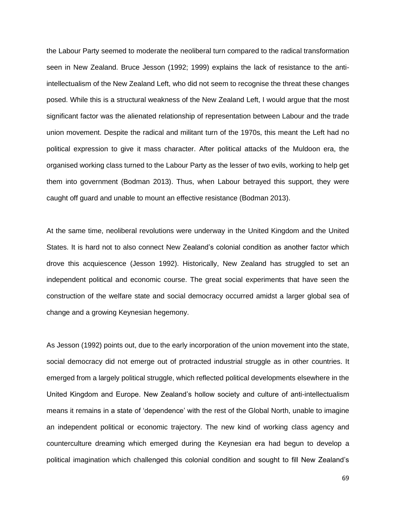the Labour Party seemed to moderate the neoliberal turn compared to the radical transformation seen in New Zealand. Bruce Jesson (1992; 1999) explains the lack of resistance to the antiintellectualism of the New Zealand Left, who did not seem to recognise the threat these changes posed. While this is a structural weakness of the New Zealand Left, I would argue that the most significant factor was the alienated relationship of representation between Labour and the trade union movement. Despite the radical and militant turn of the 1970s, this meant the Left had no political expression to give it mass character. After political attacks of the Muldoon era, the organised working class turned to the Labour Party as the lesser of two evils, working to help get them into government (Bodman 2013). Thus, when Labour betrayed this support, they were caught off guard and unable to mount an effective resistance (Bodman 2013).

At the same time, neoliberal revolutions were underway in the United Kingdom and the United States. It is hard not to also connect New Zealand's colonial condition as another factor which drove this acquiescence (Jesson 1992). Historically, New Zealand has struggled to set an independent political and economic course. The great social experiments that have seen the construction of the welfare state and social democracy occurred amidst a larger global sea of change and a growing Keynesian hegemony.

As Jesson (1992) points out, due to the early incorporation of the union movement into the state, social democracy did not emerge out of protracted industrial struggle as in other countries. It emerged from a largely political struggle, which reflected political developments elsewhere in the United Kingdom and Europe. New Zealand's hollow society and culture of anti-intellectualism means it remains in a state of 'dependence' with the rest of the Global North, unable to imagine an independent political or economic trajectory. The new kind of working class agency and counterculture dreaming which emerged during the Keynesian era had begun to develop a political imagination which challenged this colonial condition and sought to fill New Zealand's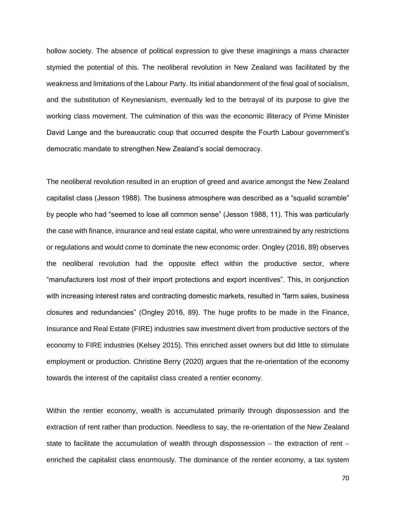hollow society. The absence of political expression to give these imaginings a mass character stymied the potential of this. The neoliberal revolution in New Zealand was facilitated by the weakness and limitations of the Labour Party. Its initial abandonment of the final goal of socialism, and the substitution of Keynesianism, eventually led to the betrayal of its purpose to give the working class movement. The culmination of this was the economic illiteracy of Prime Minister David Lange and the bureaucratic coup that occurred despite the Fourth Labour government's democratic mandate to strengthen New Zealand's social democracy.

The neoliberal revolution resulted in an eruption of greed and avarice amongst the New Zealand capitalist class (Jesson 1988). The business atmosphere was described as a "squalid scramble" by people who had "seemed to lose all common sense" (Jesson 1988, 11). This was particularly the case with finance, insurance and real estate capital, who were unrestrained by any restrictions or regulations and would come to dominate the new economic order. Ongley (2016, 89) observes the neoliberal revolution had the opposite effect within the productive sector, where "manufacturers lost most of their import protections and export incentives". This, in conjunction with increasing interest rates and contracting domestic markets, resulted in "farm sales, business closures and redundancies" (Ongley 2016, 89). The huge profits to be made in the Finance, Insurance and Real Estate (FIRE) industries saw investment divert from productive sectors of the economy to FIRE industries (Kelsey 2015). This enriched asset owners but did little to stimulate employment or production. Christine Berry (2020) argues that the re-orientation of the economy towards the interest of the capitalist class created a rentier economy.

Within the rentier economy, wealth is accumulated primarily through dispossession and the extraction of rent rather than production. Needless to say, the re-orientation of the New Zealand state to facilitate the accumulation of wealth through dispossession – the extraction of rent – enriched the capitalist class enormously. The dominance of the rentier economy, a tax system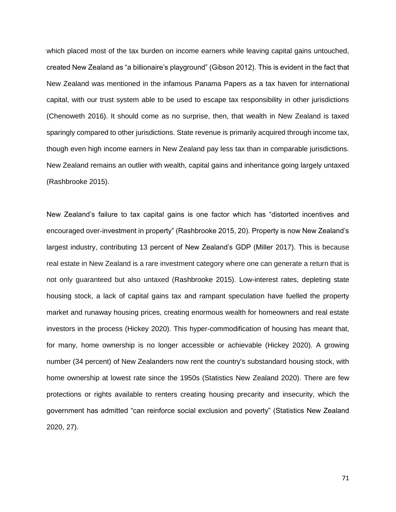which placed most of the tax burden on income earners while leaving capital gains untouched, created New Zealand as "a billionaire's playground" (Gibson 2012). This is evident in the fact that New Zealand was mentioned in the infamous Panama Papers as a tax haven for international capital, with our trust system able to be used to escape tax responsibility in other jurisdictions (Chenoweth 2016). It should come as no surprise, then, that wealth in New Zealand is taxed sparingly compared to other jurisdictions. State revenue is primarily acquired through income tax, though even high income earners in New Zealand pay less tax than in comparable jurisdictions. New Zealand remains an outlier with wealth, capital gains and inheritance going largely untaxed (Rashbrooke 2015).

New Zealand's failure to tax capital gains is one factor which has "distorted incentives and encouraged over-investment in property" (Rashbrooke 2015, 20). Property is now New Zealand's largest industry, contributing 13 percent of New Zealand's GDP (Miller 2017). This is because real estate in New Zealand is a rare investment category where one can generate a return that is not only guaranteed but also untaxed (Rashbrooke 2015). Low-interest rates, depleting state housing stock, a lack of capital gains tax and rampant speculation have fuelled the property market and runaway housing prices, creating enormous wealth for homeowners and real estate investors in the process (Hickey 2020). This hyper-commodification of housing has meant that, for many, home ownership is no longer accessible or achievable (Hickey 2020). A growing number (34 percent) of New Zealanders now rent the country's substandard housing stock, with home ownership at lowest rate since the 1950s (Statistics New Zealand 2020). There are few protections or rights available to renters creating housing precarity and insecurity, which the government has admitted "can reinforce social exclusion and poverty" (Statistics New Zealand 2020, 27).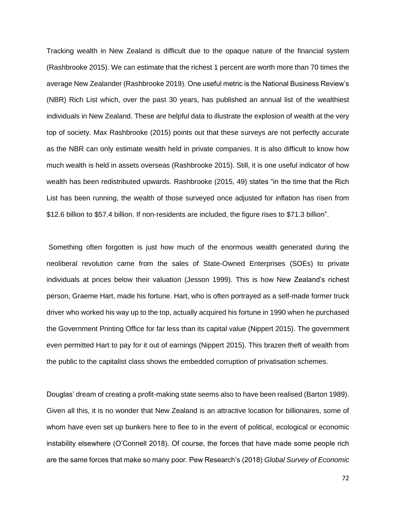Tracking wealth in New Zealand is difficult due to the opaque nature of the financial system (Rashbrooke 2015). We can estimate that the richest 1 percent are worth more than 70 times the average New Zealander (Rashbrooke 2019). One useful metric is the National Business Review's (NBR) Rich List which, over the past 30 years, has published an annual list of the wealthiest individuals in New Zealand. These are helpful data to illustrate the explosion of wealth at the very top of society. Max Rashbrooke (2015) points out that these surveys are not perfectly accurate as the NBR can only estimate wealth held in private companies. It is also difficult to know how much wealth is held in assets overseas (Rashbrooke 2015). Still, it is one useful indicator of how wealth has been redistributed upwards. Rashbrooke (2015, 49) states "in the time that the Rich List has been running, the wealth of those surveyed once adjusted for inflation has risen from \$12.6 billion to \$57.4 billion. If non-residents are included, the figure rises to \$71.3 billion".

Something often forgotten is just how much of the enormous wealth generated during the neoliberal revolution came from the sales of State-Owned Enterprises (SOEs) to private individuals at prices below their valuation (Jesson 1999). This is how New Zealand's richest person, Graeme Hart, made his fortune. Hart, who is often portrayed as a self-made former truck driver who worked his way up to the top, actually acquired his fortune in 1990 when he purchased the Government Printing Office for far less than its capital value (Nippert 2015). The government even permitted Hart to pay for it out of earnings (Nippert 2015). This brazen theft of wealth from the public to the capitalist class shows the embedded corruption of privatisation schemes.

Douglas' dream of creating a profit-making state seems also to have been realised (Barton 1989). Given all this, it is no wonder that New Zealand is an attractive location for billionaires, some of whom have even set up bunkers here to flee to in the event of political, ecological or economic instability elsewhere (O'Connell 2018). Of course, the forces that have made some people rich are the same forces that make so many poor. Pew Research's (2018) *Global Survey of Economic*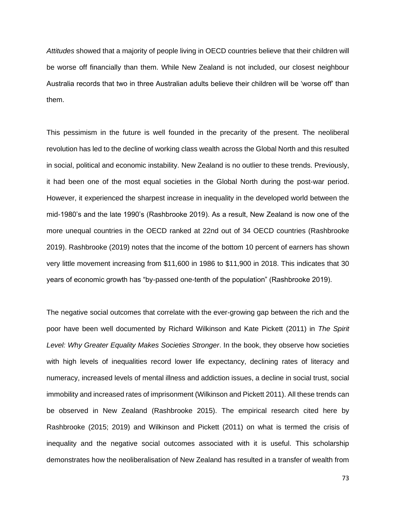*Attitudes* showed that a majority of people living in OECD countries believe that their children will be worse off financially than them. While New Zealand is not included, our closest neighbour Australia records that two in three Australian adults believe their children will be 'worse off' than them.

This pessimism in the future is well founded in the precarity of the present. The neoliberal revolution has led to the decline of working class wealth across the Global North and this resulted in social, political and economic instability. New Zealand is no outlier to these trends. Previously, it had been one of the most equal societies in the Global North during the post-war period. However, it experienced the sharpest increase in inequality in the developed world between the mid-1980's and the late 1990's (Rashbrooke 2019). As a result, New Zealand is now one of the more unequal countries in the OECD ranked at 22nd out of 34 OECD countries (Rashbrooke 2019). Rashbrooke (2019) notes that the income of the bottom 10 percent of earners has shown very little movement increasing from \$11,600 in 1986 to \$11,900 in 2018. This indicates that 30 years of economic growth has "by-passed one-tenth of the population" (Rashbrooke 2019).

The negative social outcomes that correlate with the ever-growing gap between the rich and the poor have been well documented by Richard Wilkinson and Kate Pickett (2011) in *The Spirit Level: Why Greater Equality Makes Societies Stronger*. In the book, they observe how societies with high levels of inequalities record lower life expectancy, declining rates of literacy and numeracy, increased levels of mental illness and addiction issues, a decline in social trust, social immobility and increased rates of imprisonment (Wilkinson and Pickett 2011). All these trends can be observed in New Zealand (Rashbrooke 2015). The empirical research cited here by Rashbrooke (2015; 2019) and Wilkinson and Pickett (2011) on what is termed the crisis of inequality and the negative social outcomes associated with it is useful. This scholarship demonstrates how the neoliberalisation of New Zealand has resulted in a transfer of wealth from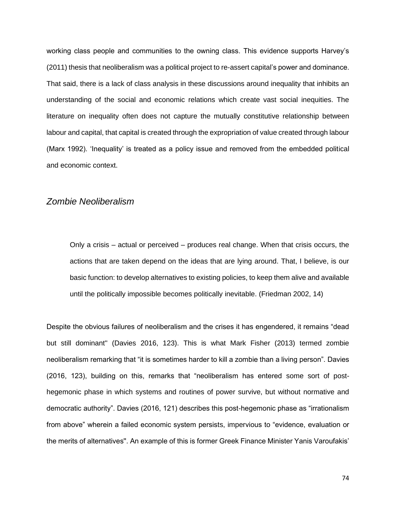working class people and communities to the owning class. This evidence supports Harvey's (2011) thesis that neoliberalism was a political project to re-assert capital's power and dominance. That said, there is a lack of class analysis in these discussions around inequality that inhibits an understanding of the social and economic relations which create vast social inequities. The literature on inequality often does not capture the mutually constitutive relationship between labour and capital, that capital is created through the expropriation of value created through labour (Marx 1992). 'Inequality' is treated as a policy issue and removed from the embedded political and economic context.

#### *Zombie Neoliberalism*

Only a crisis – actual or perceived – produces real change. When that crisis occurs, the actions that are taken depend on the ideas that are lying around. That, I believe, is our basic function: to develop alternatives to existing policies, to keep them alive and available until the politically impossible becomes politically inevitable. (Friedman 2002, 14)

Despite the obvious failures of neoliberalism and the crises it has engendered, it remains "dead but still dominant'' (Davies 2016, 123). This is what Mark Fisher (2013) termed zombie neoliberalism remarking that "it is sometimes harder to kill a zombie than a living person". Davies (2016, 123), building on this, remarks that "neoliberalism has entered some sort of posthegemonic phase in which systems and routines of power survive, but without normative and democratic authority". Davies (2016, 121) describes this post-hegemonic phase as "irrationalism from above" wherein a failed economic system persists, impervious to "evidence, evaluation or the merits of alternatives''. An example of this is former Greek Finance Minister Yanis Varoufakis'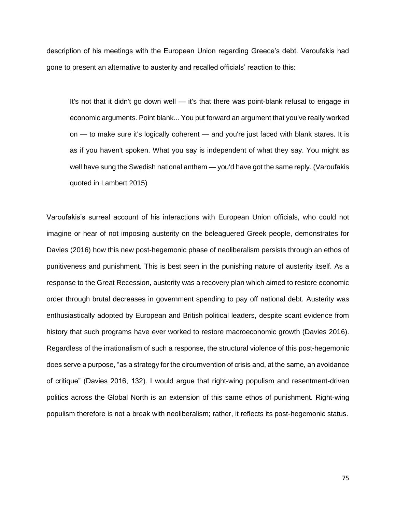description of his meetings with the European Union regarding Greece's debt. Varoufakis had gone to present an alternative to austerity and recalled officials' reaction to this:

It's not that it didn't go down well — it's that there was point-blank refusal to engage in economic arguments. Point blank... You put forward an argument that you've really worked on — to make sure it's logically coherent — and you're just faced with blank stares. It is as if you haven't spoken. What you say is independent of what they say. You might as well have sung the Swedish national anthem — you'd have got the same reply. (Varoufakis quoted in Lambert 2015)

Varoufakis's surreal account of his interactions with European Union officials, who could not imagine or hear of not imposing austerity on the beleaguered Greek people, demonstrates for Davies (2016) how this new post-hegemonic phase of neoliberalism persists through an ethos of punitiveness and punishment. This is best seen in the punishing nature of austerity itself. As a response to the Great Recession, austerity was a recovery plan which aimed to restore economic order through brutal decreases in government spending to pay off national debt. Austerity was enthusiastically adopted by European and British political leaders, despite scant evidence from history that such programs have ever worked to restore macroeconomic growth (Davies 2016). Regardless of the irrationalism of such a response, the structural violence of this post-hegemonic does serve a purpose, "as a strategy for the circumvention of crisis and, at the same, an avoidance of critique" (Davies 2016, 132). I would argue that right-wing populism and resentment-driven politics across the Global North is an extension of this same ethos of punishment. Right-wing populism therefore is not a break with neoliberalism; rather, it reflects its post-hegemonic status.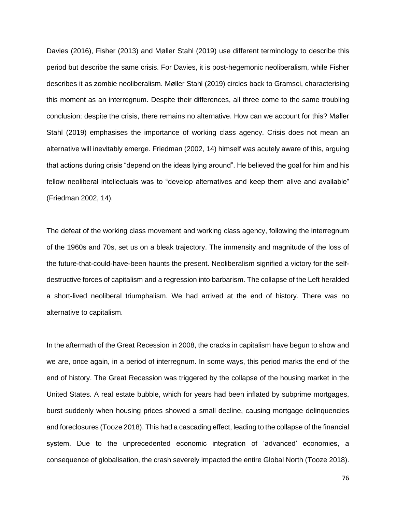Davies (2016), Fisher (2013) and Møller Stahl (2019) use different terminology to describe this period but describe the same crisis. For Davies, it is post-hegemonic neoliberalism, while Fisher describes it as zombie neoliberalism. Møller Stahl (2019) circles back to Gramsci, characterising this moment as an interregnum. Despite their differences, all three come to the same troubling conclusion: despite the crisis, there remains no alternative. How can we account for this? Møller Stahl (2019) emphasises the importance of working class agency. Crisis does not mean an alternative will inevitably emerge. Friedman (2002, 14) himself was acutely aware of this, arguing that actions during crisis "depend on the ideas lying around". He believed the goal for him and his fellow neoliberal intellectuals was to "develop alternatives and keep them alive and available" (Friedman 2002, 14).

The defeat of the working class movement and working class agency, following the interregnum of the 1960s and 70s, set us on a bleak trajectory. The immensity and magnitude of the loss of the future-that-could-have-been haunts the present. Neoliberalism signified a victory for the selfdestructive forces of capitalism and a regression into barbarism. The collapse of the Left heralded a short-lived neoliberal triumphalism. We had arrived at the end of history. There was no alternative to capitalism.

In the aftermath of the Great Recession in 2008, the cracks in capitalism have begun to show and we are, once again, in a period of interregnum. In some ways, this period marks the end of the end of history. The Great Recession was triggered by the collapse of the housing market in the United States. A real estate bubble, which for years had been inflated by subprime mortgages, burst suddenly when housing prices showed a small decline, causing mortgage delinquencies and foreclosures (Tooze 2018). This had a cascading effect, leading to the collapse of the financial system. Due to the unprecedented economic integration of 'advanced' economies, a consequence of globalisation, the crash severely impacted the entire Global North (Tooze 2018).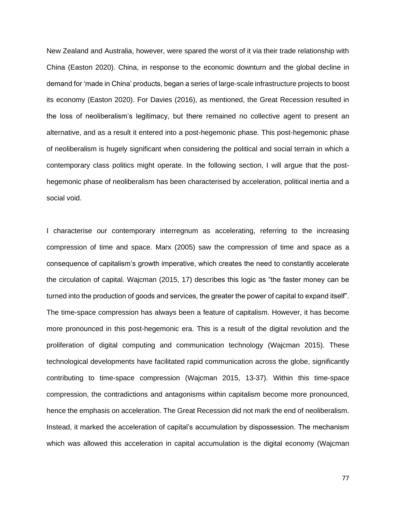New Zealand and Australia, however, were spared the worst of it via their trade relationship with China (Easton 2020). China, in response to the economic downturn and the global decline in demand for 'made in China' products, began a series of large-scale infrastructure projects to boost its economy (Easton 2020). For Davies (2016), as mentioned, the Great Recession resulted in the loss of neoliberalism's legitimacy, but there remained no collective agent to present an alternative, and as a result it entered into a post-hegemonic phase. This post-hegemonic phase of neoliberalism is hugely significant when considering the political and social terrain in which a contemporary class politics might operate. In the following section, I will argue that the posthegemonic phase of neoliberalism has been characterised by acceleration, political inertia and a social void.

I characterise our contemporary interregnum as accelerating, referring to the increasing compression of time and space. Marx (2005) saw the compression of time and space as a consequence of capitalism's growth imperative, which creates the need to constantly accelerate the circulation of capital. Wajcman (2015, 17) describes this logic as "the faster money can be turned into the production of goods and services, the greater the power of capital to expand itself". The time-space compression has always been a feature of capitalism. However, it has become more pronounced in this post-hegemonic era. This is a result of the digital revolution and the proliferation of digital computing and communication technology (Wajcman 2015). These technological developments have facilitated rapid communication across the globe, significantly contributing to time-space compression (Wajcman 2015, 13-37). Within this time-space compression, the contradictions and antagonisms within capitalism become more pronounced, hence the emphasis on acceleration. The Great Recession did not mark the end of neoliberalism. Instead, it marked the acceleration of capital's accumulation by dispossession. The mechanism which was allowed this acceleration in capital accumulation is the digital economy (Wajcman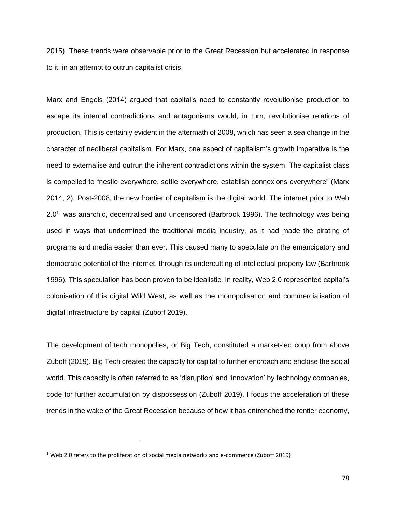2015). These trends were observable prior to the Great Recession but accelerated in response to it, in an attempt to outrun capitalist crisis.

Marx and Engels (2014) argued that capital's need to constantly revolutionise production to escape its internal contradictions and antagonisms would, in turn, revolutionise relations of production. This is certainly evident in the aftermath of 2008, which has seen a sea change in the character of neoliberal capitalism. For Marx, one aspect of capitalism's growth imperative is the need to externalise and outrun the inherent contradictions within the system. The capitalist class is compelled to "nestle everywhere, settle everywhere, establish connexions everywhere" (Marx 2014, 2). Post-2008, the new frontier of capitalism is the digital world. The internet prior to Web  $2.0<sup>1</sup>$  was anarchic, decentralised and uncensored (Barbrook 1996). The technology was being used in ways that undermined the traditional media industry, as it had made the pirating of programs and media easier than ever. This caused many to speculate on the emancipatory and democratic potential of the internet, through its undercutting of intellectual property law (Barbrook 1996). This speculation has been proven to be idealistic. In reality, Web 2.0 represented capital's colonisation of this digital Wild West, as well as the monopolisation and commercialisation of digital infrastructure by capital (Zuboff 2019).

The development of tech monopolies, or Big Tech, constituted a market-led coup from above Zuboff (2019). Big Tech created the capacity for capital to further encroach and enclose the social world. This capacity is often referred to as 'disruption' and 'innovation' by technology companies, code for further accumulation by dispossession (Zuboff 2019). I focus the acceleration of these trends in the wake of the Great Recession because of how it has entrenched the rentier economy,

 $1$  Web 2.0 refers to the proliferation of social media networks and e-commerce (Zuboff 2019)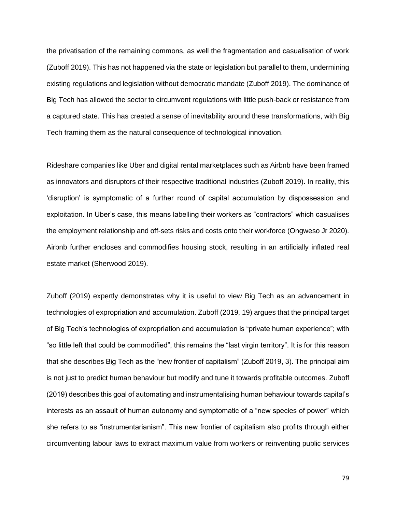the privatisation of the remaining commons, as well the fragmentation and casualisation of work (Zuboff 2019). This has not happened via the state or legislation but parallel to them, undermining existing regulations and legislation without democratic mandate (Zuboff 2019). The dominance of Big Tech has allowed the sector to circumvent regulations with little push-back or resistance from a captured state. This has created a sense of inevitability around these transformations, with Big Tech framing them as the natural consequence of technological innovation.

Rideshare companies like Uber and digital rental marketplaces such as Airbnb have been framed as innovators and disruptors of their respective traditional industries (Zuboff 2019). In reality, this 'disruption' is symptomatic of a further round of capital accumulation by dispossession and exploitation. In Uber's case, this means labelling their workers as "contractors" which casualises the employment relationship and off-sets risks and costs onto their workforce (Ongweso Jr 2020). Airbnb further encloses and commodifies housing stock, resulting in an artificially inflated real estate market (Sherwood 2019).

Zuboff (2019) expertly demonstrates why it is useful to view Big Tech as an advancement in technologies of expropriation and accumulation. Zuboff (2019, 19) argues that the principal target of Big Tech's technologies of expropriation and accumulation is "private human experience"; with "so little left that could be commodified", this remains the "last virgin territory". It is for this reason that she describes Big Tech as the "new frontier of capitalism" (Zuboff 2019, 3). The principal aim is not just to predict human behaviour but modify and tune it towards profitable outcomes. Zuboff (2019) describes this goal of automating and instrumentalising human behaviour towards capital's interests as an assault of human autonomy and symptomatic of a "new species of power" which she refers to as "instrumentarianism". This new frontier of capitalism also profits through either circumventing labour laws to extract maximum value from workers or reinventing public services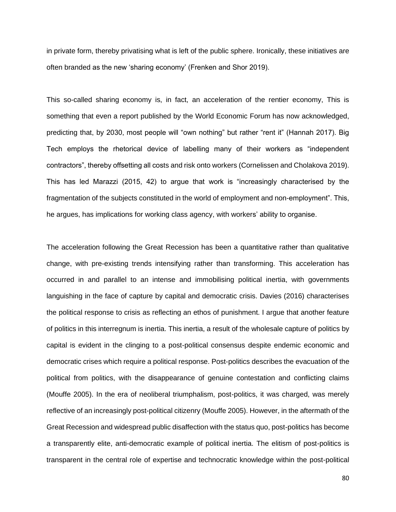in private form, thereby privatising what is left of the public sphere. Ironically, these initiatives are often branded as the new 'sharing economy' (Frenken and Shor 2019).

This so-called sharing economy is, in fact, an acceleration of the rentier economy, This is something that even a report published by the World Economic Forum has now acknowledged, predicting that, by 2030, most people will "own nothing" but rather "rent it" (Hannah 2017). Big Tech employs the rhetorical device of labelling many of their workers as "independent contractors", thereby offsetting all costs and risk onto workers (Cornelissen and Cholakova 2019). This has led Marazzi (2015, 42) to argue that work is "increasingly characterised by the fragmentation of the subjects constituted in the world of employment and non-employment". This, he argues, has implications for working class agency, with workers' ability to organise.

The acceleration following the Great Recession has been a quantitative rather than qualitative change, with pre-existing trends intensifying rather than transforming. This acceleration has occurred in and parallel to an intense and immobilising political inertia, with governments languishing in the face of capture by capital and democratic crisis. Davies (2016) characterises the political response to crisis as reflecting an ethos of punishment. I argue that another feature of politics in this interregnum is inertia. This inertia, a result of the wholesale capture of politics by capital is evident in the clinging to a post-political consensus despite endemic economic and democratic crises which require a political response. Post-politics describes the evacuation of the political from politics, with the disappearance of genuine contestation and conflicting claims (Mouffe 2005). In the era of neoliberal triumphalism, post-politics, it was charged, was merely reflective of an increasingly post-political citizenry (Mouffe 2005). However, in the aftermath of the Great Recession and widespread public disaffection with the status quo, post-politics has become a transparently elite, anti-democratic example of political inertia. The elitism of post-politics is transparent in the central role of expertise and technocratic knowledge within the post-political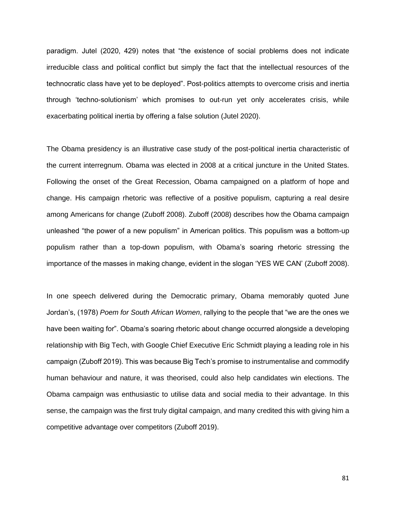paradigm. Jutel (2020, 429) notes that "the existence of social problems does not indicate irreducible class and political conflict but simply the fact that the intellectual resources of the technocratic class have yet to be deployed". Post-politics attempts to overcome crisis and inertia through 'techno-solutionism' which promises to out-run yet only accelerates crisis, while exacerbating political inertia by offering a false solution (Jutel 2020).

The Obama presidency is an illustrative case study of the post-political inertia characteristic of the current interregnum. Obama was elected in 2008 at a critical juncture in the United States. Following the onset of the Great Recession, Obama campaigned on a platform of hope and change. His campaign rhetoric was reflective of a positive populism, capturing a real desire among Americans for change (Zuboff 2008). Zuboff (2008) describes how the Obama campaign unleashed "the power of a new populism" in American politics. This populism was a bottom-up populism rather than a top-down populism, with Obama's soaring rhetoric stressing the importance of the masses in making change, evident in the slogan 'YES WE CAN' (Zuboff 2008).

In one speech delivered during the Democratic primary, Obama memorably quoted June Jordan's, (1978) *Poem for South African Women*, rallying to the people that "we are the ones we have been waiting for". Obama's soaring rhetoric about change occurred alongside a developing relationship with Big Tech, with Google Chief Executive Eric Schmidt playing a leading role in his campaign (Zuboff 2019). This was because Big Tech's promise to instrumentalise and commodify human behaviour and nature, it was theorised, could also help candidates win elections. The Obama campaign was enthusiastic to utilise data and social media to their advantage. In this sense, the campaign was the first truly digital campaign, and many credited this with giving him a competitive advantage over competitors (Zuboff 2019).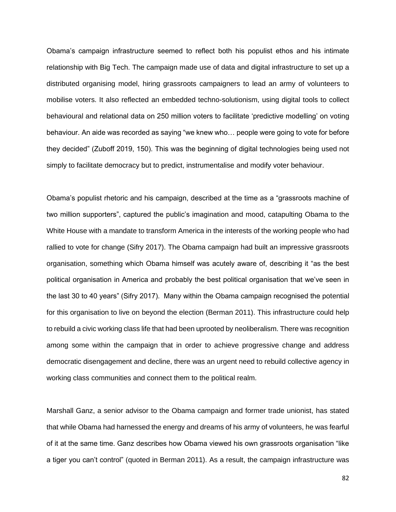Obama's campaign infrastructure seemed to reflect both his populist ethos and his intimate relationship with Big Tech. The campaign made use of data and digital infrastructure to set up a distributed organising model, hiring grassroots campaigners to lead an army of volunteers to mobilise voters. It also reflected an embedded techno-solutionism, using digital tools to collect behavioural and relational data on 250 million voters to facilitate 'predictive modelling' on voting behaviour. An aide was recorded as saying "we knew who… people were going to vote for before they decided" (Zuboff 2019, 150). This was the beginning of digital technologies being used not simply to facilitate democracy but to predict, instrumentalise and modify voter behaviour.

Obama's populist rhetoric and his campaign, described at the time as a "grassroots machine of two million supporters", captured the public's imagination and mood, catapulting Obama to the White House with a mandate to transform America in the interests of the working people who had rallied to vote for change (Sifry 2017). The Obama campaign had built an impressive grassroots organisation, something which Obama himself was acutely aware of, describing it "as the best political organisation in America and probably the best political organisation that we've seen in the last 30 to 40 years" (Sifry 2017). Many within the Obama campaign recognised the potential for this organisation to live on beyond the election (Berman 2011). This infrastructure could help to rebuild a civic working class life that had been uprooted by neoliberalism. There was recognition among some within the campaign that in order to achieve progressive change and address democratic disengagement and decline, there was an urgent need to rebuild collective agency in working class communities and connect them to the political realm.

Marshall Ganz, a senior advisor to the Obama campaign and former trade unionist, has stated that while Obama had harnessed the energy and dreams of his army of volunteers, he was fearful of it at the same time. Ganz describes how Obama viewed his own grassroots organisation "like a tiger you can't control" (quoted in Berman 2011). As a result, the campaign infrastructure was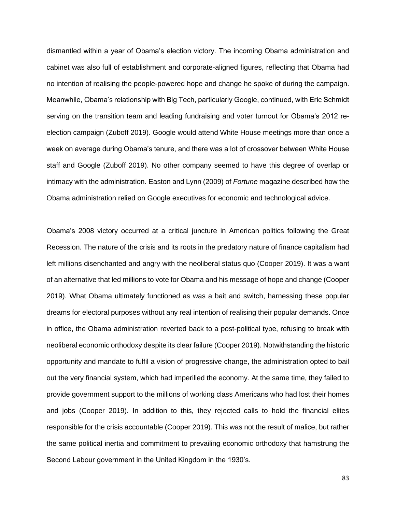dismantled within a year of Obama's election victory. The incoming Obama administration and cabinet was also full of establishment and corporate-aligned figures, reflecting that Obama had no intention of realising the people-powered hope and change he spoke of during the campaign. Meanwhile, Obama's relationship with Big Tech, particularly Google, continued, with Eric Schmidt serving on the transition team and leading fundraising and voter turnout for Obama's 2012 reelection campaign (Zuboff 2019). Google would attend White House meetings more than once a week on average during Obama's tenure, and there was a lot of crossover between White House staff and Google (Zuboff 2019). No other company seemed to have this degree of overlap or intimacy with the administration. Easton and Lynn (2009) of *Fortune* magazine described how the Obama administration relied on Google executives for economic and technological advice.

Obama's 2008 victory occurred at a critical juncture in American politics following the Great Recession. The nature of the crisis and its roots in the predatory nature of finance capitalism had left millions disenchanted and angry with the neoliberal status quo (Cooper 2019). It was a want of an alternative that led millions to vote for Obama and his message of hope and change (Cooper 2019). What Obama ultimately functioned as was a bait and switch, harnessing these popular dreams for electoral purposes without any real intention of realising their popular demands. Once in office, the Obama administration reverted back to a post-political type, refusing to break with neoliberal economic orthodoxy despite its clear failure (Cooper 2019). Notwithstanding the historic opportunity and mandate to fulfil a vision of progressive change, the administration opted to bail out the very financial system, which had imperilled the economy. At the same time, they failed to provide government support to the millions of working class Americans who had lost their homes and jobs (Cooper 2019). In addition to this, they rejected calls to hold the financial elites responsible for the crisis accountable (Cooper 2019). This was not the result of malice, but rather the same political inertia and commitment to prevailing economic orthodoxy that hamstrung the Second Labour government in the United Kingdom in the 1930's.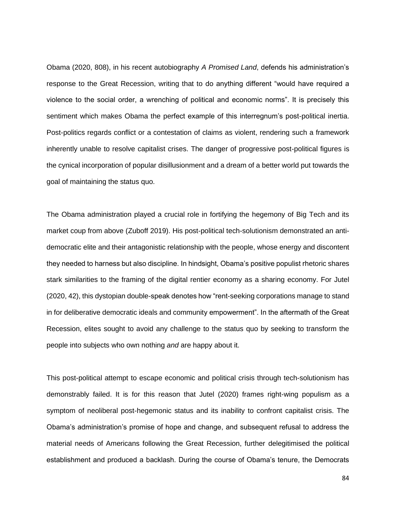Obama (2020, 808), in his recent autobiography *A Promised Land*, defends his administration's response to the Great Recession, writing that to do anything different "would have required a violence to the social order, a wrenching of political and economic norms". It is precisely this sentiment which makes Obama the perfect example of this interregnum's post-political inertia. Post-politics regards conflict or a contestation of claims as violent, rendering such a framework inherently unable to resolve capitalist crises. The danger of progressive post-political figures is the cynical incorporation of popular disillusionment and a dream of a better world put towards the goal of maintaining the status quo.

The Obama administration played a crucial role in fortifying the hegemony of Big Tech and its market coup from above (Zuboff 2019). His post-political tech-solutionism demonstrated an antidemocratic elite and their antagonistic relationship with the people, whose energy and discontent they needed to harness but also discipline. In hindsight, Obama's positive populist rhetoric shares stark similarities to the framing of the digital rentier economy as a sharing economy. For Jutel (2020, 42), this dystopian double-speak denotes how "rent-seeking corporations manage to stand in for deliberative democratic ideals and community empowerment". In the aftermath of the Great Recession, elites sought to avoid any challenge to the status quo by seeking to transform the people into subjects who own nothing *and* are happy about it.

This post-political attempt to escape economic and political crisis through tech-solutionism has demonstrably failed. It is for this reason that Jutel (2020) frames right-wing populism as a symptom of neoliberal post-hegemonic status and its inability to confront capitalist crisis. The Obama's administration's promise of hope and change, and subsequent refusal to address the material needs of Americans following the Great Recession, further delegitimised the political establishment and produced a backlash. During the course of Obama's tenure, the Democrats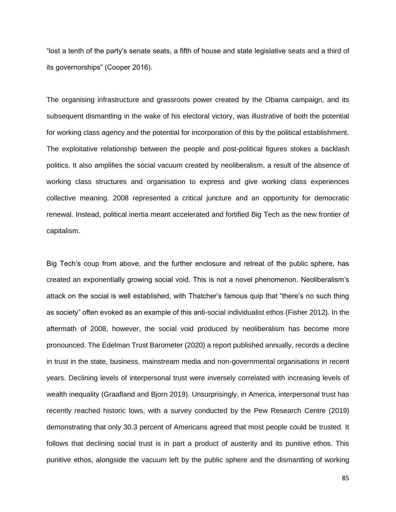"lost a tenth of the party's senate seats, a fifth of house and state legislative seats and a third of its governorships" (Cooper 2016).

The organising infrastructure and grassroots power created by the Obama campaign, and its subsequent dismantling in the wake of his electoral victory, was illustrative of both the potential for working class agency and the potential for incorporation of this by the political establishment. The exploitative relationship between the people and post-political figures stokes a backlash politics. It also amplifies the social vacuum created by neoliberalism, a result of the absence of working class structures and organisation to express and give working class experiences collective meaning. 2008 represented a critical juncture and an opportunity for democratic renewal. Instead, political inertia meant accelerated and fortified Big Tech as the new frontier of capitalism.

Big Tech's coup from above, and the further enclosure and retreat of the public sphere, has created an exponentially growing social void. This is not a novel phenomenon. Neoliberalism's attack on the social is well established, with Thatcher's famous quip that "there's no such thing as society" often evoked as an example of this anti-social individualist ethos (Fisher 2012). In the aftermath of 2008, however, the social void produced by neoliberalism has become more pronounced. The Edelman Trust Barometer (2020) a report published annually, records a decline in trust in the state, business, mainstream media and non-governmental organisations in recent years. Declining levels of interpersonal trust were inversely correlated with increasing levels of wealth inequality (Graafland and Bjorn 2019). Unsurprisingly, in America, interpersonal trust has recently reached historic lows, with a survey conducted by the Pew Research Centre (2019) demonstrating that only 30.3 percent of Americans agreed that most people could be trusted. It follows that declining social trust is in part a product of austerity and its punitive ethos. This punitive ethos, alongside the vacuum left by the public sphere and the dismantling of working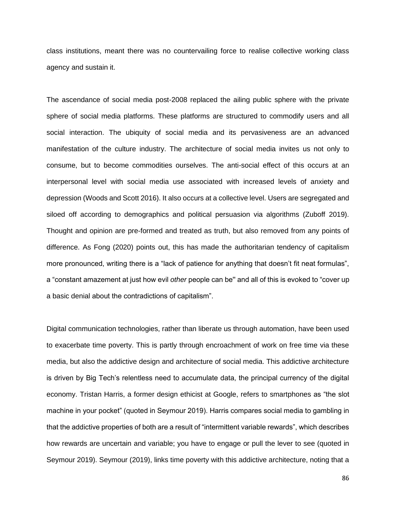class institutions, meant there was no countervailing force to realise collective working class agency and sustain it.

The ascendance of social media post-2008 replaced the ailing public sphere with the private sphere of social media platforms. These platforms are structured to commodify users and all social interaction. The ubiquity of social media and its pervasiveness are an advanced manifestation of the culture industry. The architecture of social media invites us not only to consume, but to become commodities ourselves. The anti-social effect of this occurs at an interpersonal level with social media use associated with increased levels of anxiety and depression (Woods and Scott 2016). It also occurs at a collective level. Users are segregated and siloed off according to demographics and political persuasion via algorithms (Zuboff 2019). Thought and opinion are pre-formed and treated as truth, but also removed from any points of difference. As Fong (2020) points out, this has made the authoritarian tendency of capitalism more pronounced, writing there is a "lack of patience for anything that doesn't fit neat formulas", a "constant amazement at just how evil *other* people can be'' and all of this is evoked to "cover up a basic denial about the contradictions of capitalism".

Digital communication technologies, rather than liberate us through automation, have been used to exacerbate time poverty. This is partly through encroachment of work on free time via these media, but also the addictive design and architecture of social media. This addictive architecture is driven by Big Tech's relentless need to accumulate data, the principal currency of the digital economy. Tristan Harris, a former design ethicist at Google, refers to smartphones as "the slot machine in your pocket" (quoted in Seymour 2019). Harris compares social media to gambling in that the addictive properties of both are a result of "intermittent variable rewards", which describes how rewards are uncertain and variable; you have to engage or pull the lever to see (quoted in Seymour 2019). Seymour (2019), links time poverty with this addictive architecture, noting that a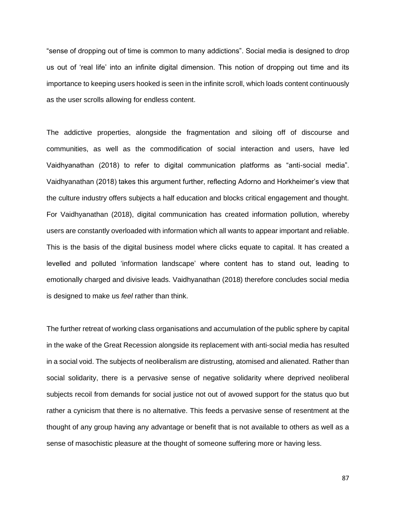"sense of dropping out of time is common to many addictions". Social media is designed to drop us out of 'real life' into an infinite digital dimension. This notion of dropping out time and its importance to keeping users hooked is seen in the infinite scroll, which loads content continuously as the user scrolls allowing for endless content.

The addictive properties, alongside the fragmentation and siloing off of discourse and communities, as well as the commodification of social interaction and users, have led Vaidhyanathan (2018) to refer to digital communication platforms as "anti-social media". Vaidhyanathan (2018) takes this argument further, reflecting Adorno and Horkheimer's view that the culture industry offers subjects a half education and blocks critical engagement and thought. For Vaidhyanathan (2018), digital communication has created information pollution, whereby users are constantly overloaded with information which all wants to appear important and reliable. This is the basis of the digital business model where clicks equate to capital. It has created a levelled and polluted 'information landscape' where content has to stand out, leading to emotionally charged and divisive leads. Vaidhyanathan (2018) therefore concludes social media is designed to make us *feel* rather than think.

The further retreat of working class organisations and accumulation of the public sphere by capital in the wake of the Great Recession alongside its replacement with anti-social media has resulted in a social void. The subjects of neoliberalism are distrusting, atomised and alienated. Rather than social solidarity, there is a pervasive sense of negative solidarity where deprived neoliberal subjects recoil from demands for social justice not out of avowed support for the status quo but rather a cynicism that there is no alternative. This feeds a pervasive sense of resentment at the thought of any group having any advantage or benefit that is not available to others as well as a sense of masochistic pleasure at the thought of someone suffering more or having less.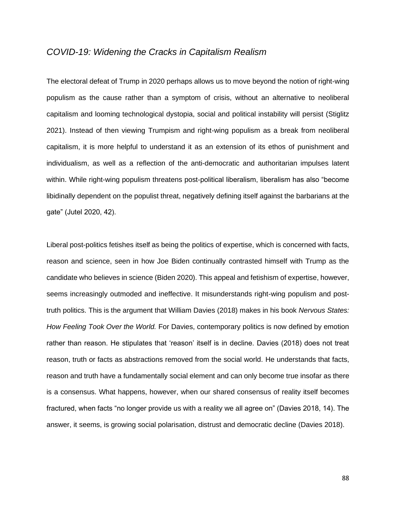# *COVID-19: Widening the Cracks in Capitalism Realism*

The electoral defeat of Trump in 2020 perhaps allows us to move beyond the notion of right-wing populism as the cause rather than a symptom of crisis, without an alternative to neoliberal capitalism and looming technological dystopia, social and political instability will persist (Stiglitz 2021). Instead of then viewing Trumpism and right-wing populism as a break from neoliberal capitalism, it is more helpful to understand it as an extension of its ethos of punishment and individualism, as well as a reflection of the anti-democratic and authoritarian impulses latent within. While right-wing populism threatens post-political liberalism, liberalism has also "become libidinally dependent on the populist threat, negatively defining itself against the barbarians at the gate" (Jutel 2020, 42).

Liberal post-politics fetishes itself as being the politics of expertise, which is concerned with facts, reason and science, seen in how Joe Biden continually contrasted himself with Trump as the candidate who believes in science (Biden 2020). This appeal and fetishism of expertise, however, seems increasingly outmoded and ineffective. It misunderstands right-wing populism and posttruth politics. This is the argument that William Davies (2018) makes in his book *Nervous States: How Feeling Took Over the World.* For Davies, contemporary politics is now defined by emotion rather than reason. He stipulates that 'reason' itself is in decline. Davies (2018) does not treat reason, truth or facts as abstractions removed from the social world. He understands that facts, reason and truth have a fundamentally social element and can only become true insofar as there is a consensus. What happens, however, when our shared consensus of reality itself becomes fractured, when facts "no longer provide us with a reality we all agree on" (Davies 2018, 14). The answer, it seems, is growing social polarisation, distrust and democratic decline (Davies 2018).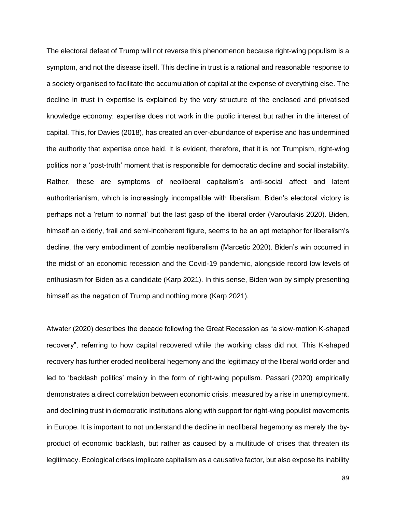The electoral defeat of Trump will not reverse this phenomenon because right-wing populism is a symptom, and not the disease itself. This decline in trust is a rational and reasonable response to a society organised to facilitate the accumulation of capital at the expense of everything else. The decline in trust in expertise is explained by the very structure of the enclosed and privatised knowledge economy: expertise does not work in the public interest but rather in the interest of capital. This, for Davies (2018), has created an over-abundance of expertise and has undermined the authority that expertise once held. It is evident, therefore, that it is not Trumpism, right-wing politics nor a 'post-truth' moment that is responsible for democratic decline and social instability. Rather, these are symptoms of neoliberal capitalism's anti-social affect and latent authoritarianism, which is increasingly incompatible with liberalism. Biden's electoral victory is perhaps not a 'return to normal' but the last gasp of the liberal order (Varoufakis 2020). Biden, himself an elderly, frail and semi-incoherent figure, seems to be an apt metaphor for liberalism's decline, the very embodiment of zombie neoliberalism (Marcetic 2020). Biden's win occurred in the midst of an economic recession and the Covid-19 pandemic, alongside record low levels of enthusiasm for Biden as a candidate (Karp 2021). In this sense, Biden won by simply presenting himself as the negation of Trump and nothing more (Karp 2021).

Atwater (2020) describes the decade following the Great Recession as "a slow-motion K-shaped recovery", referring to how capital recovered while the working class did not. This K-shaped recovery has further eroded neoliberal hegemony and the legitimacy of the liberal world order and led to 'backlash politics' mainly in the form of right-wing populism. Passari (2020) empirically demonstrates a direct correlation between economic crisis, measured by a rise in unemployment, and declining trust in democratic institutions along with support for right-wing populist movements in Europe. It is important to not understand the decline in neoliberal hegemony as merely the byproduct of economic backlash, but rather as caused by a multitude of crises that threaten its legitimacy. Ecological crises implicate capitalism as a causative factor, but also expose its inability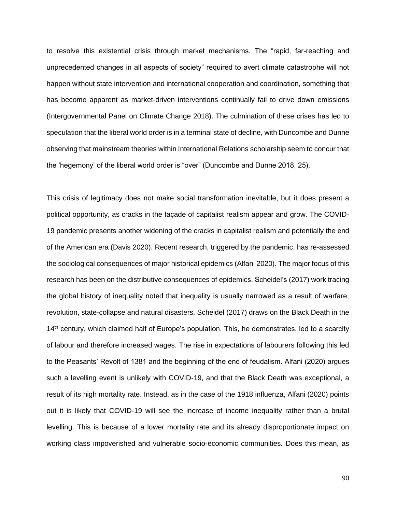to resolve this existential crisis through market mechanisms. The "rapid, far-reaching and unprecedented changes in all aspects of society" required to avert climate catastrophe will not happen without state intervention and international cooperation and coordination, something that has become apparent as market-driven interventions continually fail to drive down emissions (Intergovernmental Panel on Climate Change 2018). The culmination of these crises has led to speculation that the liberal world order is in a terminal state of decline, with Duncombe and Dunne observing that mainstream theories within International Relations scholarship seem to concur that the 'hegemony' of the liberal world order is "over" (Duncombe and Dunne 2018, 25).

This crisis of legitimacy does not make social transformation inevitable, but it does present a political opportunity, as cracks in the façade of capitalist realism appear and grow. The COVID-19 pandemic presents another widening of the cracks in capitalist realism and potentially the end of the American era (Davis 2020). Recent research, triggered by the pandemic, has re-assessed the sociological consequences of major historical epidemics (Alfani 2020). The major focus of this research has been on the distributive consequences of epidemics. Scheidel's (2017) work tracing the global history of inequality noted that inequality is usually narrowed as a result of warfare, revolution, state-collapse and natural disasters. Scheidel (2017) draws on the Black Death in the 14<sup>th</sup> century, which claimed half of Europe's population. This, he demonstrates, led to a scarcity of labour and therefore increased wages. The rise in expectations of labourers following this led to the Peasants' Revolt of 1381 and the beginning of the end of feudalism. Alfani (2020) argues such a levelling event is unlikely with COVID-19, and that the Black Death was exceptional, a result of its high mortality rate. Instead, as in the case of the 1918 influenza, Alfani (2020) points out it is likely that COVID-19 will see the increase of income inequality rather than a brutal levelling. This is because of a lower mortality rate and its already disproportionate impact on working class impoverished and vulnerable socio-economic communities. Does this mean, as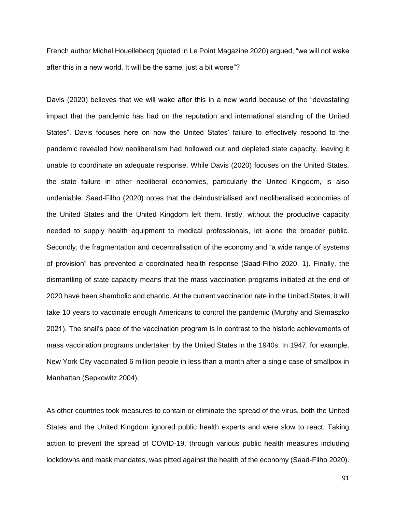French author Michel Houellebecq (quoted in Le Point Magazine 2020) argued, "we will not wake after this in a new world. It will be the same, just a bit worse"?

Davis (2020) believes that we will wake after this in a new world because of the "devastating impact that the pandemic has had on the reputation and international standing of the United States". Davis focuses here on how the United States' failure to effectively respond to the pandemic revealed how neoliberalism had hollowed out and depleted state capacity, leaving it unable to coordinate an adequate response. While Davis (2020) focuses on the United States, the state failure in other neoliberal economies, particularly the United Kingdom, is also undeniable. Saad-Filho (2020) notes that the deindustrialised and neoliberalised economies of the United States and the United Kingdom left them, firstly, without the productive capacity needed to supply health equipment to medical professionals, let alone the broader public. Secondly, the fragmentation and decentralisation of the economy and "a wide range of systems of provision" has prevented a coordinated health response (Saad-Filho 2020, 1). Finally, the dismantling of state capacity means that the mass vaccination programs initiated at the end of 2020 have been shambolic and chaotic. At the current vaccination rate in the United States, it will take 10 years to vaccinate enough Americans to control the pandemic (Murphy and Siemaszko 2021). The snail's pace of the vaccination program is in contrast to the historic achievements of mass vaccination programs undertaken by the United States in the 1940s. In 1947, for example, New York City vaccinated 6 million people in less than a month after a single case of smallpox in Manhattan (Sepkowitz 2004).

As other countries took measures to contain or eliminate the spread of the virus, both the United States and the United Kingdom ignored public health experts and were slow to react. Taking action to prevent the spread of COVID-19, through various public health measures including lockdowns and mask mandates, was pitted against the health of the economy (Saad-Filho 2020).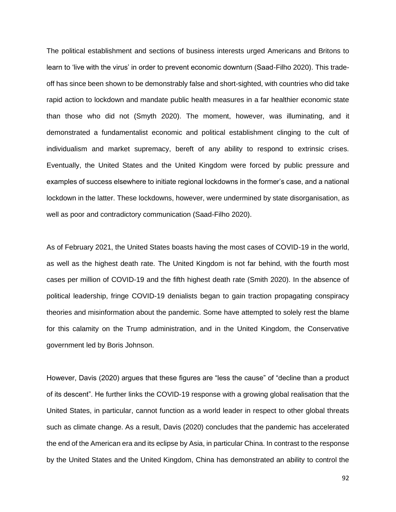The political establishment and sections of business interests urged Americans and Britons to learn to 'live with the virus' in order to prevent economic downturn (Saad-Filho 2020). This tradeoff has since been shown to be demonstrably false and short-sighted, with countries who did take rapid action to lockdown and mandate public health measures in a far healthier economic state than those who did not (Smyth 2020). The moment, however, was illuminating, and it demonstrated a fundamentalist economic and political establishment clinging to the cult of individualism and market supremacy, bereft of any ability to respond to extrinsic crises. Eventually, the United States and the United Kingdom were forced by public pressure and examples of success elsewhere to initiate regional lockdowns in the former's case, and a national lockdown in the latter. These lockdowns, however, were undermined by state disorganisation, as well as poor and contradictory communication (Saad-Filho 2020).

As of February 2021, the United States boasts having the most cases of COVID-19 in the world, as well as the highest death rate. The United Kingdom is not far behind, with the fourth most cases per million of COVID-19 and the fifth highest death rate (Smith 2020). In the absence of political leadership, fringe COVID-19 denialists began to gain traction propagating conspiracy theories and misinformation about the pandemic. Some have attempted to solely rest the blame for this calamity on the Trump administration, and in the United Kingdom, the Conservative government led by Boris Johnson.

However, Davis (2020) argues that these figures are "less the cause" of "decline than a product of its descent". He further links the COVID-19 response with a growing global realisation that the United States, in particular, cannot function as a world leader in respect to other global threats such as climate change. As a result, Davis (2020) concludes that the pandemic has accelerated the end of the American era and its eclipse by Asia, in particular China. In contrast to the response by the United States and the United Kingdom, China has demonstrated an ability to control the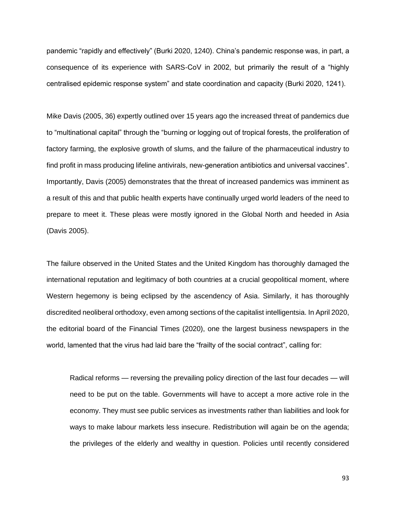pandemic "rapidly and effectively" (Burki 2020, 1240). China's pandemic response was, in part, a consequence of its experience with SARS-CoV in 2002, but primarily the result of a "highly centralised epidemic response system" and state coordination and capacity (Burki 2020, 1241).

Mike Davis (2005, 36) expertly outlined over 15 years ago the increased threat of pandemics due to "multinational capital" through the "burning or logging out of tropical forests, the proliferation of factory farming, the explosive growth of slums, and the failure of the pharmaceutical industry to find profit in mass producing lifeline antivirals, new-generation antibiotics and universal vaccines". Importantly, Davis (2005) demonstrates that the threat of increased pandemics was imminent as a result of this and that public health experts have continually urged world leaders of the need to prepare to meet it. These pleas were mostly ignored in the Global North and heeded in Asia (Davis 2005).

The failure observed in the United States and the United Kingdom has thoroughly damaged the international reputation and legitimacy of both countries at a crucial geopolitical moment, where Western hegemony is being eclipsed by the ascendency of Asia. Similarly, it has thoroughly discredited neoliberal orthodoxy, even among sections of the capitalist intelligentsia. In April 2020, the editorial board of the Financial Times (2020), one the largest business newspapers in the world, lamented that the virus had laid bare the "frailty of the social contract", calling for:

Radical reforms — reversing the prevailing policy direction of the last four decades — will need to be put on the table. Governments will have to accept a more active role in the economy. They must see public services as investments rather than liabilities and look for ways to make labour markets less insecure. Redistribution will again be on the agenda; the privileges of the elderly and wealthy in question. Policies until recently considered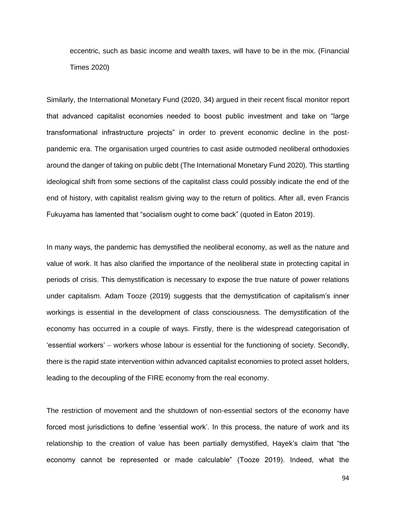eccentric, such as basic income and wealth taxes, will have to be in the mix. (Financial Times 2020)

Similarly, the International Monetary Fund (2020, 34) argued in their recent fiscal monitor report that advanced capitalist economies needed to boost public investment and take on "large transformational infrastructure projects" in order to prevent economic decline in the postpandemic era. The organisation urged countries to cast aside outmoded neoliberal orthodoxies around the danger of taking on public debt (The International Monetary Fund 2020). This startling ideological shift from some sections of the capitalist class could possibly indicate the end of the end of history, with capitalist realism giving way to the return of politics. After all, even Francis Fukuyama has lamented that "socialism ought to come back" (quoted in Eaton 2019).

In many ways, the pandemic has demystified the neoliberal economy, as well as the nature and value of work. It has also clarified the importance of the neoliberal state in protecting capital in periods of crisis. This demystification is necessary to expose the true nature of power relations under capitalism. Adam Tooze (2019) suggests that the demystification of capitalism's inner workings is essential in the development of class consciousness. The demystification of the economy has occurred in a couple of ways. Firstly, there is the widespread categorisation of 'essential workers' – workers whose labour is essential for the functioning of society. Secondly, there is the rapid state intervention within advanced capitalist economies to protect asset holders, leading to the decoupling of the FIRE economy from the real economy.

The restriction of movement and the shutdown of non-essential sectors of the economy have forced most jurisdictions to define 'essential work'. In this process, the nature of work and its relationship to the creation of value has been partially demystified, Hayek's claim that "the economy cannot be represented or made calculable" (Tooze 2019). Indeed, what the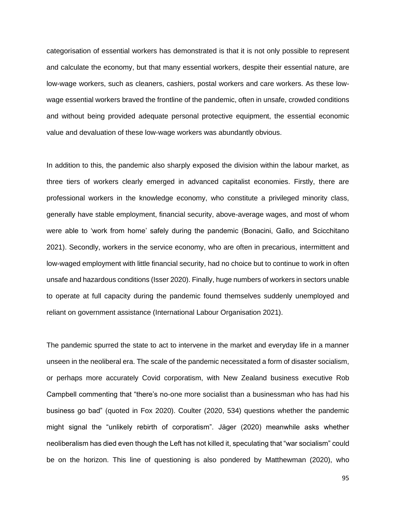categorisation of essential workers has demonstrated is that it is not only possible to represent and calculate the economy, but that many essential workers, despite their essential nature, are low-wage workers, such as cleaners, cashiers, postal workers and care workers. As these lowwage essential workers braved the frontline of the pandemic, often in unsafe, crowded conditions and without being provided adequate personal protective equipment, the essential economic value and devaluation of these low-wage workers was abundantly obvious.

In addition to this, the pandemic also sharply exposed the division within the labour market, as three tiers of workers clearly emerged in advanced capitalist economies. Firstly, there are professional workers in the knowledge economy, who constitute a privileged minority class, generally have stable employment, financial security, above-average wages, and most of whom were able to 'work from home' safely during the pandemic (Bonacini, Gallo, and Scicchitano 2021). Secondly, workers in the service economy, who are often in precarious, intermittent and low-waged employment with little financial security, had no choice but to continue to work in often unsafe and hazardous conditions (Isser 2020). Finally, huge numbers of workers in sectors unable to operate at full capacity during the pandemic found themselves suddenly unemployed and reliant on government assistance (International Labour Organisation 2021).

The pandemic spurred the state to act to intervene in the market and everyday life in a manner unseen in the neoliberal era. The scale of the pandemic necessitated a form of disaster socialism, or perhaps more accurately Covid corporatism, with New Zealand business executive Rob Campbell commenting that "there's no-one more socialist than a businessman who has had his business go bad" (quoted in Fox 2020). Coulter (2020, 534) questions whether the pandemic might signal the "unlikely rebirth of corporatism". Jäger (2020) meanwhile asks whether neoliberalism has died even though the Left has not killed it, speculating that "war socialism" could be on the horizon. This line of questioning is also pondered by Matthewman (2020), who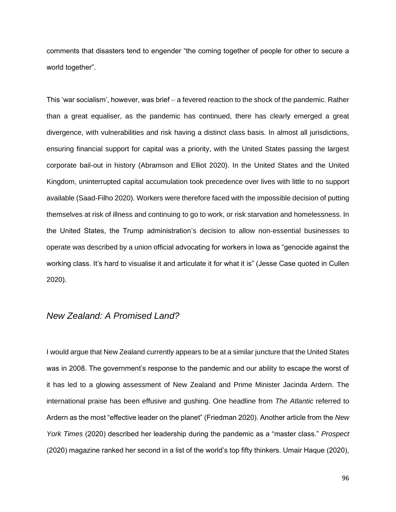comments that disasters tend to engender "the coming together of people for other to secure a world together".

This 'war socialism', however, was brief – a fevered reaction to the shock of the pandemic. Rather than a great equaliser, as the pandemic has continued, there has clearly emerged a great divergence, with vulnerabilities and risk having a distinct class basis. In almost all jurisdictions, ensuring financial support for capital was a priority, with the United States passing the largest corporate bail-out in history (Abramson and Elliot 2020). In the United States and the United Kingdom, uninterrupted capital accumulation took precedence over lives with little to no support available (Saad-Filho 2020). Workers were therefore faced with the impossible decision of putting themselves at risk of illness and continuing to go to work, or risk starvation and homelessness. In the United States, the Trump administration's decision to allow non-essential businesses to operate was described by a union official advocating for workers in Iowa as "genocide against the working class. It's hard to visualise it and articulate it for what it is" (Jesse Case quoted in Cullen 2020).

### *New Zealand: A Promised Land?*

I would argue that New Zealand currently appears to be at a similar juncture that the United States was in 2008. The government's response to the pandemic and our ability to escape the worst of it has led to a glowing assessment of New Zealand and Prime Minister Jacinda Ardern. The international praise has been effusive and gushing. One headline from *The Atlantic* referred to Ardern as the most "effective leader on the planet" (Friedman 2020). Another article from the *New York Times* (2020) described her leadership during the pandemic as a "master class." *Prospect* (2020) magazine ranked her second in a list of the world's top fifty thinkers. Umair Haque (2020),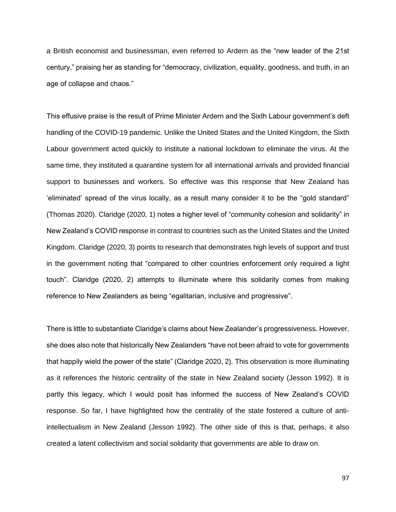a British economist and businessman, even referred to Ardern as the "new leader of the 21st century," praising her as standing for "democracy, civilization, equality, goodness, and truth, in an age of collapse and chaos."

This effusive praise is the result of Prime Minister Ardern and the Sixth Labour government's deft handling of the COVID-19 pandemic. Unlike the United States and the United Kingdom, the Sixth Labour government acted quickly to institute a national lockdown to eliminate the virus. At the same time, they instituted a quarantine system for all international arrivals and provided financial support to businesses and workers. So effective was this response that New Zealand has 'eliminated' spread of the virus locally, as a result many consider it to be the "gold standard" (Thomas 2020). Claridge (2020, 1) notes a higher level of "community cohesion and solidarity" in New Zealand's COVID response in contrast to countries such as the United States and the United Kingdom. Claridge (2020, 3) points to research that demonstrates high levels of support and trust in the government noting that "compared to other countries enforcement only required a light touch". Claridge (2020, 2) attempts to illuminate where this solidarity comes from making reference to New Zealanders as being "egalitarian, inclusive and progressive".

There is little to substantiate Claridge's claims about New Zealander's progressiveness. However, she does also note that historically New Zealanders "have not been afraid to vote for governments that happily wield the power of the state" (Claridge 2020, 2). This observation is more illuminating as it references the historic centrality of the state in New Zealand society (Jesson 1992). It is partly this legacy, which I would posit has informed the success of New Zealand's COVID response. So far, I have highlighted how the centrality of the state fostered a culture of antiintellectualism in New Zealand (Jesson 1992). The other side of this is that, perhaps, it also created a latent collectivism and social solidarity that governments are able to draw on.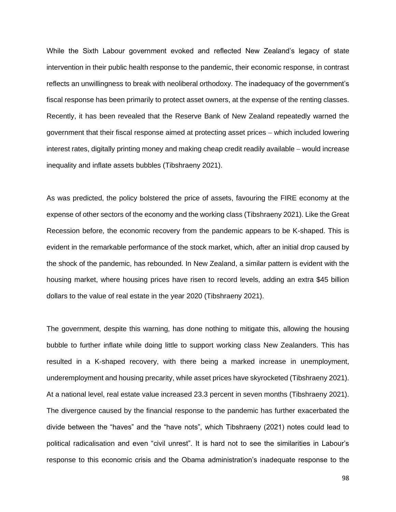While the Sixth Labour government evoked and reflected New Zealand's legacy of state intervention in their public health response to the pandemic, their economic response, in contrast reflects an unwillingness to break with neoliberal orthodoxy. The inadequacy of the government's fiscal response has been primarily to protect asset owners, at the expense of the renting classes. Recently, it has been revealed that the Reserve Bank of New Zealand repeatedly warned the government that their fiscal response aimed at protecting asset prices – which included lowering interest rates, digitally printing money and making cheap credit readily available – would increase inequality and inflate assets bubbles (Tibshraeny 2021).

As was predicted, the policy bolstered the price of assets, favouring the FIRE economy at the expense of other sectors of the economy and the working class (Tibshraeny 2021). Like the Great Recession before, the economic recovery from the pandemic appears to be K-shaped. This is evident in the remarkable performance of the stock market, which, after an initial drop caused by the shock of the pandemic, has rebounded. In New Zealand, a similar pattern is evident with the housing market, where housing prices have risen to record levels, adding an extra \$45 billion dollars to the value of real estate in the year 2020 (Tibshraeny 2021).

The government, despite this warning, has done nothing to mitigate this, allowing the housing bubble to further inflate while doing little to support working class New Zealanders. This has resulted in a K-shaped recovery, with there being a marked increase in unemployment, underemployment and housing precarity, while asset prices have skyrocketed (Tibshraeny 2021). At a national level, real estate value increased 23.3 percent in seven months (Tibshraeny 2021). The divergence caused by the financial response to the pandemic has further exacerbated the divide between the "haves" and the "have nots", which Tibshraeny (2021) notes could lead to political radicalisation and even "civil unrest". It is hard not to see the similarities in Labour's response to this economic crisis and the Obama administration's inadequate response to the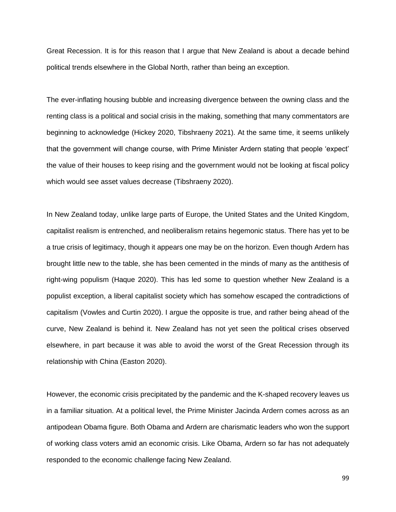Great Recession. It is for this reason that I argue that New Zealand is about a decade behind political trends elsewhere in the Global North, rather than being an exception.

The ever-inflating housing bubble and increasing divergence between the owning class and the renting class is a political and social crisis in the making, something that many commentators are beginning to acknowledge (Hickey 2020, Tibshraeny 2021). At the same time, it seems unlikely that the government will change course, with Prime Minister Ardern stating that people 'expect' the value of their houses to keep rising and the government would not be looking at fiscal policy which would see asset values decrease (Tibshraeny 2020).

In New Zealand today, unlike large parts of Europe, the United States and the United Kingdom, capitalist realism is entrenched, and neoliberalism retains hegemonic status. There has yet to be a true crisis of legitimacy, though it appears one may be on the horizon. Even though Ardern has brought little new to the table, she has been cemented in the minds of many as the antithesis of right-wing populism (Haque 2020). This has led some to question whether New Zealand is a populist exception, a liberal capitalist society which has somehow escaped the contradictions of capitalism (Vowles and Curtin 2020). I argue the opposite is true, and rather being ahead of the curve, New Zealand is behind it. New Zealand has not yet seen the political crises observed elsewhere, in part because it was able to avoid the worst of the Great Recession through its relationship with China (Easton 2020).

However, the economic crisis precipitated by the pandemic and the K-shaped recovery leaves us in a familiar situation. At a political level, the Prime Minister Jacinda Ardern comes across as an antipodean Obama figure. Both Obama and Ardern are charismatic leaders who won the support of working class voters amid an economic crisis. Like Obama, Ardern so far has not adequately responded to the economic challenge facing New Zealand.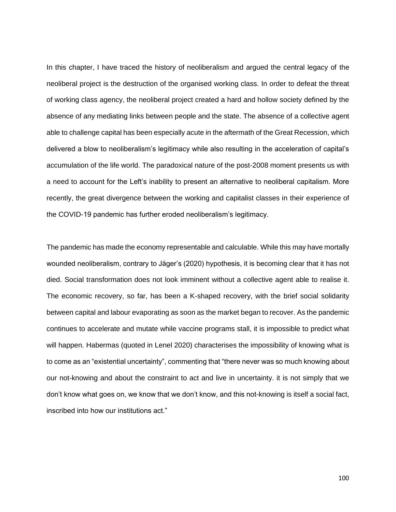In this chapter, I have traced the history of neoliberalism and argued the central legacy of the neoliberal project is the destruction of the organised working class. In order to defeat the threat of working class agency, the neoliberal project created a hard and hollow society defined by the absence of any mediating links between people and the state. The absence of a collective agent able to challenge capital has been especially acute in the aftermath of the Great Recession, which delivered a blow to neoliberalism's legitimacy while also resulting in the acceleration of capital's accumulation of the life world. The paradoxical nature of the post-2008 moment presents us with a need to account for the Left's inability to present an alternative to neoliberal capitalism. More recently, the great divergence between the working and capitalist classes in their experience of the COVID-19 pandemic has further eroded neoliberalism's legitimacy.

The pandemic has made the economy representable and calculable. While this may have mortally wounded neoliberalism, contrary to Jäger's (2020) hypothesis, it is becoming clear that it has not died. Social transformation does not look imminent without a collective agent able to realise it. The economic recovery, so far, has been a K-shaped recovery, with the brief social solidarity between capital and labour evaporating as soon as the market began to recover. As the pandemic continues to accelerate and mutate while vaccine programs stall, it is impossible to predict what will happen. Habermas (quoted in Lenel 2020) characterises the impossibility of knowing what is to come as an "existential uncertainty", commenting that "there never was so much knowing about our not-knowing and about the constraint to act and live in uncertainty. it is not simply that we don't know what goes on, we know that we don't know, and this not-knowing is itself a social fact, inscribed into how our institutions act."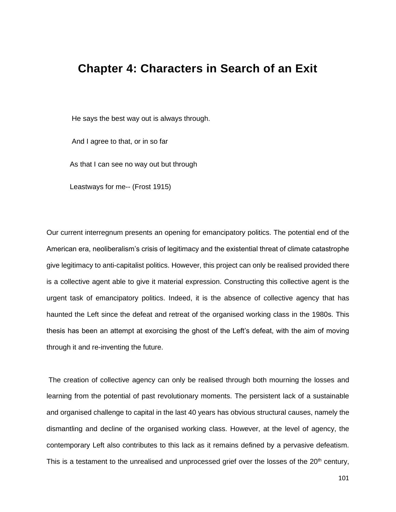# **Chapter 4: Characters in Search of an Exit**

He says the best way out is always through.

And I agree to that, or in so far

As that I can see no way out but through

Leastways for me-- (Frost 1915)

Our current interregnum presents an opening for emancipatory politics. The potential end of the American era, neoliberalism's crisis of legitimacy and the existential threat of climate catastrophe give legitimacy to anti-capitalist politics. However, this project can only be realised provided there is a collective agent able to give it material expression. Constructing this collective agent is the urgent task of emancipatory politics. Indeed, it is the absence of collective agency that has haunted the Left since the defeat and retreat of the organised working class in the 1980s. This thesis has been an attempt at exorcising the ghost of the Left's defeat, with the aim of moving through it and re-inventing the future.

The creation of collective agency can only be realised through both mourning the losses and learning from the potential of past revolutionary moments. The persistent lack of a sustainable and organised challenge to capital in the last 40 years has obvious structural causes, namely the dismantling and decline of the organised working class. However, at the level of agency, the contemporary Left also contributes to this lack as it remains defined by a pervasive defeatism. This is a testament to the unrealised and unprocessed grief over the losses of the 20<sup>th</sup> century,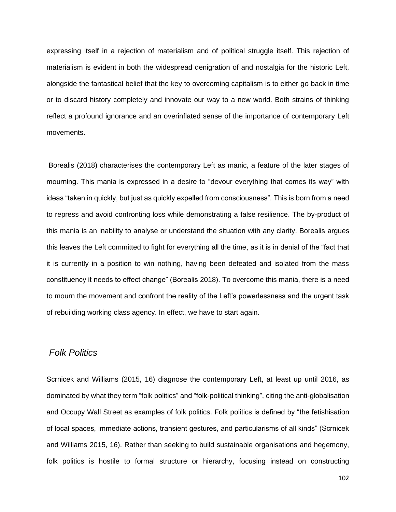expressing itself in a rejection of materialism and of political struggle itself. This rejection of materialism is evident in both the widespread denigration of and nostalgia for the historic Left, alongside the fantastical belief that the key to overcoming capitalism is to either go back in time or to discard history completely and innovate our way to a new world. Both strains of thinking reflect a profound ignorance and an overinflated sense of the importance of contemporary Left movements.

Borealis (2018) characterises the contemporary Left as manic, a feature of the later stages of mourning. This mania is expressed in a desire to "devour everything that comes its way" with ideas "taken in quickly, but just as quickly expelled from consciousness". This is born from a need to repress and avoid confronting loss while demonstrating a false resilience. The by-product of this mania is an inability to analyse or understand the situation with any clarity. Borealis argues this leaves the Left committed to fight for everything all the time, as it is in denial of the "fact that it is currently in a position to win nothing, having been defeated and isolated from the mass constituency it needs to effect change" (Borealis 2018). To overcome this mania, there is a need to mourn the movement and confront the reality of the Left's powerlessness and the urgent task of rebuilding working class agency. In effect, we have to start again.

## *Folk Politics*

Scrnicek and Williams (2015, 16) diagnose the contemporary Left, at least up until 2016, as dominated by what they term "folk politics" and "folk-political thinking", citing the anti-globalisation and Occupy Wall Street as examples of folk politics. Folk politics is defined by "the fetishisation of local spaces, immediate actions, transient gestures, and particularisms of all kinds" (Scrnicek and Williams 2015, 16). Rather than seeking to build sustainable organisations and hegemony, folk politics is hostile to formal structure or hierarchy, focusing instead on constructing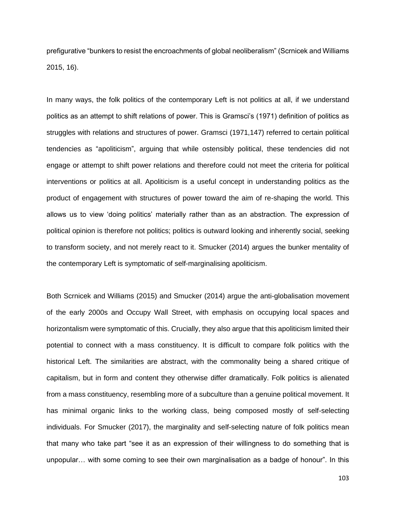prefigurative "bunkers to resist the encroachments of global neoliberalism" (Scrnicek and Williams 2015, 16).

In many ways, the folk politics of the contemporary Left is not politics at all, if we understand politics as an attempt to shift relations of power. This is Gramsci's (1971) definition of politics as struggles with relations and structures of power. Gramsci (1971,147) referred to certain political tendencies as "apoliticism", arguing that while ostensibly political, these tendencies did not engage or attempt to shift power relations and therefore could not meet the criteria for political interventions or politics at all. Apoliticism is a useful concept in understanding politics as the product of engagement with structures of power toward the aim of re-shaping the world. This allows us to view 'doing politics' materially rather than as an abstraction. The expression of political opinion is therefore not politics; politics is outward looking and inherently social, seeking to transform society, and not merely react to it. Smucker (2014) argues the bunker mentality of the contemporary Left is symptomatic of self-marginalising apoliticism.

Both Scrnicek and Williams (2015) and Smucker (2014) argue the anti-globalisation movement of the early 2000s and Occupy Wall Street, with emphasis on occupying local spaces and horizontalism were symptomatic of this. Crucially, they also argue that this apoliticism limited their potential to connect with a mass constituency. It is difficult to compare folk politics with the historical Left. The similarities are abstract, with the commonality being a shared critique of capitalism, but in form and content they otherwise differ dramatically. Folk politics is alienated from a mass constituency, resembling more of a subculture than a genuine political movement. It has minimal organic links to the working class, being composed mostly of self-selecting individuals. For Smucker (2017), the marginality and self-selecting nature of folk politics mean that many who take part "see it as an expression of their willingness to do something that is unpopular… with some coming to see their own marginalisation as a badge of honour". In this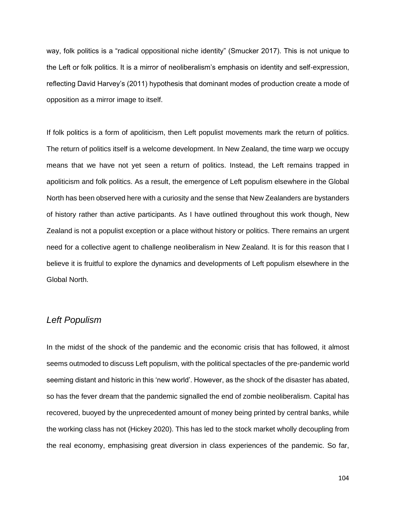way, folk politics is a "radical oppositional niche identity" (Smucker 2017). This is not unique to the Left or folk politics. It is a mirror of neoliberalism's emphasis on identity and self-expression, reflecting David Harvey's (2011) hypothesis that dominant modes of production create a mode of opposition as a mirror image to itself.

If folk politics is a form of apoliticism, then Left populist movements mark the return of politics. The return of politics itself is a welcome development. In New Zealand, the time warp we occupy means that we have not yet seen a return of politics. Instead, the Left remains trapped in apoliticism and folk politics. As a result, the emergence of Left populism elsewhere in the Global North has been observed here with a curiosity and the sense that New Zealanders are bystanders of history rather than active participants. As I have outlined throughout this work though, New Zealand is not a populist exception or a place without history or politics. There remains an urgent need for a collective agent to challenge neoliberalism in New Zealand. It is for this reason that I believe it is fruitful to explore the dynamics and developments of Left populism elsewhere in the Global North.

## *Left Populism*

In the midst of the shock of the pandemic and the economic crisis that has followed, it almost seems outmoded to discuss Left populism, with the political spectacles of the pre-pandemic world seeming distant and historic in this 'new world'. However, as the shock of the disaster has abated, so has the fever dream that the pandemic signalled the end of zombie neoliberalism. Capital has recovered, buoyed by the unprecedented amount of money being printed by central banks, while the working class has not (Hickey 2020). This has led to the stock market wholly decoupling from the real economy, emphasising great diversion in class experiences of the pandemic. So far,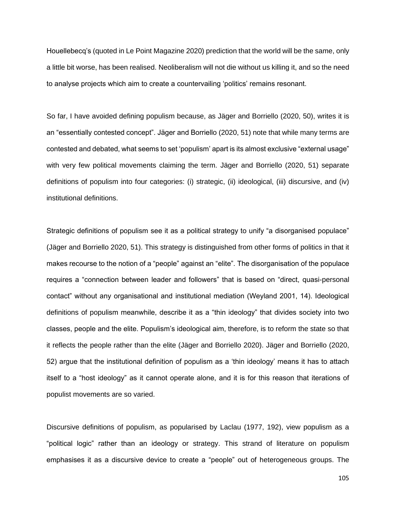Houellebecq's (quoted in Le Point Magazine 2020) prediction that the world will be the same, only a little bit worse, has been realised. Neoliberalism will not die without us killing it, and so the need to analyse projects which aim to create a countervailing 'politics' remains resonant.

So far, I have avoided defining populism because, as Jäger and Borriello (2020, 50), writes it is an "essentially contested concept". Jäger and Borriello (2020, 51) note that while many terms are contested and debated, what seems to set 'populism' apart is its almost exclusive "external usage" with very few political movements claiming the term. Jäger and Borriello (2020, 51) separate definitions of populism into four categories: (i) strategic, (ii) ideological, (iii) discursive, and (iv) institutional definitions.

Strategic definitions of populism see it as a political strategy to unify "a disorganised populace" (Jäger and Borriello 2020, 51). This strategy is distinguished from other forms of politics in that it makes recourse to the notion of a "people" against an "elite". The disorganisation of the populace requires a "connection between leader and followers" that is based on "direct, quasi-personal contact" without any organisational and institutional mediation (Weyland 2001, 14). Ideological definitions of populism meanwhile, describe it as a "thin ideology" that divides society into two classes, people and the elite. Populism's ideological aim, therefore, is to reform the state so that it reflects the people rather than the elite (Jäger and Borriello 2020). Jäger and Borriello (2020, 52) argue that the institutional definition of populism as a 'thin ideology' means it has to attach itself to a "host ideology" as it cannot operate alone, and it is for this reason that iterations of populist movements are so varied.

Discursive definitions of populism, as popularised by Laclau (1977, 192), view populism as a "political logic" rather than an ideology or strategy. This strand of literature on populism emphasises it as a discursive device to create a "people" out of heterogeneous groups. The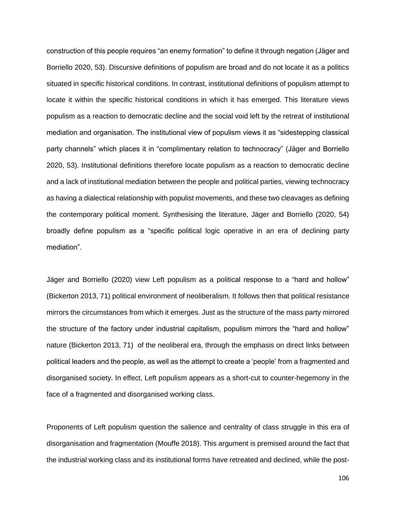construction of this people requires "an enemy formation" to define it through negation (Jäger and Borriello 2020, 53). Discursive definitions of populism are broad and do not locate it as a politics situated in specific historical conditions. In contrast, institutional definitions of populism attempt to locate it within the specific historical conditions in which it has emerged. This literature views populism as a reaction to democratic decline and the social void left by the retreat of institutional mediation and organisation. The institutional view of populism views it as "sidestepping classical party channels" which places it in "complimentary relation to technocracy" (Jäger and Borriello 2020, 53). Institutional definitions therefore locate populism as a reaction to democratic decline and a lack of institutional mediation between the people and political parties, viewing technocracy as having a dialectical relationship with populist movements, and these two cleavages as defining the contemporary political moment. Synthesising the literature, Jäger and Borriello (2020, 54) broadly define populism as a "specific political logic operative in an era of declining party mediation".

Jäger and Borriello (2020) view Left populism as a political response to a "hard and hollow" (Bickerton 2013, 71) political environment of neoliberalism. It follows then that political resistance mirrors the circumstances from which it emerges. Just as the structure of the mass party mirrored the structure of the factory under industrial capitalism, populism mirrors the "hard and hollow" nature (Bickerton 2013, 71) of the neoliberal era, through the emphasis on direct links between political leaders and the people, as well as the attempt to create a 'people' from a fragmented and disorganised society. In effect, Left populism appears as a short-cut to counter-hegemony in the face of a fragmented and disorganised working class.

Proponents of Left populism question the salience and centrality of class struggle in this era of disorganisation and fragmentation (Mouffe 2018). This argument is premised around the fact that the industrial working class and its institutional forms have retreated and declined, while the post-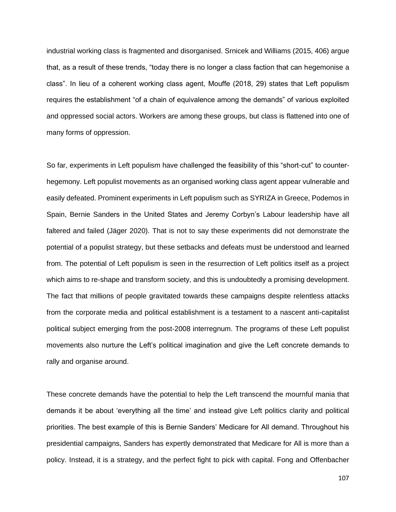industrial working class is fragmented and disorganised. Srnicek and Williams (2015, 406) argue that, as a result of these trends, "today there is no longer a class faction that can hegemonise a class". In lieu of a coherent working class agent, Mouffe (2018, 29) states that Left populism requires the establishment "of a chain of equivalence among the demands" of various exploited and oppressed social actors. Workers are among these groups, but class is flattened into one of many forms of oppression.

So far, experiments in Left populism have challenged the feasibility of this "short-cut" to counterhegemony. Left populist movements as an organised working class agent appear vulnerable and easily defeated. Prominent experiments in Left populism such as SYRIZA in Greece, Podemos in Spain, Bernie Sanders in the United States and Jeremy Corbyn's Labour leadership have all faltered and failed (Jäger 2020). That is not to say these experiments did not demonstrate the potential of a populist strategy, but these setbacks and defeats must be understood and learned from. The potential of Left populism is seen in the resurrection of Left politics itself as a project which aims to re-shape and transform society, and this is undoubtedly a promising development. The fact that millions of people gravitated towards these campaigns despite relentless attacks from the corporate media and political establishment is a testament to a nascent anti-capitalist political subject emerging from the post-2008 interregnum. The programs of these Left populist movements also nurture the Left's political imagination and give the Left concrete demands to rally and organise around.

These concrete demands have the potential to help the Left transcend the mournful mania that demands it be about 'everything all the time' and instead give Left politics clarity and political priorities. The best example of this is Bernie Sanders' Medicare for All demand. Throughout his presidential campaigns, Sanders has expertly demonstrated that Medicare for All is more than a policy. Instead, it is a strategy, and the perfect fight to pick with capital. Fong and Offenbacher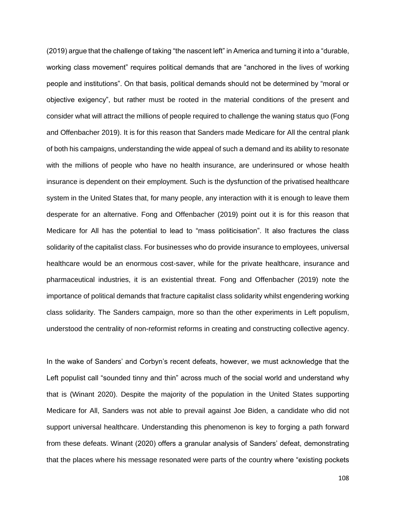(2019) argue that the challenge of taking "the nascent left" in America and turning it into a "durable, working class movement" requires political demands that are "anchored in the lives of working people and institutions". On that basis, political demands should not be determined by "moral or objective exigency", but rather must be rooted in the material conditions of the present and consider what will attract the millions of people required to challenge the waning status quo (Fong and Offenbacher 2019). It is for this reason that Sanders made Medicare for All the central plank of both his campaigns, understanding the wide appeal of such a demand and its ability to resonate with the millions of people who have no health insurance, are underinsured or whose health insurance is dependent on their employment. Such is the dysfunction of the privatised healthcare system in the United States that, for many people, any interaction with it is enough to leave them desperate for an alternative. Fong and Offenbacher (2019) point out it is for this reason that Medicare for All has the potential to lead to "mass politicisation". It also fractures the class solidarity of the capitalist class. For businesses who do provide insurance to employees, universal healthcare would be an enormous cost-saver, while for the private healthcare, insurance and pharmaceutical industries, it is an existential threat. Fong and Offenbacher (2019) note the importance of political demands that fracture capitalist class solidarity whilst engendering working class solidarity. The Sanders campaign, more so than the other experiments in Left populism, understood the centrality of non-reformist reforms in creating and constructing collective agency.

In the wake of Sanders' and Corbyn's recent defeats, however, we must acknowledge that the Left populist call "sounded tinny and thin" across much of the social world and understand why that is (Winant 2020). Despite the majority of the population in the United States supporting Medicare for All, Sanders was not able to prevail against Joe Biden, a candidate who did not support universal healthcare. Understanding this phenomenon is key to forging a path forward from these defeats. Winant (2020) offers a granular analysis of Sanders' defeat, demonstrating that the places where his message resonated were parts of the country where "existing pockets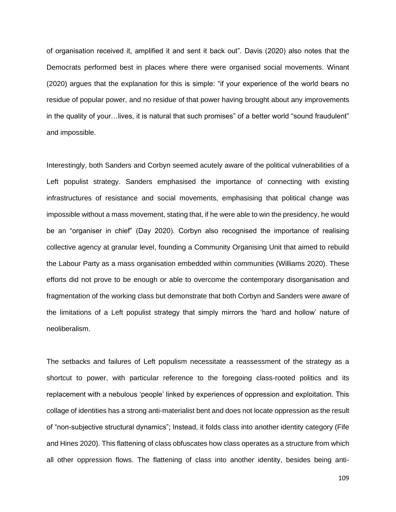of organisation received it, amplified it and sent it back out". Davis (2020) also notes that the Democrats performed best in places where there were organised social movements. Winant (2020) argues that the explanation for this is simple: "if your experience of the world bears no residue of popular power, and no residue of that power having brought about any improvements in the quality of your…lives, it is natural that such promises" of a better world "sound fraudulent" and impossible.

Interestingly, both Sanders and Corbyn seemed acutely aware of the political vulnerabilities of a Left populist strategy. Sanders emphasised the importance of connecting with existing infrastructures of resistance and social movements, emphasising that political change was impossible without a mass movement, stating that, if he were able to win the presidency, he would be an "organiser in chief" (Day 2020). Corbyn also recognised the importance of realising collective agency at granular level, founding a Community Organising Unit that aimed to rebuild the Labour Party as a mass organisation embedded within communities (Williams 2020). These efforts did not prove to be enough or able to overcome the contemporary disorganisation and fragmentation of the working class but demonstrate that both Corbyn and Sanders were aware of the limitations of a Left populist strategy that simply mirrors the 'hard and hollow' nature of neoliberalism.

The setbacks and failures of Left populism necessitate a reassessment of the strategy as a shortcut to power, with particular reference to the foregoing class-rooted politics and its replacement with a nebulous 'people' linked by experiences of oppression and exploitation. This collage of identities has a strong anti-materialist bent and does not locate oppression as the result of "non-subjective structural dynamics"; Instead, it folds class into another identity category (Fife and Hines 2020). This flattening of class obfuscates how class operates as a structure from which all other oppression flows. The flattening of class into another identity, besides being anti-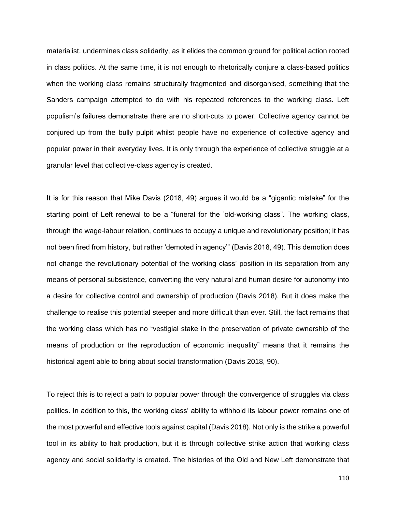materialist, undermines class solidarity, as it elides the common ground for political action rooted in class politics. At the same time, it is not enough to rhetorically conjure a class-based politics when the working class remains structurally fragmented and disorganised, something that the Sanders campaign attempted to do with his repeated references to the working class. Left populism's failures demonstrate there are no short-cuts to power. Collective agency cannot be conjured up from the bully pulpit whilst people have no experience of collective agency and popular power in their everyday lives. It is only through the experience of collective struggle at a granular level that collective-class agency is created.

It is for this reason that Mike Davis (2018, 49) argues it would be a "gigantic mistake" for the starting point of Left renewal to be a "funeral for the 'old-working class". The working class, through the wage-labour relation, continues to occupy a unique and revolutionary position; it has not been fired from history, but rather 'demoted in agency'" (Davis 2018, 49). This demotion does not change the revolutionary potential of the working class' position in its separation from any means of personal subsistence, converting the very natural and human desire for autonomy into a desire for collective control and ownership of production (Davis 2018). But it does make the challenge to realise this potential steeper and more difficult than ever. Still, the fact remains that the working class which has no "vestigial stake in the preservation of private ownership of the means of production or the reproduction of economic inequality" means that it remains the historical agent able to bring about social transformation (Davis 2018, 90).

To reject this is to reject a path to popular power through the convergence of struggles via class politics. In addition to this, the working class' ability to withhold its labour power remains one of the most powerful and effective tools against capital (Davis 2018). Not only is the strike a powerful tool in its ability to halt production, but it is through collective strike action that working class agency and social solidarity is created. The histories of the Old and New Left demonstrate that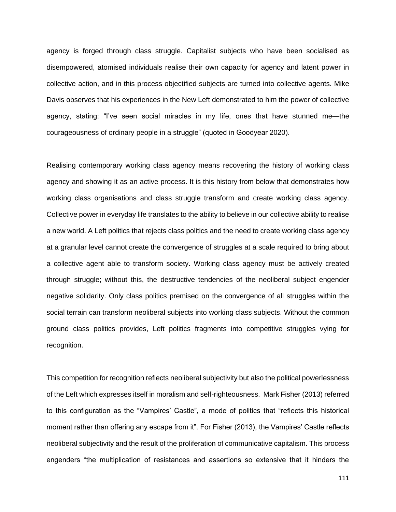agency is forged through class struggle. Capitalist subjects who have been socialised as disempowered, atomised individuals realise their own capacity for agency and latent power in collective action, and in this process objectified subjects are turned into collective agents. Mike Davis observes that his experiences in the New Left demonstrated to him the power of collective agency, stating: "I've seen social miracles in my life, ones that have stunned me—the courageousness of ordinary people in a struggle" (quoted in Goodyear 2020).

Realising contemporary working class agency means recovering the history of working class agency and showing it as an active process. It is this history from below that demonstrates how working class organisations and class struggle transform and create working class agency. Collective power in everyday life translates to the ability to believe in our collective ability to realise a new world. A Left politics that rejects class politics and the need to create working class agency at a granular level cannot create the convergence of struggles at a scale required to bring about a collective agent able to transform society. Working class agency must be actively created through struggle; without this, the destructive tendencies of the neoliberal subject engender negative solidarity. Only class politics premised on the convergence of all struggles within the social terrain can transform neoliberal subjects into working class subjects. Without the common ground class politics provides, Left politics fragments into competitive struggles vying for recognition.

This competition for recognition reflects neoliberal subjectivity but also the political powerlessness of the Left which expresses itself in moralism and self-righteousness. Mark Fisher (2013) referred to this configuration as the "Vampires' Castle", a mode of politics that "reflects this historical moment rather than offering any escape from it". For Fisher (2013), the Vampires' Castle reflects neoliberal subjectivity and the result of the proliferation of communicative capitalism. This process engenders "the multiplication of resistances and assertions so extensive that it hinders the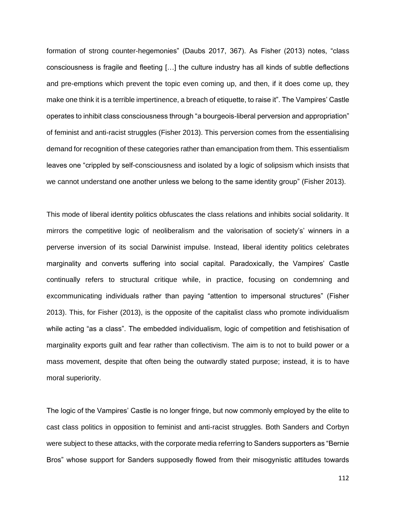formation of strong counter-hegemonies" (Daubs 2017, 367). As Fisher (2013) notes, "class consciousness is fragile and fleeting […] the culture industry has all kinds of subtle deflections and pre-emptions which prevent the topic even coming up, and then, if it does come up, they make one think it is a terrible impertinence, a breach of etiquette, to raise it". The Vampires' Castle operates to inhibit class consciousness through "a bourgeois-liberal perversion and appropriation" of feminist and anti-racist struggles (Fisher 2013). This perversion comes from the essentialising demand for recognition of these categories rather than emancipation from them. This essentialism leaves one "crippled by self-consciousness and isolated by a logic of solipsism which insists that we cannot understand one another unless we belong to the same identity group" (Fisher 2013).

This mode of liberal identity politics obfuscates the class relations and inhibits social solidarity. It mirrors the competitive logic of neoliberalism and the valorisation of society's' winners in a perverse inversion of its social Darwinist impulse. Instead, liberal identity politics celebrates marginality and converts suffering into social capital. Paradoxically, the Vampires' Castle continually refers to structural critique while, in practice, focusing on condemning and excommunicating individuals rather than paying "attention to impersonal structures" (Fisher 2013). This, for Fisher (2013), is the opposite of the capitalist class who promote individualism while acting "as a class". The embedded individualism, logic of competition and fetishisation of marginality exports guilt and fear rather than collectivism. The aim is to not to build power or a mass movement, despite that often being the outwardly stated purpose; instead, it is to have moral superiority.

The logic of the Vampires' Castle is no longer fringe, but now commonly employed by the elite to cast class politics in opposition to feminist and anti-racist struggles. Both Sanders and Corbyn were subject to these attacks, with the corporate media referring to Sanders supporters as "Bernie Bros" whose support for Sanders supposedly flowed from their misogynistic attitudes towards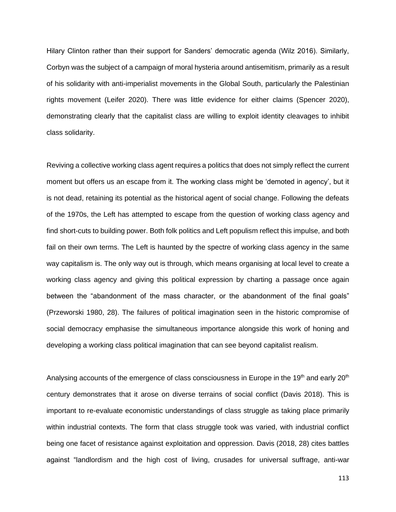Hilary Clinton rather than their support for Sanders' democratic agenda (Wilz 2016). Similarly, Corbyn was the subject of a campaign of moral hysteria around antisemitism, primarily as a result of his solidarity with anti-imperialist movements in the Global South, particularly the Palestinian rights movement (Leifer 2020). There was little evidence for either claims (Spencer 2020), demonstrating clearly that the capitalist class are willing to exploit identity cleavages to inhibit class solidarity.

Reviving a collective working class agent requires a politics that does not simply reflect the current moment but offers us an escape from it. The working class might be 'demoted in agency', but it is not dead, retaining its potential as the historical agent of social change. Following the defeats of the 1970s, the Left has attempted to escape from the question of working class agency and find short-cuts to building power. Both folk politics and Left populism reflect this impulse, and both fail on their own terms. The Left is haunted by the spectre of working class agency in the same way capitalism is. The only way out is through, which means organising at local level to create a working class agency and giving this political expression by charting a passage once again between the "abandonment of the mass character, or the abandonment of the final goals" (Przeworski 1980, 28). The failures of political imagination seen in the historic compromise of social democracy emphasise the simultaneous importance alongside this work of honing and developing a working class political imagination that can see beyond capitalist realism.

Analysing accounts of the emergence of class consciousness in Europe in the 19<sup>th</sup> and early 20<sup>th</sup> century demonstrates that it arose on diverse terrains of social conflict (Davis 2018). This is important to re-evaluate economistic understandings of class struggle as taking place primarily within industrial contexts. The form that class struggle took was varied, with industrial conflict being one facet of resistance against exploitation and oppression. Davis (2018, 28) cites battles against "landlordism and the high cost of living, crusades for universal suffrage, anti-war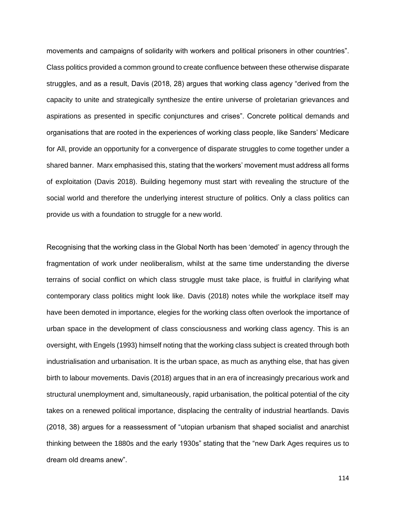movements and campaigns of solidarity with workers and political prisoners in other countries". Class politics provided a common ground to create confluence between these otherwise disparate struggles, and as a result, Davis (2018, 28) argues that working class agency "derived from the capacity to unite and strategically synthesize the entire universe of proletarian grievances and aspirations as presented in specific conjunctures and crises". Concrete political demands and organisations that are rooted in the experiences of working class people, like Sanders' Medicare for All, provide an opportunity for a convergence of disparate struggles to come together under a shared banner. Marx emphasised this, stating that the workers' movement must address all forms of exploitation (Davis 2018). Building hegemony must start with revealing the structure of the social world and therefore the underlying interest structure of politics. Only a class politics can provide us with a foundation to struggle for a new world.

Recognising that the working class in the Global North has been 'demoted' in agency through the fragmentation of work under neoliberalism, whilst at the same time understanding the diverse terrains of social conflict on which class struggle must take place, is fruitful in clarifying what contemporary class politics might look like. Davis (2018) notes while the workplace itself may have been demoted in importance, elegies for the working class often overlook the importance of urban space in the development of class consciousness and working class agency. This is an oversight, with Engels (1993) himself noting that the working class subject is created through both industrialisation and urbanisation. It is the urban space, as much as anything else, that has given birth to labour movements. Davis (2018) argues that in an era of increasingly precarious work and structural unemployment and, simultaneously, rapid urbanisation, the political potential of the city takes on a renewed political importance, displacing the centrality of industrial heartlands. Davis (2018, 38) argues for a reassessment of "utopian urbanism that shaped socialist and anarchist thinking between the 1880s and the early 1930s" stating that the "new Dark Ages requires us to dream old dreams anew".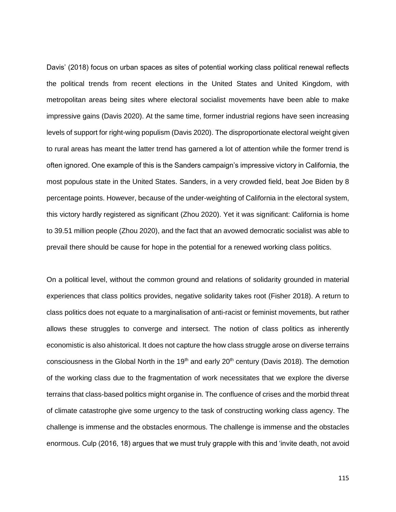Davis' (2018) focus on urban spaces as sites of potential working class political renewal reflects the political trends from recent elections in the United States and United Kingdom, with metropolitan areas being sites where electoral socialist movements have been able to make impressive gains (Davis 2020). At the same time, former industrial regions have seen increasing levels of support for right-wing populism (Davis 2020). The disproportionate electoral weight given to rural areas has meant the latter trend has garnered a lot of attention while the former trend is often ignored. One example of this is the Sanders campaign's impressive victory in California, the most populous state in the United States. Sanders, in a very crowded field, beat Joe Biden by 8 percentage points. However, because of the under-weighting of California in the electoral system, this victory hardly registered as significant (Zhou 2020). Yet it was significant: California is home to 39.51 million people (Zhou 2020), and the fact that an avowed democratic socialist was able to prevail there should be cause for hope in the potential for a renewed working class politics.

On a political level, without the common ground and relations of solidarity grounded in material experiences that class politics provides, negative solidarity takes root (Fisher 2018). A return to class politics does not equate to a marginalisation of anti-racist or feminist movements, but rather allows these struggles to converge and intersect. The notion of class politics as inherently economistic is also ahistorical. It does not capture the how class struggle arose on diverse terrains consciousness in the Global North in the 19<sup>th</sup> and early 20<sup>th</sup> century (Davis 2018). The demotion of the working class due to the fragmentation of work necessitates that we explore the diverse terrains that class-based politics might organise in. The confluence of crises and the morbid threat of climate catastrophe give some urgency to the task of constructing working class agency. The challenge is immense and the obstacles enormous. The challenge is immense and the obstacles enormous. Culp (2016, 18) argues that we must truly grapple with this and 'invite death, not avoid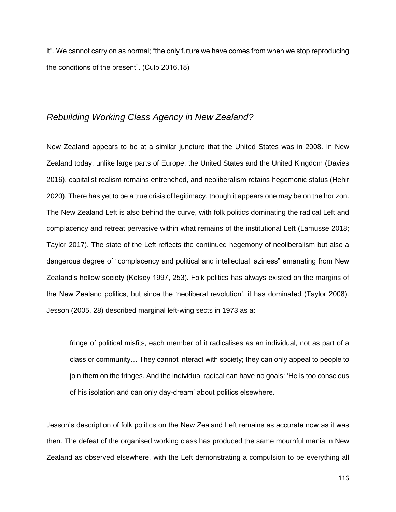it". We cannot carry on as normal; "the only future we have comes from when we stop reproducing the conditions of the present". (Culp 2016,18)

## *Rebuilding Working Class Agency in New Zealand?*

New Zealand appears to be at a similar juncture that the United States was in 2008. In New Zealand today, unlike large parts of Europe, the United States and the United Kingdom (Davies 2016), capitalist realism remains entrenched, and neoliberalism retains hegemonic status (Hehir 2020). There has yet to be a true crisis of legitimacy, though it appears one may be on the horizon. The New Zealand Left is also behind the curve, with folk politics dominating the radical Left and complacency and retreat pervasive within what remains of the institutional Left (Lamusse 2018; Taylor 2017). The state of the Left reflects the continued hegemony of neoliberalism but also a dangerous degree of "complacency and political and intellectual laziness" emanating from New Zealand's hollow society (Kelsey 1997, 253). Folk politics has always existed on the margins of the New Zealand politics, but since the 'neoliberal revolution', it has dominated (Taylor 2008). Jesson (2005, 28) described marginal left-wing sects in 1973 as a:

fringe of political misfits, each member of it radicalises as an individual, not as part of a class or community… They cannot interact with society; they can only appeal to people to join them on the fringes. And the individual radical can have no goals: 'He is too conscious of his isolation and can only day-dream' about politics elsewhere.

Jesson's description of folk politics on the New Zealand Left remains as accurate now as it was then. The defeat of the organised working class has produced the same mournful mania in New Zealand as observed elsewhere, with the Left demonstrating a compulsion to be everything all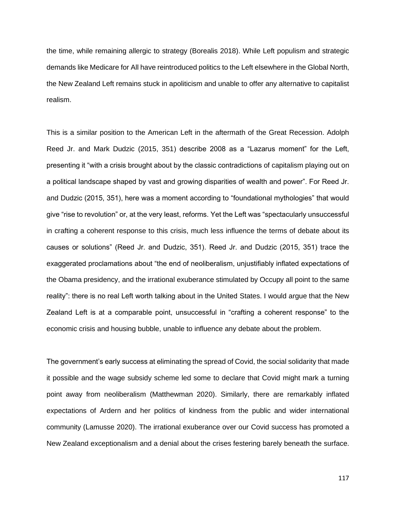the time, while remaining allergic to strategy (Borealis 2018). While Left populism and strategic demands like Medicare for All have reintroduced politics to the Left elsewhere in the Global North, the New Zealand Left remains stuck in apoliticism and unable to offer any alternative to capitalist realism.

This is a similar position to the American Left in the aftermath of the Great Recession. Adolph Reed Jr. and Mark Dudzic (2015, 351) describe 2008 as a "Lazarus moment" for the Left, presenting it "with a crisis brought about by the classic contradictions of capitalism playing out on a political landscape shaped by vast and growing disparities of wealth and power". For Reed Jr. and Dudzic (2015, 351), here was a moment according to "foundational mythologies" that would give "rise to revolution" or, at the very least, reforms. Yet the Left was "spectacularly unsuccessful in crafting a coherent response to this crisis, much less influence the terms of debate about its causes or solutions" (Reed Jr. and Dudzic, 351). Reed Jr. and Dudzic (2015, 351) trace the exaggerated proclamations about "the end of neoliberalism, unjustifiably inflated expectations of the Obama presidency, and the irrational exuberance stimulated by Occupy all point to the same reality": there is no real Left worth talking about in the United States. I would argue that the New Zealand Left is at a comparable point, unsuccessful in "crafting a coherent response" to the economic crisis and housing bubble, unable to influence any debate about the problem.

The government's early success at eliminating the spread of Covid, the social solidarity that made it possible and the wage subsidy scheme led some to declare that Covid might mark a turning point away from neoliberalism (Matthewman 2020). Similarly, there are remarkably inflated expectations of Ardern and her politics of kindness from the public and wider international community (Lamusse 2020). The irrational exuberance over our Covid success has promoted a New Zealand exceptionalism and a denial about the crises festering barely beneath the surface.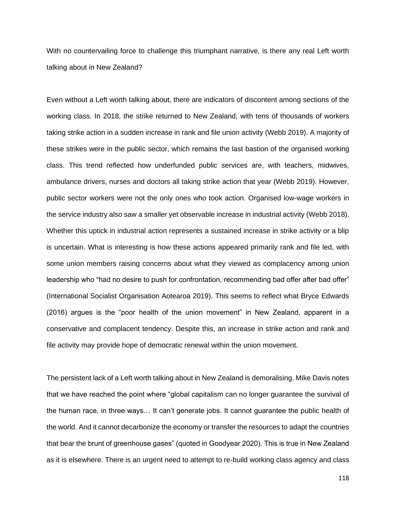With no countervailing force to challenge this triumphant narrative, is there any real Left worth talking about in New Zealand?

Even without a Left worth talking about, there are indicators of discontent among sections of the working class. In 2018, the strike returned to New Zealand, with tens of thousands of workers taking strike action in a sudden increase in rank and file union activity (Webb 2019). A majority of these strikes were in the public sector, which remains the last bastion of the organised working class. This trend reflected how underfunded public services are, with teachers, midwives, ambulance drivers, nurses and doctors all taking strike action that year (Webb 2019). However, public sector workers were not the only ones who took action. Organised low-wage workers in the service industry also saw a smaller yet observable increase in industrial activity (Webb 2018). Whether this uptick in industrial action represents a sustained increase in strike activity or a blip is uncertain. What is interesting is how these actions appeared primarily rank and file led, with some union members raising concerns about what they viewed as complacency among union leadership who "had no desire to push for confrontation, recommending bad offer after bad offer" (International Socialist Organisation Aotearoa 2019). This seems to reflect what Bryce Edwards (2016) argues is the "poor health of the union movement" in New Zealand, apparent in a conservative and complacent tendency. Despite this, an increase in strike action and rank and file activity may provide hope of democratic renewal within the union movement.

The persistent lack of a Left worth talking about in New Zealand is demoralising. Mike Davis notes that we have reached the point where "global capitalism can no longer guarantee the survival of the human race, in three ways… It can't generate jobs. It cannot guarantee the public health of the world. And it cannot decarbonize the economy or transfer the resources to adapt the countries that bear the brunt of greenhouse gases" (quoted in Goodyear 2020). This is true in New Zealand as it is elsewhere. There is an urgent need to attempt to re-build working class agency and class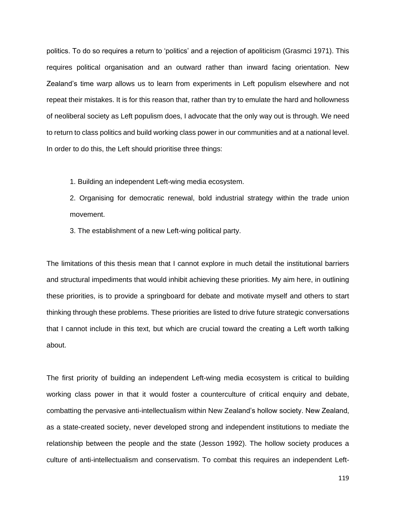politics. To do so requires a return to 'politics' and a rejection of apoliticism (Grasmci 1971). This requires political organisation and an outward rather than inward facing orientation. New Zealand's time warp allows us to learn from experiments in Left populism elsewhere and not repeat their mistakes. It is for this reason that, rather than try to emulate the hard and hollowness of neoliberal society as Left populism does, I advocate that the only way out is through. We need to return to class politics and build working class power in our communities and at a national level. In order to do this, the Left should prioritise three things:

1. Building an independent Left-wing media ecosystem.

2. Organising for democratic renewal, bold industrial strategy within the trade union movement.

3. The establishment of a new Left-wing political party.

The limitations of this thesis mean that I cannot explore in much detail the institutional barriers and structural impediments that would inhibit achieving these priorities. My aim here, in outlining these priorities, is to provide a springboard for debate and motivate myself and others to start thinking through these problems. These priorities are listed to drive future strategic conversations that I cannot include in this text, but which are crucial toward the creating a Left worth talking about.

The first priority of building an independent Left-wing media ecosystem is critical to building working class power in that it would foster a counterculture of critical enquiry and debate, combatting the pervasive anti-intellectualism within New Zealand's hollow society. New Zealand, as a state-created society, never developed strong and independent institutions to mediate the relationship between the people and the state (Jesson 1992). The hollow society produces a culture of anti-intellectualism and conservatism. To combat this requires an independent Left-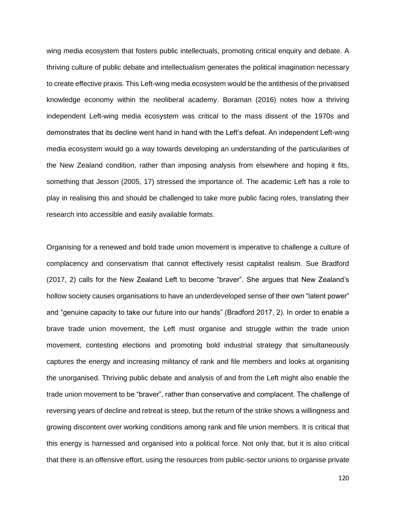wing media ecosystem that fosters public intellectuals, promoting critical enquiry and debate. A thriving culture of public debate and intellectualism generates the political imagination necessary to create effective praxis. This Left-wing media ecosystem would be the antithesis of the privatised knowledge economy within the neoliberal academy. Boraman (2016) notes how a thriving independent Left-wing media ecosystem was critical to the mass dissent of the 1970s and demonstrates that its decline went hand in hand with the Left's defeat. An independent Left-wing media ecosystem would go a way towards developing an understanding of the particularities of the New Zealand condition, rather than imposing analysis from elsewhere and hoping it fits, something that Jesson (2005, 17) stressed the importance of. The academic Left has a role to play in realising this and should be challenged to take more public facing roles, translating their research into accessible and easily available formats.

Organising for a renewed and bold trade union movement is imperative to challenge a culture of complacency and conservatism that cannot effectively resist capitalist realism. Sue Bradford (2017, 2) calls for the New Zealand Left to become "braver". She argues that New Zealand's hollow society causes organisations to have an underdeveloped sense of their own "latent power" and "genuine capacity to take our future into our hands" (Bradford 2017, 2). In order to enable a brave trade union movement, the Left must organise and struggle within the trade union movement, contesting elections and promoting bold industrial strategy that simultaneously captures the energy and increasing militancy of rank and file members and looks at organising the unorganised. Thriving public debate and analysis of and from the Left might also enable the trade union movement to be "braver", rather than conservative and complacent. The challenge of reversing years of decline and retreat is steep, but the return of the strike shows a willingness and growing discontent over working conditions among rank and file union members. It is critical that this energy is harnessed and organised into a political force. Not only that, but it is also critical that there is an offensive effort, using the resources from public-sector unions to organise private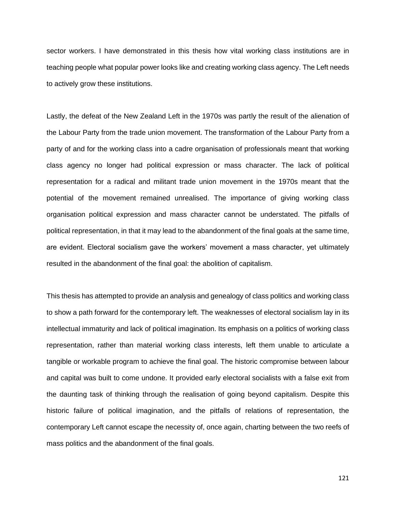sector workers. I have demonstrated in this thesis how vital working class institutions are in teaching people what popular power looks like and creating working class agency. The Left needs to actively grow these institutions.

Lastly, the defeat of the New Zealand Left in the 1970s was partly the result of the alienation of the Labour Party from the trade union movement. The transformation of the Labour Party from a party of and for the working class into a cadre organisation of professionals meant that working class agency no longer had political expression or mass character. The lack of political representation for a radical and militant trade union movement in the 1970s meant that the potential of the movement remained unrealised. The importance of giving working class organisation political expression and mass character cannot be understated. The pitfalls of political representation, in that it may lead to the abandonment of the final goals at the same time, are evident. Electoral socialism gave the workers' movement a mass character, yet ultimately resulted in the abandonment of the final goal: the abolition of capitalism.

This thesis has attempted to provide an analysis and genealogy of class politics and working class to show a path forward for the contemporary left. The weaknesses of electoral socialism lay in its intellectual immaturity and lack of political imagination. Its emphasis on a politics of working class representation, rather than material working class interests, left them unable to articulate a tangible or workable program to achieve the final goal. The historic compromise between labour and capital was built to come undone. It provided early electoral socialists with a false exit from the daunting task of thinking through the realisation of going beyond capitalism. Despite this historic failure of political imagination, and the pitfalls of relations of representation, the contemporary Left cannot escape the necessity of, once again, charting between the two reefs of mass politics and the abandonment of the final goals.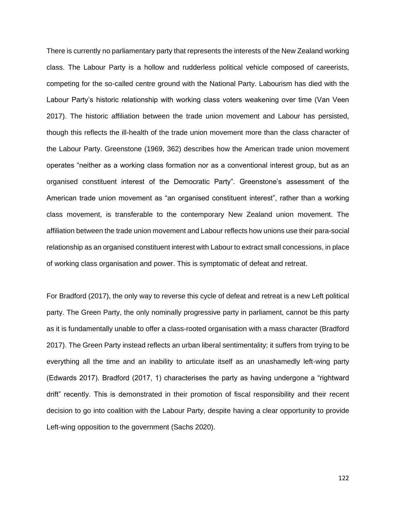There is currently no parliamentary party that represents the interests of the New Zealand working class. The Labour Party is a hollow and rudderless political vehicle composed of careerists, competing for the so-called centre ground with the National Party. Labourism has died with the Labour Party's historic relationship with working class voters weakening over time (Van Veen 2017). The historic affiliation between the trade union movement and Labour has persisted, though this reflects the ill-health of the trade union movement more than the class character of the Labour Party. Greenstone (1969, 362) describes how the American trade union movement operates "neither as a working class formation nor as a conventional interest group, but as an organised constituent interest of the Democratic Party". Greenstone's assessment of the American trade union movement as "an organised constituent interest", rather than a working class movement, is transferable to the contemporary New Zealand union movement. The affiliation between the trade union movement and Labour reflects how unions use their para-social relationship as an organised constituent interest with Labour to extract small concessions, in place of working class organisation and power. This is symptomatic of defeat and retreat.

For Bradford (2017), the only way to reverse this cycle of defeat and retreat is a new Left political party. The Green Party, the only nominally progressive party in parliament, cannot be this party as it is fundamentally unable to offer a class-rooted organisation with a mass character (Bradford 2017). The Green Party instead reflects an urban liberal sentimentality; it suffers from trying to be everything all the time and an inability to articulate itself as an unashamedly left-wing party (Edwards 2017). Bradford (2017, 1) characterises the party as having undergone a "rightward drift" recently. This is demonstrated in their promotion of fiscal responsibility and their recent decision to go into coalition with the Labour Party, despite having a clear opportunity to provide Left-wing opposition to the government (Sachs 2020).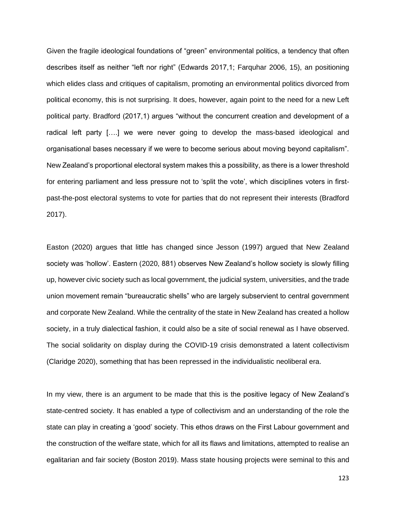Given the fragile ideological foundations of "green" environmental politics, a tendency that often describes itself as neither "left nor right" (Edwards 2017,1; Farquhar 2006, 15), an positioning which elides class and critiques of capitalism, promoting an environmental politics divorced from political economy, this is not surprising. It does, however, again point to the need for a new Left political party. Bradford (2017,1) argues "without the concurrent creation and development of a radical left party [….] we were never going to develop the mass-based ideological and organisational bases necessary if we were to become serious about moving beyond capitalism". New Zealand's proportional electoral system makes this a possibility, as there is a lower threshold for entering parliament and less pressure not to 'split the vote', which disciplines voters in firstpast-the-post electoral systems to vote for parties that do not represent their interests (Bradford 2017).

Easton (2020) argues that little has changed since Jesson (1997) argued that New Zealand society was 'hollow'. Eastern (2020, 881) observes New Zealand's hollow society is slowly filling up, however civic society such as local government, the judicial system, universities, and the trade union movement remain "bureaucratic shells" who are largely subservient to central government and corporate New Zealand. While the centrality of the state in New Zealand has created a hollow society, in a truly dialectical fashion, it could also be a site of social renewal as I have observed. The social solidarity on display during the COVID-19 crisis demonstrated a latent collectivism (Claridge 2020), something that has been repressed in the individualistic neoliberal era.

In my view, there is an argument to be made that this is the positive legacy of New Zealand's state-centred society. It has enabled a type of collectivism and an understanding of the role the state can play in creating a 'good' society. This ethos draws on the First Labour government and the construction of the welfare state, which for all its flaws and limitations, attempted to realise an egalitarian and fair society (Boston 2019). Mass state housing projects were seminal to this and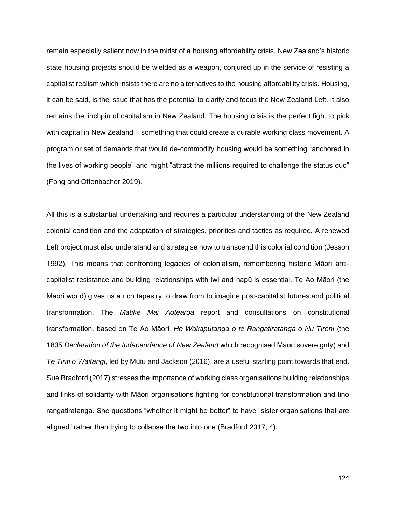remain especially salient now in the midst of a housing affordability crisis. New Zealand's historic state housing projects should be wielded as a weapon, conjured up in the service of resisting a capitalist realism which insists there are no alternatives to the housing affordability crisis. Housing, it can be said, is the issue that has the potential to clarify and focus the New Zealand Left. It also remains the linchpin of capitalism in New Zealand. The housing crisis is the perfect fight to pick with capital in New Zealand – something that could create a durable working class movement. A program or set of demands that would de-commodify housing would be something "anchored in the lives of working people" and might "attract the millions required to challenge the status quo" (Fong and Offenbacher 2019).

All this is a substantial undertaking and requires a particular understanding of the New Zealand colonial condition and the adaptation of strategies, priorities and tactics as required. A renewed Left project must also understand and strategise how to transcend this colonial condition (Jesson 1992). This means that confronting legacies of colonialism, remembering historic Māori anticapitalist resistance and building relationships with iwi and hapū is essential. Te Ao Māori (the Māori world) gives us a rich tapestry to draw from to imagine post-capitalist futures and political transformation. The *Matike Mai Aotearoa* report and consultations on constitutional transformation, based on Te Ao Māori, *He Wakaputanga o te Rangatiratanga o Nu Tireni* (the 1835 *Declaration of the Independence of New Zealand* which recognised Māori sovereignty) and *Te Tiriti o Waitangi*, led by Mutu and Jackson (2016), are a useful starting point towards that end. Sue Bradford (2017) stresses the importance of working class organisations building relationships and links of solidarity with Māori organisations fighting for constitutional transformation and tino rangatiratanga. She questions "whether it might be better" to have "sister organisations that are aligned" rather than trying to collapse the two into one (Bradford 2017, 4).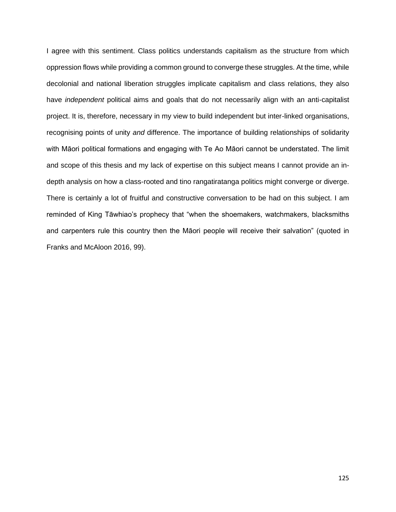I agree with this sentiment. Class politics understands capitalism as the structure from which oppression flows while providing a common ground to converge these struggles. At the time, while decolonial and national liberation struggles implicate capitalism and class relations, they also have *independent* political aims and goals that do not necessarily align with an anti-capitalist project. It is, therefore, necessary in my view to build independent but inter-linked organisations, recognising points of unity *and* difference. The importance of building relationships of solidarity with Māori political formations and engaging with Te Ao Māori cannot be understated. The limit and scope of this thesis and my lack of expertise on this subject means I cannot provide an indepth analysis on how a class-rooted and tino rangatiratanga politics might converge or diverge. There is certainly a lot of fruitful and constructive conversation to be had on this subject. I am reminded of King Tāwhiao's prophecy that "when the shoemakers, watchmakers, blacksmiths and carpenters rule this country then the Māori people will receive their salvation" (quoted in Franks and McAloon 2016, 99).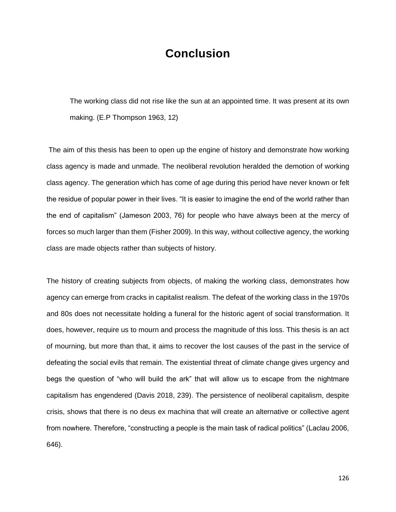## **Conclusion**

The working class did not rise like the sun at an appointed time. It was present at its own making. (E.P Thompson 1963, 12)

The aim of this thesis has been to open up the engine of history and demonstrate how working class agency is made and unmade. The neoliberal revolution heralded the demotion of working class agency. The generation which has come of age during this period have never known or felt the residue of popular power in their lives. "It is easier to imagine the end of the world rather than the end of capitalism" (Jameson 2003, 76) for people who have always been at the mercy of forces so much larger than them (Fisher 2009). In this way, without collective agency, the working class are made objects rather than subjects of history.

The history of creating subjects from objects, of making the working class, demonstrates how agency can emerge from cracks in capitalist realism. The defeat of the working class in the 1970s and 80s does not necessitate holding a funeral for the historic agent of social transformation. It does, however, require us to mourn and process the magnitude of this loss. This thesis is an act of mourning, but more than that, it aims to recover the lost causes of the past in the service of defeating the social evils that remain. The existential threat of climate change gives urgency and begs the question of "who will build the ark" that will allow us to escape from the nightmare capitalism has engendered (Davis 2018, 239). The persistence of neoliberal capitalism, despite crisis, shows that there is no deus ex machina that will create an alternative or collective agent from nowhere. Therefore, "constructing a people is the main task of radical politics" (Laclau 2006, 646).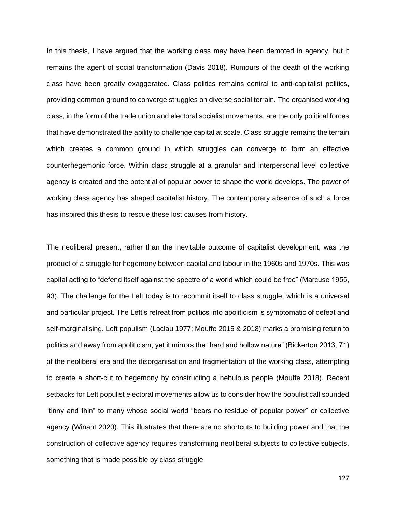In this thesis, I have argued that the working class may have been demoted in agency, but it remains the agent of social transformation (Davis 2018). Rumours of the death of the working class have been greatly exaggerated. Class politics remains central to anti-capitalist politics, providing common ground to converge struggles on diverse social terrain. The organised working class, in the form of the trade union and electoral socialist movements, are the only political forces that have demonstrated the ability to challenge capital at scale. Class struggle remains the terrain which creates a common ground in which struggles can converge to form an effective counterhegemonic force. Within class struggle at a granular and interpersonal level collective agency is created and the potential of popular power to shape the world develops. The power of working class agency has shaped capitalist history. The contemporary absence of such a force has inspired this thesis to rescue these lost causes from history.

The neoliberal present, rather than the inevitable outcome of capitalist development, was the product of a struggle for hegemony between capital and labour in the 1960s and 1970s. This was capital acting to "defend itself against the spectre of a world which could be free" (Marcuse 1955, 93). The challenge for the Left today is to recommit itself to class struggle, which is a universal and particular project. The Left's retreat from politics into apoliticism is symptomatic of defeat and self-marginalising. Left populism (Laclau 1977; Mouffe 2015 & 2018) marks a promising return to politics and away from apoliticism, yet it mirrors the "hard and hollow nature" (Bickerton 2013, 71) of the neoliberal era and the disorganisation and fragmentation of the working class, attempting to create a short-cut to hegemony by constructing a nebulous people (Mouffe 2018). Recent setbacks for Left populist electoral movements allow us to consider how the populist call sounded "tinny and thin" to many whose social world "bears no residue of popular power" or collective agency (Winant 2020). This illustrates that there are no shortcuts to building power and that the construction of collective agency requires transforming neoliberal subjects to collective subjects, something that is made possible by class struggle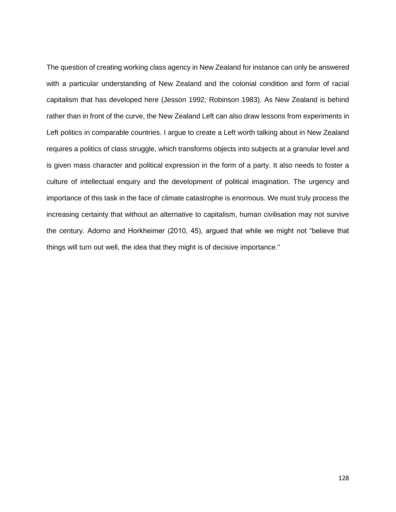The question of creating working class agency in New Zealand for instance can only be answered with a particular understanding of New Zealand and the colonial condition and form of racial capitalism that has developed here (Jesson 1992; Robinson 1983). As New Zealand is behind rather than in front of the curve, the New Zealand Left can also draw lessons from experiments in Left politics in comparable countries. I argue to create a Left worth talking about in New Zealand requires a politics of class struggle, which transforms objects into subjects at a granular level and is given mass character and political expression in the form of a party. It also needs to foster a culture of intellectual enquiry and the development of political imagination. The urgency and importance of this task in the face of climate catastrophe is enormous. We must truly process the increasing certainty that without an alternative to capitalism, human civilisation may not survive the century. Adorno and Horkheimer (2010, 45), argued that while we might not "believe that things will turn out well, the idea that they might is of decisive importance."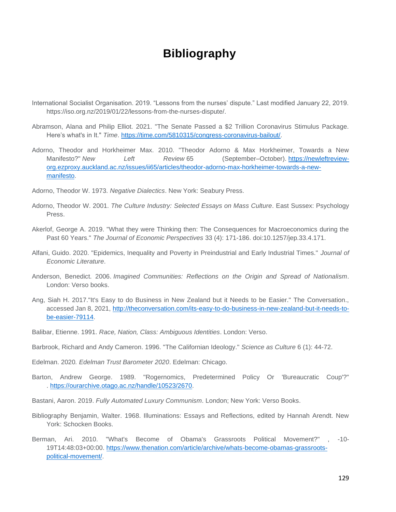## **Bibliography**

- International Socialist Organisation. 2019. "Lessons from the nurses' dispute." Last modified January 22, 2019. https://iso.org.nz/2019/01/22/lessons-from-the-nurses-dispute/.
- Abramson, Alana and Philip Elliot. 2021. "The Senate Passed a \$2 Trillion Coronavirus Stimulus Package. Here's what's in It." *Time*. [https://time.com/5810315/congress-coronavirus-bailout/.](https://time.com/5810315/congress-coronavirus-bailout/)
- Adorno, Theodor and Horkheimer Max. 2010. "Theodor Adorno & Max Horkheimer, Towards a New Manifesto?" *New Left Review* 65 (September–October). [https://newleftreview](https://newleftreview-org.ezproxy.auckland.ac.nz/issues/ii65/articles/theodor-adorno-max-horkheimer-towards-a-new-manifesto)[org.ezproxy.auckland.ac.nz/issues/ii65/articles/theodor-adorno-max-horkheimer-towards-a-new](https://newleftreview-org.ezproxy.auckland.ac.nz/issues/ii65/articles/theodor-adorno-max-horkheimer-towards-a-new-manifesto)[manifesto.](https://newleftreview-org.ezproxy.auckland.ac.nz/issues/ii65/articles/theodor-adorno-max-horkheimer-towards-a-new-manifesto)
- Adorno, Theodor W. 1973. *Negative Dialectics*. New York: Seabury Press.
- Adorno, Theodor W. 2001. *The Culture Industry: Selected Essays on Mass Culture*. East Sussex: Psychology Press.
- Akerlof, George A. 2019. "What they were Thinking then: The Consequences for Macroeconomics during the Past 60 Years." *The Journal of Economic Perspectives* 33 (4): 171-186. doi:10.1257/jep.33.4.171.
- Alfani, Guido. 2020. "Epidemics, Inequality and Poverty in Preindustrial and Early Industrial Times." *Journal of Economic Literature*.
- Anderson, Benedict. 2006. *Imagined Communities: Reflections on the Origin and Spread of Nationalism*. London: Verso books.
- Ang, Siah H. 2017."It's Easy to do Business in New Zealand but it Needs to be Easier." The Conversation., accessed Jan 8, 2021, [http://theconversation.com/its-easy-to-do-business-in-new-zealand-but-it-needs-to](http://theconversation.com/its-easy-to-do-business-in-new-zealand-but-it-needs-to-be-easier-79114)[be-easier-79114.](http://theconversation.com/its-easy-to-do-business-in-new-zealand-but-it-needs-to-be-easier-79114)
- Balibar, Etienne. 1991. *Race, Nation, Class: Ambiguous Identities*. London: Verso.
- Barbrook, Richard and Andy Cameron. 1996. "The Californian Ideology." *Science as Culture* 6 (1): 44-72.
- Edelman. 2020*. Edelman Trust Barometer 2020*. Edelman: Chicago.
- Barton, Andrew George. 1989. "Rogernomics, Predetermined Policy Or 'Bureaucratic Coup'?" . [https://ourarchive.otago.ac.nz/handle/10523/2670.](https://ourarchive.otago.ac.nz/handle/10523/2670)
- Bastani, Aaron. 2019. *Fully Automated Luxury Communism*. London; New York: Verso Books.
- Bibliography Benjamin, Walter. 1968. Illuminations: Essays and Reflections, edited by Hannah Arendt. New York: Schocken Books.
- Berman, Ari. 2010. "What's Become of Obama's Grassroots Political Movement?" , -10- 19T14:48:03+00:00. [https://www.thenation.com/article/archive/whats-become-obamas-grassroots](https://www.thenation.com/article/archive/whats-become-obamas-grassroots-political-movement/)[political-movement/.](https://www.thenation.com/article/archive/whats-become-obamas-grassroots-political-movement/)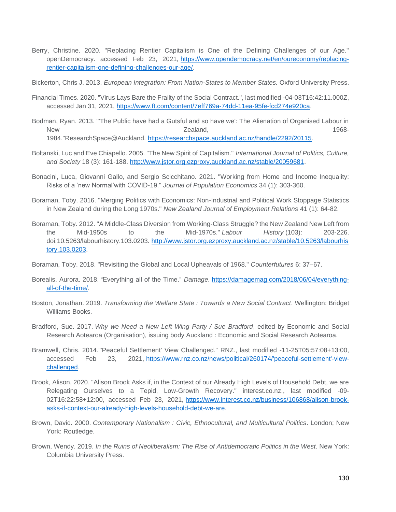Berry, Christine. 2020. "Replacing Rentier Capitalism is One of the Defining Challenges of our Age." openDemocracy. accessed Feb 23, 2021, [https://www.opendemocracy.net/en/oureconomy/replacing](https://www.opendemocracy.net/en/oureconomy/replacing-rentier-capitalism-one-defining-challenges-our-age/)[rentier-capitalism-one-defining-challenges-our-age/.](https://www.opendemocracy.net/en/oureconomy/replacing-rentier-capitalism-one-defining-challenges-our-age/)

Bickerton, Chris J. 2013. *European Integration: From Nation-States to Member States.* Oxford University Press.

- Financial Times. 2020. "Virus Lays Bare the Frailty of the Social Contract.", last modified -04-03T16:42:11.000Z, accessed Jan 31, 2021, [https://www.ft.com/content/7eff769a-74dd-11ea-95fe-fcd274e920ca.](https://www.ft.com/content/7eff769a-74dd-11ea-95fe-fcd274e920ca)
- Bodman, Ryan. 2013. "'The Public have had a Gutsful and so have we': The Alienation of Organised Labour in New 1968-1984."ResearchSpace@Auckland. [https://researchspace.auckland.ac.nz/handle/2292/20115.](https://researchspace.auckland.ac.nz/handle/2292/20115)
- Boltanski, Luc and Eve Chiapello. 2005. "The New Spirit of Capitalism." *International Journal of Politics, Culture, and Society* 18 (3): 161-188. [http://www.jstor.org.ezproxy.auckland.ac.nz/stable/20059681.](http://www.jstor.org.ezproxy.auckland.ac.nz/stable/20059681)
- Bonacini, Luca, Giovanni Gallo, and Sergio Scicchitano. 2021. "Working from Home and Income Inequality: Risks of a 'new Normal'with COVID-19." *Journal of Population Economics* 34 (1): 303-360.
- Boraman, Toby. 2016. "Merging Politics with Economics: Non-Industrial and Political Work Stoppage Statistics in New Zealand during the Long 1970s." *New Zealand Journal of Employment Relations* 41 (1): 64-82.
- Boraman, Toby. 2012. "A Middle-Class Diversion from Working-Class Struggle? the New Zealand New Left from the Mid-1950s to the Mid-1970s." *Labour History* (103): 203-226. doi:10.5263/labourhistory.103.0203. [http://www.jstor.org.ezproxy.auckland.ac.nz/stable/10.5263/labourhis](http://www.jstor.org.ezproxy.auckland.ac.nz/stable/10.5263/labourhistory.103.0203) [tory.103.0203.](http://www.jstor.org.ezproxy.auckland.ac.nz/stable/10.5263/labourhistory.103.0203)
- Boraman, Toby. 2018. "Revisiting the Global and Local Upheavals of 1968." *Counterfutures* 6: 37–67.
- Borealis, Aurora. 2018. *"*Everything all of the Time." *Damage.* [https://damagemag.com/2018/06/04/everything](https://damagemag.com/2018/06/04/everything-all-of-the-time/)[all-of-the-time/.](https://damagemag.com/2018/06/04/everything-all-of-the-time/)
- Boston, Jonathan. 2019. *Transforming the Welfare State : Towards a New Social Contract*. Wellington: Bridget Williams Books.
- Bradford, Sue. 2017. *Why we Need a New Left Wing Party / Sue Bradford*, edited by Economic and Social Research Aotearoa (Organisation), issuing body Auckland : Economic and Social Research Aotearoa.
- Bramwell, Chris. 2014."'Peaceful Settlement' View Challenged." RNZ., last modified -11-25T05:57:08+13:00, accessed Feb 23, 2021, [https://www.rnz.co.nz/news/political/260174/'peaceful-settlement'-view](https://www.rnz.co.nz/news/political/260174/)[challenged.](https://www.rnz.co.nz/news/political/260174/)
- Brook, Alison. 2020. "Alison Brook Asks if, in the Context of our Already High Levels of Household Debt, we are Relegating Ourselves to a Tepid, Low-Growth Recovery." interest.co.nz., last modified -09- 02T16:22:58+12:00, accessed Feb 23, 2021, [https://www.interest.co.nz/business/106868/alison-brook](https://www.interest.co.nz/business/106868/alison-brook-asks-if-context-our-already-high-levels-household-debt-we-are)[asks-if-context-our-already-high-levels-household-debt-we-are.](https://www.interest.co.nz/business/106868/alison-brook-asks-if-context-our-already-high-levels-household-debt-we-are)
- Brown, David. 2000. *Contemporary Nationalism : Civic, Ethnocultural, and Multicultural Politics*. London; New York: Routledge.
- Brown, Wendy. 2019. *In the Ruins of Neoliberalism: The Rise of Antidemocratic Politics in the West*. New York: Columbia University Press.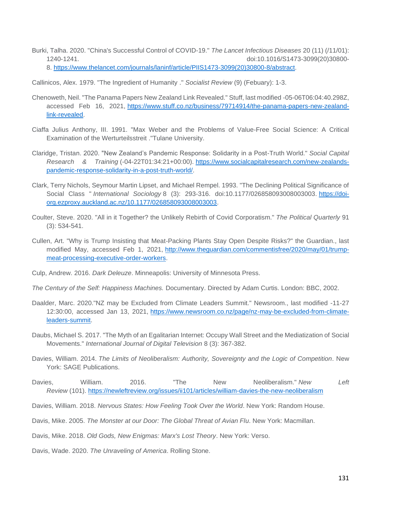Burki, Talha. 2020. "China's Successful Control of COVID-19." *The Lancet Infectious Diseases* 20 (11) (/11/01): 1240-1241. doi:10.1016/S1473-3099(20)30800- 8. [https://www.thelancet.com/journals/laninf/article/PIIS1473-3099\(20\)30800-8/abstract.](https://www.thelancet.com/journals/laninf/article/PIIS1473-3099(20)30800-8/abstract)

Callinicos, Alex. 1979. "The Ingredient of Humanity ." *Socialist Review* (9) (Febuary): 1-3.

- Chenoweth, Neil. "The Panama Papers New Zealand Link Revealed." Stuff, last modified -05-06T06:04:40.298Z, accessed Feb 16, 2021, [https://www.stuff.co.nz/business/79714914/the-panama-papers-new-zealand](https://www.stuff.co.nz/business/79714914/the-panama-papers-new-zealand-link-revealed)[link-revealed.](https://www.stuff.co.nz/business/79714914/the-panama-papers-new-zealand-link-revealed)
- Ciaffa Julius Anthony, III. 1991. "Max Weber and the Problems of Value-Free Social Science: A Critical Examination of the Werturteilsstreit ."Tulane University.
- Claridge, Tristan. 2020. "New Zealand's Pandemic Response: Solidarity in a Post-Truth World." *Social Capital Research & Training* (-04-22T01:34:21+00:00). [https://www.socialcapitalresearch.com/new-zealands](https://www.socialcapitalresearch.com/new-zealands-pandemic-response-solidarity-in-a-post-truth-world/)[pandemic-response-solidarity-in-a-post-truth-world/.](https://www.socialcapitalresearch.com/new-zealands-pandemic-response-solidarity-in-a-post-truth-world/)
- Clark, Terry Nichols, Seymour Martin Lipset, and Michael Rempel. 1993. "The Declining Political Significance of Social Class " *International Sociology* 8 (3): 293-316. doi:10.1177/026858093008003003. [https://doi](https://doi-org.ezproxy.auckland.ac.nz/10.1177/026858093008003003)[org.ezproxy.auckland.ac.nz/10.1177/026858093008003003.](https://doi-org.ezproxy.auckland.ac.nz/10.1177/026858093008003003)
- Coulter, Steve. 2020. "All in it Together? the Unlikely Rebirth of Covid Corporatism." *The Political Quarterly* 91 (3): 534-541.
- Cullen, Art. "Why is Trump Insisting that Meat-Packing Plants Stay Open Despite Risks?" the Guardian., last modified May, accessed Feb 1, 2021, [http://www.theguardian.com/commentisfree/2020/may/01/trump](http://www.theguardian.com/commentisfree/2020/may/01/trump-meat-processing-executive-order-workers)[meat-processing-executive-order-workers.](http://www.theguardian.com/commentisfree/2020/may/01/trump-meat-processing-executive-order-workers)
- Culp, Andrew. 2016. *Dark Deleuze*. Minneapolis: University of Minnesota Press.
- *The Century of the Self: Happiness Machines.* Documentary. Directed by Adam Curtis. London: BBC, 2002.
- Daalder, Marc. 2020."NZ may be Excluded from Climate Leaders Summit." Newsroom., last modified -11-27 12:30:00, accessed Jan 13, 2021, [https://www.newsroom.co.nz/page/nz-may-be-excluded-from-climate](https://www.newsroom.co.nz/page/nz-may-be-excluded-from-climate-leaders-summit)[leaders-summit.](https://www.newsroom.co.nz/page/nz-may-be-excluded-from-climate-leaders-summit)
- Daubs, Michael S. 2017. "The Myth of an Egalitarian Internet: Occupy Wall Street and the Mediatization of Social Movements." *International Journal of Digital Television* 8 (3): 367-382.
- Davies, William. 2014. *The Limits of Neoliberalism: Authority, Sovereignty and the Logic of Competition*. New York: SAGE Publications.
- Davies, William. 2016. "The New Neoliberalism." *New Left Review* (101). <https://newleftreview.org/issues/ii101/articles/william-davies-the-new-neoliberalism>

Davies, William. 2018. *Nervous States: How Feeling Took Over the World*. New York: Random House.

Davis, Mike. 2005. *The Monster at our Door: The Global Threat of Avian Flu*. New York: Macmillan.

Davis, Mike. 2018. *Old Gods, New Enigmas: Marx's Lost Theory*. New York: Verso.

Davis, Wade. 2020. *The Unraveling of America*. Rolling Stone.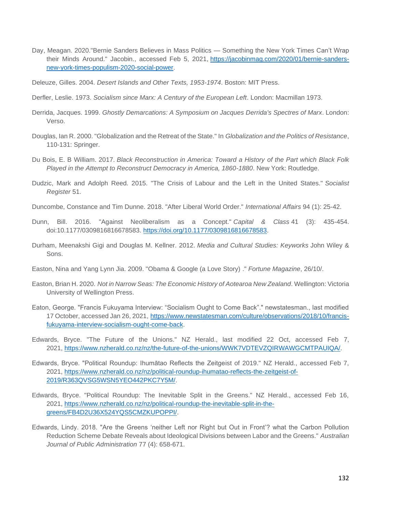- Day, Meagan. 2020."Bernie Sanders Believes in Mass Politics Something the New York Times Can't Wrap their Minds Around." Jacobin., accessed Feb 5, 2021, [https://jacobinmag.com/2020/01/bernie-sanders](https://jacobinmag.com/2020/01/bernie-sanders-new-york-times-populism-2020-social-power)[new-york-times-populism-2020-social-power.](https://jacobinmag.com/2020/01/bernie-sanders-new-york-times-populism-2020-social-power)
- Deleuze, Gilles. 2004. *Desert Islands and Other Texts, 1953-1974*. Boston: MIT Press.
- Derfler, Leslie. 1973. *Socialism since Marx: A Century of the European Left*. London: Macmillan 1973.
- Derrida, Jacques. 1999. *Ghostly Demarcations: A Symposium on Jacques Derrida's Spectres of Marx*. London: Verso.
- Douglas, Ian R. 2000. "Globalization and the Retreat of the State." In *Globalization and the Politics of Resistance*, 110-131: Springer.
- Du Bois, E. B William. 2017. *Black Reconstruction in America: Toward a History of the Part which Black Folk Played in the Attempt to Reconstruct Democracy in America, 1860-1880*. New York: Routledge.
- Dudzic, Mark and Adolph Reed. 2015. "The Crisis of Labour and the Left in the United States." *Socialist Register* 51.
- Duncombe, Constance and Tim Dunne. 2018. "After Liberal World Order." *International Affairs* 94 (1): 25-42.
- Dunn, Bill. 2016. "Against Neoliberalism as a Concept." *Capital & Class* 41 (3): 435-454. doi:10.1177/0309816816678583. [https://doi.org/10.1177/0309816816678583.](https://doi.org/10.1177/0309816816678583)
- Durham, Meenakshi Gigi and Douglas M. Kellner. 2012. *Media and Cultural Studies: Keyworks* John Wiley & Sons.
- Easton, Nina and Yang Lynn Jia. 2009. "Obama & Google (a Love Story) ." *Fortune Magazine*, 26/10/.
- Easton, Brian H. 2020. *Not in Narrow Seas: The Economic History of Aotearoa New Zealand*. Wellington: Victoria University of Wellington Press.
- Eaton, George. "Francis Fukuyama Interview: "Socialism Ought to Come Back"." newstatesman., last modified 17 October, accessed Jan 26, 2021, [https://www.newstatesman.com/culture/observations/2018/10/francis](https://www.newstatesman.com/culture/observations/2018/10/francis-fukuyama-interview-socialism-ought-come-back)[fukuyama-interview-socialism-ought-come-back.](https://www.newstatesman.com/culture/observations/2018/10/francis-fukuyama-interview-socialism-ought-come-back)
- Edwards, Bryce. "The Future of the Unions." NZ Herald., last modified 22 Oct, accessed Feb 7, 2021, [https://www.nzherald.co.nz/nz/the-future-of-the-unions/WWK7VDTEVZQIRWAWGCMTPAUIQA/.](https://www.nzherald.co.nz/nz/the-future-of-the-unions/WWK7VDTEVZQIRWAWGCMTPAUIQA/)
- Edwards, Bryce. "Political Roundup: Ihumātao Reflects the Zeitgeist of 2019." NZ Herald., accessed Feb 7, 2021, [https://www.nzherald.co.nz/nz/political-roundup-ihumatao-reflects-the-zeitgeist-of-](https://www.nzherald.co.nz/nz/political-roundup-ihumatao-reflects-the-zeitgeist-of-2019/R363QVSG5WSN5YEO442PKC7Y5M/)[2019/R363QVSG5WSN5YEO442PKC7Y5M/.](https://www.nzherald.co.nz/nz/political-roundup-ihumatao-reflects-the-zeitgeist-of-2019/R363QVSG5WSN5YEO442PKC7Y5M/)
- Edwards, Bryce. "Political Roundup: The Inevitable Split in the Greens." NZ Herald., accessed Feb 16, 2021, [https://www.nzherald.co.nz/nz/political-roundup-the-inevitable-split-in-the](https://www.nzherald.co.nz/nz/political-roundup-the-inevitable-split-in-the-greens/FB4D2U36X524YQS5CMZKUPOPPI/)[greens/FB4D2U36X524YQS5CMZKUPOPPI/.](https://www.nzherald.co.nz/nz/political-roundup-the-inevitable-split-in-the-greens/FB4D2U36X524YQS5CMZKUPOPPI/)
- Edwards, Lindy. 2018. "Are the Greens 'neither Left nor Right but Out in Front'? what the Carbon Pollution Reduction Scheme Debate Reveals about Ideological Divisions between Labor and the Greens." *Australian Journal of Public Administration* 77 (4): 658-671.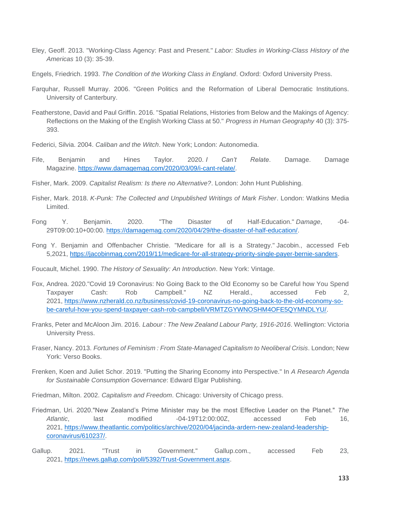- Eley, Geoff. 2013. "Working-Class Agency: Past and Present." *Labor: Studies in Working-Class History of the Americas* 10 (3): 35-39.
- Engels, Friedrich. 1993. *The Condition of the Working Class in England*. Oxford: Oxford University Press.
- Farquhar, Russell Murray. 2006. "Green Politics and the Reformation of Liberal Democratic Institutions. University of Canterbury.
- Featherstone, David and Paul Griffin. 2016. "Spatial Relations, Histories from Below and the Makings of Agency: Reflections on the Making of the English Working Class at 50." *Progress in Human Geography* 40 (3): 375- 393.
- Federici, Silvia. 2004. *Caliban and the Witch*. New York; London: Autonomedia.
- Fife, Benjamin and Hines Taylor. 2020. *I Can't Relate*. Damage. Damage Magazine. [https://www.damagemag.com/2020/03/09/i-cant-relate/.](https://www.damagemag.com/2020/03/09/i-cant-relate/)
- Fisher, Mark. 2009. *Capitalist Realism: Is there no Alternative?*. London: John Hunt Publishing.
- Fisher, Mark. 2018. *K-Punk: The Collected and Unpublished Writings of Mark Fisher*. London: Watkins Media Limited.
- Fong Y. Benjamin. 2020. "The Disaster of Half-Education." *Damage*, -04- 29T09:00:10+00:00. [https://damagemag.com/2020/04/29/the-disaster-of-half-education/.](https://damagemag.com/2020/04/29/the-disaster-of-half-education/)
- Fong Y. Benjamin and Offenbacher Christie. "Medicare for all is a Strategy." Jacobin., accessed Feb 5,2021, [https://jacobinmag.com/2019/11/medicare-for-all-strategy-priority-single-payer-bernie-sanders.](https://jacobinmag.com/2019/11/medicare-for-all-strategy-priority-single-payer-bernie-sanders)

Foucault, Michel. 1990. *The History of Sexuality: An Introduction*. New York: Vintage.

- Fox, Andrea. 2020."Covid 19 Coronavirus: No Going Back to the Old Economy so be Careful how You Spend Taxpayer Cash: Rob Campbell." NZ Herald., accessed Feb 2, 2021, [https://www.nzherald.co.nz/business/covid-19-coronavirus-no-going-back-to-the-old-economy-so](https://www.nzherald.co.nz/business/covid-19-coronavirus-no-going-back-to-the-old-economy-so-be-careful-how-you-spend-taxpayer-cash-rob-campbell/VRMTZGYWNOSHM4OFE5QYMNDLYU/)[be-careful-how-you-spend-taxpayer-cash-rob-campbell/VRMTZGYWNOSHM4OFE5QYMNDLYU/.](https://www.nzherald.co.nz/business/covid-19-coronavirus-no-going-back-to-the-old-economy-so-be-careful-how-you-spend-taxpayer-cash-rob-campbell/VRMTZGYWNOSHM4OFE5QYMNDLYU/)
- Franks, Peter and McAloon Jim. 2016. *Labour : The New Zealand Labour Party, 1916-2016*. Wellington: Victoria University Press.
- Fraser, Nancy. 2013. *Fortunes of Feminism : From State-Managed Capitalism to Neoliberal Crisis*. London; New York: Verso Books.
- Frenken, Koen and Juliet Schor. 2019. "Putting the Sharing Economy into Perspective." In *A Research Agenda for Sustainable Consumption Governance*: Edward Elgar Publishing.

Friedman, Milton. 2002. *Capitalism and Freedom*. Chicago: University of Chicago press.

- Friedman, Uri. 2020."New Zealand's Prime Minister may be the most Effective Leader on the Planet." *The*  Atlantic, last modified -04-19T12:00:00Z, accessed Feb 16, 2021, [https://www.theatlantic.com/politics/archive/2020/04/jacinda-ardern-new-zealand-leadership](https://www.theatlantic.com/politics/archive/2020/04/jacinda-ardern-new-zealand-leadership-coronavirus/610237/)[coronavirus/610237/.](https://www.theatlantic.com/politics/archive/2020/04/jacinda-ardern-new-zealand-leadership-coronavirus/610237/)
- Gallup. 2021. "Trust in Government." Gallup.com., accessed Feb 23, 2021, [https://news.gallup.com/poll/5392/Trust-Government.aspx.](https://news.gallup.com/poll/5392/Trust-Government.aspx)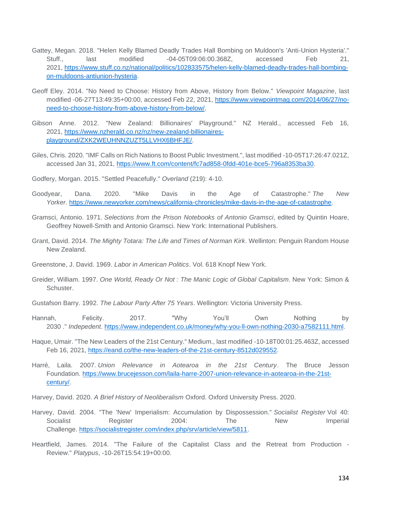- Gattey, Megan. 2018. "Helen Kelly Blamed Deadly Trades Hall Bombing on Muldoon's 'Anti-Union Hysteria'." Stuff., last modified -04-05T09:06:00.368Z, accessed Feb 21, 2021, [https://www.stuff.co.nz/national/politics/102833575/helen-kelly-blamed-deadly-trades-hall-bombing](https://www.stuff.co.nz/national/politics/102833575/helen-kelly-blamed-deadly-trades-hall-bombing-on-muldoons-antiunion-hysteria)[on-muldoons-antiunion-hysteria.](https://www.stuff.co.nz/national/politics/102833575/helen-kelly-blamed-deadly-trades-hall-bombing-on-muldoons-antiunion-hysteria)
- Geoff Eley. 2014. "No Need to Choose: History from Above, History from Below." *Viewpoint Magazine*, last modified -06-27T13:49:35+00:00, accessed Feb 22, 2021, [https://www.viewpointmag.com/2014/06/27/no](https://www.viewpointmag.com/2014/06/27/no-need-to-choose-history-from-above-history-from-below/)[need-to-choose-history-from-above-history-from-below/.](https://www.viewpointmag.com/2014/06/27/no-need-to-choose-history-from-above-history-from-below/)
- Gibson Anne. 2012. "New Zealand: Billionaires' Playground." NZ Herald., accessed Feb 16, 2021, [https://www.nzherald.co.nz/nz/new-zealand-billionaires](https://www.nzherald.co.nz/nz/new-zealand-billionaires-playground/ZXK2WEUHNNZUZT5LLVHX6BHFJE/)[playground/ZXK2WEUHNNZUZT5LLVHX6BHFJE/.](https://www.nzherald.co.nz/nz/new-zealand-billionaires-playground/ZXK2WEUHNNZUZT5LLVHX6BHFJE/)
- Giles, Chris. 2020. "IMF Calls on Rich Nations to Boost Public Investment.", last modified -10-05T17:26:47.021Z, accessed Jan 31, 2021, [https://www.ft.com/content/fc7ad858-0fdd-401e-bce5-796a8353ba30.](https://www.ft.com/content/fc7ad858-0fdd-401e-bce5-796a8353ba30)
- Godfery, Morgan. 2015. "Settled Peacefully." *Overland* (219): 4-10.
- Goodyear, Dana. 2020. "Mike Davis in the Age of Catastrophe." *The New Yorker*. [https://www.newyorker.com/news/california-chronicles/mike-davis-in-the-age-of-catastrophe.](https://www.newyorker.com/news/california-chronicles/mike-davis-in-the-age-of-catastrophe)
- Gramsci, Antonio. 1971. *Selections from the Prison Notebooks of Antonio Gramsci*, edited by Quintin Hoare, Geoffrey Nowell-Smith and Antonio Gramsci. New York: International Publishers.
- Grant, David. 2014. *The Mighty Totara: The Life and Times of Norman Kirk*. Wellinton: Penguin Random House New Zealand.
- Greenstone, J. David. 1969. *Labor in American Politics*. Vol. 618 Knopf New York.
- Greider, William. 1997. *One World, Ready Or Not : The Manic Logic of Global Capitalism*. New York: Simon & Schuster.
- Gustafson Barry. 1992. *The Labour Party After 75 Years*. Wellington: Victoria University Press.
- Hannah, Felicity. 2017. "Why You'll Own Nothing by 2030 ." *Indepedent*. [https://www.independent.co.uk/money/why-you-ll-own-nothing-2030-a7582111.html.](https://www.independent.co.uk/money/why-you-ll-own-nothing-2030-a7582111.html)
- Haque, Umair. "The New Leaders of the 21st Century." Medium., last modified -10-18T00:01:25.463Z, accessed Feb 16, 2021, [https://eand.co/the-new-leaders-of-the-21st-century-8512d029552.](https://eand.co/the-new-leaders-of-the-21st-century-8512d029552)
- Harré, Laila. 2007. *Union Relevance in Aotearoa in the 21st Century*. The Bruce Jesson Foundation. [https://www.brucejesson.com/laila-harre-2007-union-relevance-in-aotearoa-in-the-21st](https://www.brucejesson.com/laila-harre-2007-union-relevance-in-aotearoa-in-the-21st-century/)[century/.](https://www.brucejesson.com/laila-harre-2007-union-relevance-in-aotearoa-in-the-21st-century/)
- Harvey, David. 2020. *A Brief History of Neoliberalism* Oxford. Oxford University Press. 2020.
- Harvey, David. 2004. "The 'New' Imperialism: Accumulation by Dispossession." *Socialist Register* Vol 40: Socialist **Register** 2004: The New Imperial Challenge. [https://socialistregister.com/index.php/srv/article/view/5811.](https://socialistregister.com/index.php/srv/article/view/5811)
- Heartfield, James. 2014. "The Failure of the Capitalist Class and the Retreat from Production Review." *Platypus*, -10-26T15:54:19+00:00.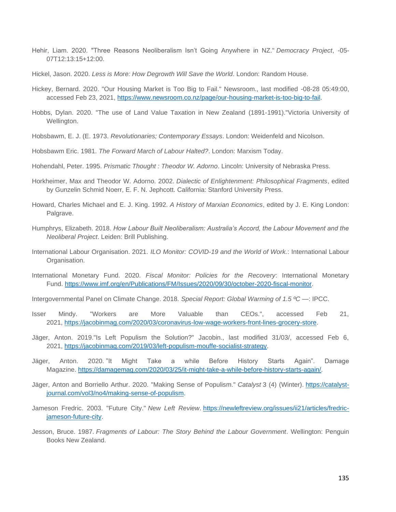- Hehir, Liam. 2020. "Three Reasons Neoliberalism Isn't Going Anywhere in NZ." *Democracy Project*, -05- 07T12:13:15+12:00.
- Hickel, Jason. 2020. *Less is More: How Degrowth Will Save the World*. London: Random House.
- Hickey, Bernard. 2020. "Our Housing Market is Too Big to Fail." Newsroom., last modified -08-28 05:49:00, accessed Feb 23, 2021, [https://www.newsroom.co.nz/page/our-housing-market-is-too-big-to-fail.](https://www.newsroom.co.nz/page/our-housing-market-is-too-big-to-fail)
- Hobbs, Dylan. 2020. "The use of Land Value Taxation in New Zealand (1891-1991)."Victoria University of Wellington.
- Hobsbawm, E. J. (E. 1973. *Revolutionaries; Contemporary Essays*. London: Weidenfeld and Nicolson.
- Hobsbawm Eric. 1981. *The Forward March of Labour Halted?*. London: Marxism Today.
- Hohendahl, Peter. 1995. *Prismatic Thought : Theodor W. Adorno*. Lincoln: University of Nebraska Press.
- Horkheimer, Max and Theodor W. Adorno. 2002. *Dialectic of Enlightenment: Philosophical Fragments*, edited by Gunzelin Schmid Noerr, E. F. N. Jephcott. California: Stanford University Press.
- Howard, Charles Michael and E. J. King. 1992. *A History of Marxian Economics*, edited by J. E. King London: Palgrave.
- Humphrys, Elizabeth. 2018. *How Labour Built Neoliberalism: Australia's Accord, the Labour Movement and the Neoliberal Project*. Leiden: Brill Publishing.
- International Labour Organisation. 2021*. ILO Monitor: COVID-19 and the World of Work.*: International Labour Organisation.
- International Monetary Fund. 2020*. Fiscal Monitor: Policies for the Recovery*: International Monetary Fund. [https://www.imf.org/en/Publications/FM/Issues/2020/09/30/october-2020-fiscal-monitor.](https://www.imf.org/en/Publications/FM/Issues/2020/09/30/october-2020-fiscal-monitor)
- Intergovernmental Panel on Climate Change. 2018*. Special Report: Global Warming of 1.5 ºC —*: IPCC.
- Isser Mindy. "Workers are More Valuable than CEOs.", accessed Feb 21, 2021, [https://jacobinmag.com/2020/03/coronavirus-low-wage-workers-front-lines-grocery-store.](https://jacobinmag.com/2020/03/coronavirus-low-wage-workers-front-lines-grocery-store)
- Jäger, Anton. 2019."Is Left Populism the Solution?" Jacobin., last modified 31/03/, accessed Feb 6, 2021, [https://jacobinmag.com/2019/03/left-populism-mouffe-socialist-strategy.](https://jacobinmag.com/2019/03/left-populism-mouffe-socialist-strategy)
- Jäger, Anton. 2020. "It Might Take a while Before History Starts Again". Damage Magazine. [https://damagemag.com/2020/03/25/it-might-take-a-while-before-history-starts-again/.](https://damagemag.com/2020/03/25/it-might-take-a-while-before-history-starts-again/)
- Jäger, Anton and Borriello Arthur. 2020. "Making Sense of Populism." *Catalyst* 3 (4) (Winter). [https://catalyst](https://catalyst-journal.com/vol3/no4/making-sense-of-populism)[journal.com/vol3/no4/making-sense-of-populism.](https://catalyst-journal.com/vol3/no4/making-sense-of-populism)
- Jameson Fredric. 2003. "Future City." *New Left Review*. [https://newleftreview.org/issues/ii21/articles/fredric](https://newleftreview.org/issues/ii21/articles/fredric-jameson-future-city)[jameson-future-city.](https://newleftreview.org/issues/ii21/articles/fredric-jameson-future-city)
- Jesson, Bruce. 1987. *Fragments of Labour: The Story Behind the Labour Government*. Wellington: Penguin Books New Zealand.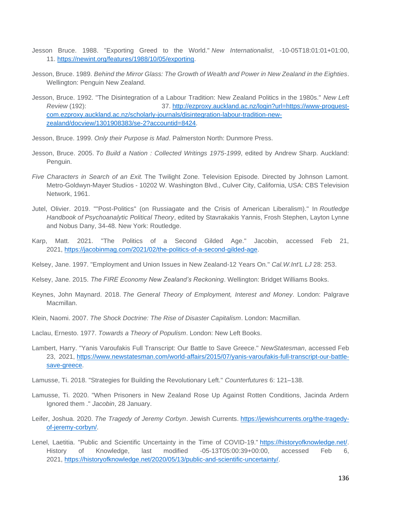- Jesson Bruce. 1988. "Exporting Greed to the World." *New Internationalist*, -10-05T18:01:01+01:00, 11. [https://newint.org/features/1988/10/05/exporting.](https://newint.org/features/1988/10/05/exporting)
- Jesson, Bruce. 1989. *Behind the Mirror Glass: The Growth of Wealth and Power in New Zealand in the Eighties*. Wellington: Penguin New Zealand.
- Jesson, Bruce. 1992. "The Disintegration of a Labour Tradition: New Zealand Politics in the 1980s." *New Left Review* (192): 37. [http://ezproxy.auckland.ac.nz/login?url=https://www-proquest](http://ezproxy.auckland.ac.nz/login?url=https://www-proquest-com.ezproxy.auckland.ac.nz/scholarly-journals/disintegration-labour-tradition-new-zealand/docview/1301908383/se-2?accountid=8424)[com.ezproxy.auckland.ac.nz/scholarly-journals/disintegration-labour-tradition-new](http://ezproxy.auckland.ac.nz/login?url=https://www-proquest-com.ezproxy.auckland.ac.nz/scholarly-journals/disintegration-labour-tradition-new-zealand/docview/1301908383/se-2?accountid=8424)[zealand/docview/1301908383/se-2?accountid=8424.](http://ezproxy.auckland.ac.nz/login?url=https://www-proquest-com.ezproxy.auckland.ac.nz/scholarly-journals/disintegration-labour-tradition-new-zealand/docview/1301908383/se-2?accountid=8424)
- Jesson, Bruce. 1999. *Only their Purpose is Mad*. Palmerston North: Dunmore Press.
- Jesson, Bruce. 2005. *To Build a Nation : Collected Writings 1975-1999*, edited by Andrew Sharp. Auckland: Penguin.
- *Five Characters in Search of an Exit.* The Twilight Zone. Television Episode. Directed by Johnson Lamont. Metro-Goldwyn-Mayer Studios - 10202 W. Washington Blvd., Culver City, California, USA: CBS Television Network, 1961.
- Jutel, Olivier. 2019. ""Post-Politics" (on Russiagate and the Crisis of American Liberalism)." In *Routledge Handbook of Psychoanalytic Political Theory*, edited by Stavrakakis Yannis, Frosh Stephen, Layton Lynne and Nobus Dany, 34-48. New York: Routledge.
- Karp, Matt. 2021. "The Politics of a Second Gilded Age." Jacobin, accessed Feb 21, 2021, [https://jacobinmag.com/2021/02/the-politics-of-a-second-gilded-age.](https://jacobinmag.com/2021/02/the-politics-of-a-second-gilded-age)
- Kelsey, Jane. 1997. "Employment and Union Issues in New Zealand-12 Years On." *Cal.W.Int'L LJ* 28: 253.
- Kelsey, Jane. 2015. *The FIRE Economy New Zealand's Reckoning*. Wellington: Bridget Williams Books.
- Keynes, John Maynard. 2018. *The General Theory of Employment, Interest and Money*. London: Palgrave Macmillan.
- Klein, Naomi. 2007. *The Shock Doctrine: The Rise of Disaster Capitalism*. London: Macmillan.
- Laclau, Ernesto. 1977. *Towards a Theory of Populism*. London: New Left Books.
- Lambert, Harry. "Yanis Varoufakis Full Transcript: Our Battle to Save Greece." *NewStatesman*, accessed Feb 23, 2021, [https://www.newstatesman.com/world-affairs/2015/07/yanis-varoufakis-full-transcript-our-battle](https://www.newstatesman.com/world-affairs/2015/07/yanis-varoufakis-full-transcript-our-battle-save-greece)[save-greece.](https://www.newstatesman.com/world-affairs/2015/07/yanis-varoufakis-full-transcript-our-battle-save-greece)
- Lamusse, Ti. 2018. "Strategies for Building the Revolutionary Left." *Counterfutures* 6: 121–138.
- Lamusse, Ti. 2020. "When Prisoners in New Zealand Rose Up Against Rotten Conditions, Jacinda Ardern Ignored them ." *Jacobin*, 28 January.
- Leifer, Joshua. 2020. *The Tragedy of Jeremy Corbyn*. Jewish Currents. [https://jewishcurrents.org/the-tragedy](https://jewishcurrents.org/the-tragedy-of-jeremy-corbyn/)[of-jeremy-corbyn/.](https://jewishcurrents.org/the-tragedy-of-jeremy-corbyn/)
- Lenel, Laetitia. "Public and Scientific Uncertainty in the Time of COVID-19." [https://historyofknowledge.net/.](https://historyofknowledge.net/) History of Knowledge, last modified -05-13T05:00:39+00:00, accessed Feb 6, 2021, [https://historyofknowledge.net/2020/05/13/public-and-scientific-uncertainty/.](https://historyofknowledge.net/2020/05/13/public-and-scientific-uncertainty/)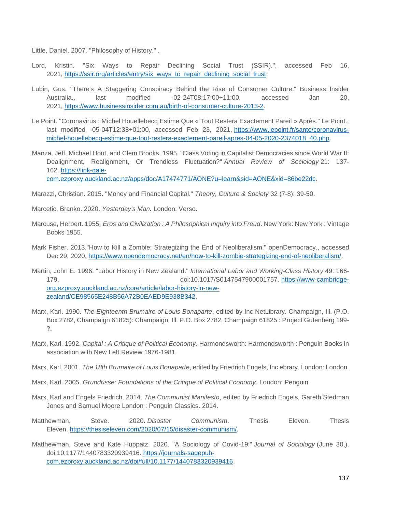Little, Daniel. 2007. "Philosophy of History." .

- Lord, Kristin. "Six Ways to Repair Declining Social Trust (SSIR).", accessed Feb 16, 2021, [https://ssir.org/articles/entry/six\\_ways\\_to\\_repair\\_declining\\_social\\_trust.](https://ssir.org/articles/entry/six_ways_to_repair_declining_social_trust)
- Lubin, Gus. "There's A Staggering Conspiracy Behind the Rise of Consumer Culture." Business Insider Australia., last modified -02-24T08:17:00+11:00, accessed Jan 20, 2021, [https://www.businessinsider.com.au/birth-of-consumer-culture-2013-2.](https://www.businessinsider.com.au/birth-of-consumer-culture-2013-2)
- Le Point. "Coronavirus : Michel Houellebecq Estime Que « Tout Restera Exactement Pareil » Après." Le Point., last modified -05-04T12:38+01:00, accessed Feb 23, 2021, [https://www.lepoint.fr/sante/coronavirus](https://www.lepoint.fr/sante/coronavirus-michel-houellebecq-estime-que-tout-restera-exactement-pareil-apres-04-05-2020-2374018_40.php)[michel-houellebecq-estime-que-tout-restera-exactement-pareil-apres-04-05-2020-2374018\\_40.php.](https://www.lepoint.fr/sante/coronavirus-michel-houellebecq-estime-que-tout-restera-exactement-pareil-apres-04-05-2020-2374018_40.php)
- Manza, Jeff, Michael Hout, and Clem Brooks. 1995. "Class Voting in Capitalist Democracies since World War II: Dealignment, Realignment, Or Trendless Fluctuation?" *Annual Review of Sociology* 21: 137- 162. [https://link-gale](https://link-gale-com.ezproxy.auckland.ac.nz/apps/doc/A17474771/AONE?u=learn&sid=AONE&xid=86be22dc)[com.ezproxy.auckland.ac.nz/apps/doc/A17474771/AONE?u=learn&sid=AONE&xid=86be22dc.](https://link-gale-com.ezproxy.auckland.ac.nz/apps/doc/A17474771/AONE?u=learn&sid=AONE&xid=86be22dc)
- Marazzi, Christian. 2015. "Money and Financial Capital." *Theory, Culture & Society* 32 (7-8): 39-50.
- Marcetic, Branko. 2020. *Yesterday's Man.* London: Verso.
- Marcuse, Herbert. 1955. *Eros and Civilization : A Philosophical Inquiry into Freud*. New York: New York : Vintage Books 1955.
- Mark Fisher. 2013."How to Kill a Zombie: Strategizing the End of Neoliberalism." openDemocracy., accessed Dec 29, 2020, [https://www.opendemocracy.net/en/how-to-kill-zombie-strategizing-end-of-neoliberalism/.](https://www.opendemocracy.net/en/how-to-kill-zombie-strategizing-end-of-neoliberalism/)
- Martin, John E. 1996. "Labor History in New Zealand." *International Labor and Working-Class History* 49: 166- 179. doi:10.1017/S0147547900001757. [https://www-cambridge](https://www-cambridge-org.ezproxy.auckland.ac.nz/core/article/labor-history-in-new-zealand/CE98565E248B56A72B0EAED9E938B342)[org.ezproxy.auckland.ac.nz/core/article/labor-history-in-new](https://www-cambridge-org.ezproxy.auckland.ac.nz/core/article/labor-history-in-new-zealand/CE98565E248B56A72B0EAED9E938B342)[zealand/CE98565E248B56A72B0EAED9E938B342.](https://www-cambridge-org.ezproxy.auckland.ac.nz/core/article/labor-history-in-new-zealand/CE98565E248B56A72B0EAED9E938B342)
- Marx, Karl. 1990. *The Eighteenth Brumaire of Louis Bonaparte*, edited by Inc NetLibrary. Champaign, Ill. (P.O. Box 2782, Champaign 61825): Champaign, Ill. P.O. Box 2782, Champaign 61825 : Project Gutenberg 199- ?.
- Marx, Karl. 1992. *Capital : A Critique of Political Economy*. Harmondsworth: Harmondsworth : Penguin Books in association with New Left Review 1976-1981.
- Marx, Karl. 2001. *The 18th Brumaire of Louis Bonaparte*, edited by Friedrich Engels, Inc ebrary. London: London.
- Marx, Karl. 2005. *Grundrisse: Foundations of the Critique of Political Economy*. London: Penguin.
- Marx, Karl and Engels Friedrich. 2014. *The Communist Manifesto*, edited by Friedrich Engels, Gareth Stedman Jones and Samuel Moore London : Penguin Classics. 2014.
- Matthewman, Steve. 2020. *Disaster Communism*. Thesis Eleven. Thesis Eleven. [https://thesiseleven.com/2020/07/15/disaster-communism/.](https://thesiseleven.com/2020/07/15/disaster-communism/)
- Matthewman, Steve and Kate Huppatz. 2020. "A Sociology of Covid-19:" *Journal of Sociology* (June 30,). doi:10.1177/1440783320939416. [https://journals-sagepub](https://journals-sagepub-com.ezproxy.auckland.ac.nz/doi/full/10.1177/1440783320939416)[com.ezproxy.auckland.ac.nz/doi/full/10.1177/1440783320939416.](https://journals-sagepub-com.ezproxy.auckland.ac.nz/doi/full/10.1177/1440783320939416)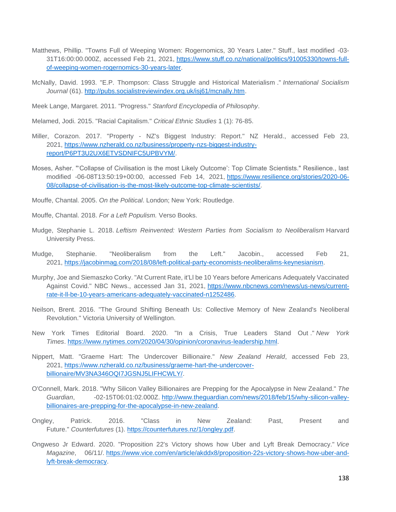- Matthews, Phillip. "Towns Full of Weeping Women: Rogernomics, 30 Years Later." Stuff., last modified -03- 31T16:00:00.000Z, accessed Feb 21, 2021, [https://www.stuff.co.nz/national/politics/91005330/towns-full](https://www.stuff.co.nz/national/politics/91005330/towns-full-of-weeping-women-rogernomics-30-years-later)[of-weeping-women-rogernomics-30-years-later.](https://www.stuff.co.nz/national/politics/91005330/towns-full-of-weeping-women-rogernomics-30-years-later)
- McNally, David. 1993. "E.P. Thompson: Class Struggle and Historical Materialism ." *International Socialism Journal* (61). [http://pubs.socialistreviewindex.org.uk/isj61/mcnally.htm.](http://pubs.socialistreviewindex.org.uk/isj61/mcnally.htm)

Meek Lange, Margaret. 2011. "Progress." *Stanford Encyclopedia of Philosophy*.

Melamed, Jodi. 2015. "Racial Capitalism." *Critical Ethnic Studies* 1 (1): 76-85.

- Miller, Corazon. 2017. "Property NZ's Biggest Industry: Report." NZ Herald., accessed Feb 23, 2021, [https://www.nzherald.co.nz/business/property-nzs-biggest-industry](https://www.nzherald.co.nz/business/property-nzs-biggest-industry-report/P6PT3U2UX6ETVSDNIFC5UPBVYM/)[report/P6PT3U2UX6ETVSDNIFC5UPBVYM/.](https://www.nzherald.co.nz/business/property-nzs-biggest-industry-report/P6PT3U2UX6ETVSDNIFC5UPBVYM/)
- Moses, Asher. "'Collapse of Civilisation is the most Likely Outcome': Top Climate Scientists." Resilience., last modified -06-08T13:50:19+00:00, accessed Feb 14, 2021, [https://www.resilience.org/stories/2020-06-](https://www.resilience.org/stories/2020-06-08/collapse-of-civilisation-is-the-most-likely-outcome-top-climate-scientists/) [08/collapse-of-civilisation-is-the-most-likely-outcome-top-climate-scientists/.](https://www.resilience.org/stories/2020-06-08/collapse-of-civilisation-is-the-most-likely-outcome-top-climate-scientists/)

Mouffe, Chantal. 2005. *On the Political*. London; New York: Routledge.

- Mouffe, Chantal. 2018. *For a Left Populism.* Verso Books.
- Mudge, Stephanie L. 2018. *Leftism Reinvented: Western Parties from Socialism to Neoliberalism* Harvard University Press.
- Mudge, Stephanie. "Neoliberalism from the Left." Jacobin., accessed Feb 21, 2021, [https://jacobinmag.com/2018/08/left-political-party-economists-neoliberalims-keynesianism.](https://jacobinmag.com/2018/08/left-political-party-economists-neoliberalims-keynesianism)
- Murphy, Joe and Siemaszko Corky. "At Current Rate, it'Ll be 10 Years before Americans Adequately Vaccinated Against Covid." NBC News., accessed Jan 31, 2021, [https://www.nbcnews.com/news/us-news/current](https://www.nbcnews.com/news/us-news/current-rate-it-ll-be-10-years-americans-adequately-vaccinated-n1252486)[rate-it-ll-be-10-years-americans-adequately-vaccinated-n1252486.](https://www.nbcnews.com/news/us-news/current-rate-it-ll-be-10-years-americans-adequately-vaccinated-n1252486)
- Neilson, Brent. 2016. "The Ground Shifting Beneath Us: Collective Memory of New Zealand's Neoliberal Revolution." Victoria University of Wellington.
- New York Times Editorial Board. 2020. "In a Crisis, True Leaders Stand Out ." *New York Times*. [https://www.nytimes.com/2020/04/30/opinion/coronavirus-leadership.html.](https://www.nytimes.com/2020/04/30/opinion/coronavirus-leadership.html)
- Nippert, Matt. "Graeme Hart: The Undercover Billionaire." *New Zealand Herald*, accessed Feb 23, 2021, [https://www.nzherald.co.nz/business/graeme-hart-the-undercover](https://www.nzherald.co.nz/business/graeme-hart-the-undercover-billionaire/MV3NA346OQI7JGSNJ5LIFHCWLY/)[billionaire/MV3NA346OQI7JGSNJ5LIFHCWLY/.](https://www.nzherald.co.nz/business/graeme-hart-the-undercover-billionaire/MV3NA346OQI7JGSNJ5LIFHCWLY/)
- O'Connell, Mark. 2018. "Why Silicon Valley Billionaires are Prepping for the Apocalypse in New Zealand." *The Guardian*, -02-15T06:01:02.000Z. [http://www.theguardian.com/news/2018/feb/15/why-silicon-valley](http://www.theguardian.com/news/2018/feb/15/why-silicon-valley-billionaires-are-prepping-for-the-apocalypse-in-new-zealand)[billionaires-are-prepping-for-the-apocalypse-in-new-zealand.](http://www.theguardian.com/news/2018/feb/15/why-silicon-valley-billionaires-are-prepping-for-the-apocalypse-in-new-zealand)
- Ongley, Patrick. 2016. "Class in New Zealand: Past, Present and Future." *Counterfutures* (1). [https://counterfutures.nz/1/ongley.pdf.](https://counterfutures.nz/1/ongley.pdf)
- Ongweso Jr Edward. 2020. "Proposition 22's Victory shows how Uber and Lyft Break Democracy." *Vice Magazine*, 06/11/. [https://www.vice.com/en/article/akddx8/proposition-22s-victory-shows-how-uber-and](https://www.vice.com/en/article/akddx8/proposition-22s-victory-shows-how-uber-and-lyft-break-democracy)[lyft-break-democracy.](https://www.vice.com/en/article/akddx8/proposition-22s-victory-shows-how-uber-and-lyft-break-democracy)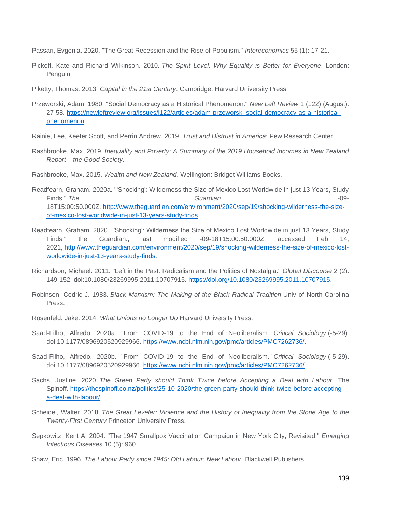Passari, Evgenia. 2020. "The Great Recession and the Rise of Populism." *Intereconomics* 55 (1): 17-21.

- Pickett, Kate and Richard Wilkinson. 2010. *The Spirit Level: Why Equality is Better for Everyone*. London: Penguin.
- Piketty, Thomas. 2013. *Capital in the 21st Century*. Cambridge: Harvard University Press.
- Przeworski, Adam. 1980. "Social Democracy as a Historical Phenomenon." *New Left Review* 1 (122) (August): 27-58. [https://newleftreview.org/issues/i122/articles/adam-przeworski-social-democracy-as-a-historical](https://newleftreview.org/issues/i122/articles/adam-przeworski-social-democracy-as-a-historical-phenomenon)[phenomenon.](https://newleftreview.org/issues/i122/articles/adam-przeworski-social-democracy-as-a-historical-phenomenon)
- Rainie, Lee, Keeter Scott, and Perrin Andrew. 2019*. Trust and Distrust in America*: Pew Research Center.
- Rashbrooke, Max. 2019. *Inequality and Poverty: A Summary of the 2019 Household Incomes in New Zealand Report – the Good Society*.
- Rashbrooke, Max. 2015. *Wealth and New Zealand*. Wellington: Bridget Williams Books.
- Readfearn, Graham. 2020a. "'Shocking': Wilderness the Size of Mexico Lost Worldwide in just 13 Years, Study Finds." The **Contract Contract Contract Contract Contract Contract Contract Contract Contract Contract Contract Contract Contract Contract Contract Contract Contract Contract Contract Contract Contract Contract Contract Co** 18T15:00:50.000Z. [http://www.theguardian.com/environment/2020/sep/19/shocking-wilderness-the-size](http://www.theguardian.com/environment/2020/sep/19/shocking-wilderness-the-size-of-mexico-lost-worldwide-in-just-13-years-study-finds)[of-mexico-lost-worldwide-in-just-13-years-study-finds.](http://www.theguardian.com/environment/2020/sep/19/shocking-wilderness-the-size-of-mexico-lost-worldwide-in-just-13-years-study-finds)
- Readfearn, Graham. 2020. "'Shocking': Wilderness the Size of Mexico Lost Worldwide in just 13 Years, Study Finds." the Guardian., last modified -09-18T15:00:50.000Z, accessed Feb 14, 2021, [http://www.theguardian.com/environment/2020/sep/19/shocking-wilderness-the-size-of-mexico-lost](http://www.theguardian.com/environment/2020/sep/19/shocking-wilderness-the-size-of-mexico-lost-worldwide-in-just-13-years-study-finds)[worldwide-in-just-13-years-study-finds.](http://www.theguardian.com/environment/2020/sep/19/shocking-wilderness-the-size-of-mexico-lost-worldwide-in-just-13-years-study-finds)
- Richardson, Michael. 2011. "Left in the Past: Radicalism and the Politics of Nostalgia." *Global Discourse* 2 (2): 149-152. doi:10.1080/23269995.2011.10707915. [https://doi.org/10.1080/23269995.2011.10707915.](https://doi.org/10.1080/23269995.2011.10707915)
- Robinson, Cedric J. 1983. *Black Marxism: The Making of the Black Radical Tradition* Univ of North Carolina Press.
- Rosenfeld, Jake. 2014. *What Unions no Longer Do* Harvard University Press.
- Saad-Filho, Alfredo. 2020a. "From COVID-19 to the End of Neoliberalism." *Critical Sociology* (-5-29). doi:10.1177/0896920520929966. [https://www.ncbi.nlm.nih.gov/pmc/articles/PMC7262736/.](https://www.ncbi.nlm.nih.gov/pmc/articles/PMC7262736/)
- Saad-Filho, Alfredo. 2020b. "From COVID-19 to the End of Neoliberalism." *Critical Sociology* (-5-29). doi:10.1177/0896920520929966. [https://www.ncbi.nlm.nih.gov/pmc/articles/PMC7262736/.](https://www.ncbi.nlm.nih.gov/pmc/articles/PMC7262736/)
- Sachs, Justine. 2020. *The Green Party should Think Twice before Accepting a Deal with Labour*. The Spinoff. [https://thespinoff.co.nz/politics/25-10-2020/the-green-party-should-think-twice-before-accepting](https://thespinoff.co.nz/politics/25-10-2020/the-green-party-should-think-twice-before-accepting-a-deal-with-labour/)[a-deal-with-labour/.](https://thespinoff.co.nz/politics/25-10-2020/the-green-party-should-think-twice-before-accepting-a-deal-with-labour/)
- Scheidel, Walter. 2018. *The Great Leveler: Violence and the History of Inequality from the Stone Age to the Twenty-First Century* Princeton University Press.
- Sepkowitz, Kent A. 2004. "The 1947 Smallpox Vaccination Campaign in New York City, Revisited." *Emerging Infectious Diseases* 10 (5): 960.
- Shaw, Eric. 1996. *The Labour Party since 1945: Old Labour: New Labour.* Blackwell Publishers.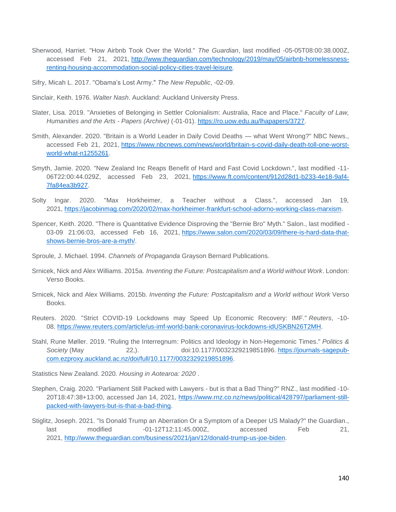- Sherwood, Harriet. "How Airbnb Took Over the World." *The Guardian*, last modified -05-05T08:00:38.000Z, accessed Feb 21, 2021, [http://www.theguardian.com/technology/2019/may/05/airbnb-homelessness](http://www.theguardian.com/technology/2019/may/05/airbnb-homelessness-renting-housing-accommodation-social-policy-cities-travel-leisure)[renting-housing-accommodation-social-policy-cities-travel-leisure.](http://www.theguardian.com/technology/2019/may/05/airbnb-homelessness-renting-housing-accommodation-social-policy-cities-travel-leisure)
- Sifry, Micah L. 2017. "Obama's Lost Army." *The New Republic*, -02-09.
- Sinclair, Keith. 1976. *Walter Nash*. Auckland: Auckland University Press.
- Slater, Lisa. 2019. "Anxieties of Belonging in Settler Colonialism: Australia, Race and Place." *Faculty of Law, Humanities and the Arts - Papers (Archive)* (-01-01). [https://ro.uow.edu.au/lhapapers/3727.](https://ro.uow.edu.au/lhapapers/3727)
- Smith, Alexander. 2020. "Britain is a World Leader in Daily Covid Deaths what Went Wrong?" NBC News., accessed Feb 21, 2021, [https://www.nbcnews.com/news/world/britain-s-covid-daily-death-toll-one-worst](https://www.nbcnews.com/news/world/britain-s-covid-daily-death-toll-one-worst-world-what-n1255261)[world-what-n1255261.](https://www.nbcnews.com/news/world/britain-s-covid-daily-death-toll-one-worst-world-what-n1255261)
- Smyth, Jamie. 2020. "New Zealand Inc Reaps Benefit of Hard and Fast Covid Lockdown.", last modified -11- 06T22:00:44.029Z, accessed Feb 23, 2021, [https://www.ft.com/content/912d28d1-b233-4e18-9af4-](https://www.ft.com/content/912d28d1-b233-4e18-9af4-7fa84ea3b927) [7fa84ea3b927.](https://www.ft.com/content/912d28d1-b233-4e18-9af4-7fa84ea3b927)
- Solty Ingar. 2020. "Max Horkheimer, a Teacher without a Class.", accessed Jan 19, 2021, [https://jacobinmag.com/2020/02/max-horkheimer-frankfurt-school-adorno-working-class-marxism.](https://jacobinmag.com/2020/02/max-horkheimer-frankfurt-school-adorno-working-class-marxism)
- Spencer, Keith. 2020. "There is Quantitative Evidence Disproving the "Bernie Bro" Myth." Salon., last modified 03-09 21:06:03, accessed Feb 16, 2021, [https://www.salon.com/2020/03/09/there-is-hard-data-that](https://www.salon.com/2020/03/09/there-is-hard-data-that-shows-bernie-bros-are-a-myth/)[shows-bernie-bros-are-a-myth/.](https://www.salon.com/2020/03/09/there-is-hard-data-that-shows-bernie-bros-are-a-myth/)
- Sproule, J. Michael. 1994. *Channels of Propaganda* Grayson Bernard Publications.
- Srnicek, Nick and Alex Williams. 2015a. *Inventing the Future: Postcapitalism and a World without Work*. London: Verso Books.
- Srnicek, Nick and Alex Williams. 2015b. *Inventing the Future: Postcapitalism and a World without Work* Verso Books.
- Reuters. 2020. "Strict COVID-19 Lockdowns may Speed Up Economic Recovery: IMF." *Reuters*, -10- 08. [https://www.reuters.com/article/us-imf-world-bank-coronavirus-lockdowns-idUSKBN26T2MH.](https://www.reuters.com/article/us-imf-world-bank-coronavirus-lockdowns-idUSKBN26T2MH)
- Stahl, Rune Møller. 2019. "Ruling the Interregnum: Politics and Ideology in Non-Hegemonic Times." *Politics & Society* (May 22,). doi:10.1177/0032329219851896. [https://journals-sagepub](https://journals-sagepub-com.ezproxy.auckland.ac.nz/doi/full/10.1177/0032329219851896)[com.ezproxy.auckland.ac.nz/doi/full/10.1177/0032329219851896.](https://journals-sagepub-com.ezproxy.auckland.ac.nz/doi/full/10.1177/0032329219851896)

Statistics New Zealand. 2020*. Housing in Aotearoa: 2020* .

- Stephen, Craig. 2020. "Parliament Still Packed with Lawyers but is that a Bad Thing?" RNZ., last modified -10- 20T18:47:38+13:00, accessed Jan 14, 2021, [https://www.rnz.co.nz/news/political/428797/parliament-still](https://www.rnz.co.nz/news/political/428797/parliament-still-packed-with-lawyers-but-is-that-a-bad-thing)[packed-with-lawyers-but-is-that-a-bad-thing.](https://www.rnz.co.nz/news/political/428797/parliament-still-packed-with-lawyers-but-is-that-a-bad-thing)
- Stiglitz, Joseph. 2021. "Is Donald Trump an Aberration Or a Symptom of a Deeper US Malady?" the Guardian., last modified -01-12T12:11:45.000Z, accessed Feb 21, 2021, [http://www.theguardian.com/business/2021/jan/12/donald-trump-us-joe-biden.](http://www.theguardian.com/business/2021/jan/12/donald-trump-us-joe-biden)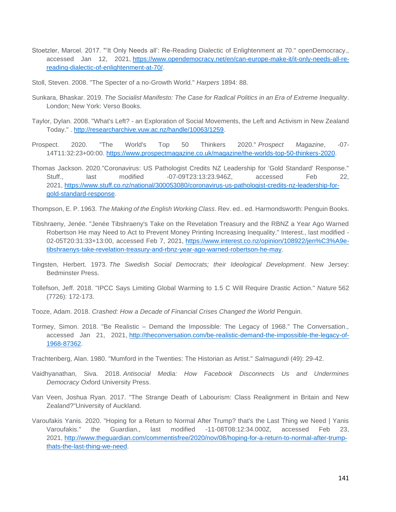- Stoetzler, Marcel. 2017. "'It Only Needs all': Re-Reading Dialectic of Enlightenment at 70." openDemocracy., accessed Jan 12, 2021, [https://www.opendemocracy.net/en/can-europe-make-it/it-only-needs-all-re](https://www.opendemocracy.net/en/can-europe-make-it/it-only-needs-all-re-reading-dialectic-of-enlightenment-at-70/)[reading-dialectic-of-enlightenment-at-70/.](https://www.opendemocracy.net/en/can-europe-make-it/it-only-needs-all-re-reading-dialectic-of-enlightenment-at-70/)
- Stoll, Steven. 2008. "The Specter of a no-Growth World." *Harpers* 1894: 88.
- Sunkara, Bhaskar. 2019. *The Socialist Manifesto: The Case for Radical Politics in an Era of Extreme Inequality*. London; New York: Verso Books.
- Taylor, Dylan. 2008. "What's Left? an Exploration of Social Movements, the Left and Activism in New Zealand Today." . [http://researcharchive.vuw.ac.nz/handle/10063/1259.](http://researcharchive.vuw.ac.nz/handle/10063/1259)
- Prospect. 2020. "The World's Top 50 Thinkers 2020." *Prospect Magazine*, -07- 14T11:32:23+00:00. [https://www.prospectmagazine.co.uk/magazine/the-worlds-top-50-thinkers-2020.](https://www.prospectmagazine.co.uk/magazine/the-worlds-top-50-thinkers-2020)
- Thomas Jackson. 2020."Coronavirus: US Pathologist Credits NZ Leadership for 'Gold Standard' Response." Stuff., last modified -07-09T23:13:23.946Z, accessed Feb 22, 2021, [https://www.stuff.co.nz/national/300053080/coronavirus-us-pathologist-credits-nz-leadership-for](https://www.stuff.co.nz/national/300053080/coronavirus-us-pathologist-credits-nz-leadership-for-gold-standard-response)[gold-standard-response.](https://www.stuff.co.nz/national/300053080/coronavirus-us-pathologist-credits-nz-leadership-for-gold-standard-response)

Thompson, E. P. 1963. *The Making of the English Working Class*. Rev. ed.. ed. Harmondsworth: Penguin Books.

- Tibshraeny, Jenée. "Jenée Tibshraeny's Take on the Revelation Treasury and the RBNZ a Year Ago Warned Robertson He may Need to Act to Prevent Money Printing Increasing Inequality." Interest., last modified - 02-05T20:31:33+13:00, accessed Feb 7, 2021, [https://www.interest.co.nz/opinion/108922/jen%C3%A9e](https://www.interest.co.nz/opinion/108922/jen%C3%A9e-tibshraenys-take-revelation-treasury-and-rbnz-year-ago-warned-robertson-he-may)[tibshraenys-take-revelation-treasury-and-rbnz-year-ago-warned-robertson-he-may.](https://www.interest.co.nz/opinion/108922/jen%C3%A9e-tibshraenys-take-revelation-treasury-and-rbnz-year-ago-warned-robertson-he-may)
- Tingsten, Herbert. 1973. *The Swedish Social Democrats; their Ideological Development*. New Jersey: Bedminster Press.
- Tollefson, Jeff. 2018. "IPCC Says Limiting Global Warming to 1.5 C Will Require Drastic Action." *Nature* 562 (7726): 172-173.
- Tooze, Adam. 2018. *Crashed: How a Decade of Financial Crises Changed the World* Penguin.
- Tormey, Simon. 2018. "Be Realistic Demand the Impossible: The Legacy of 1968." The Conversation., accessed Jan 21, 2021, [http://theconversation.com/be-realistic-demand-the-impossible-the-legacy-of-](http://theconversation.com/be-realistic-demand-the-impossible-the-legacy-of-1968-87362)[1968-87362.](http://theconversation.com/be-realistic-demand-the-impossible-the-legacy-of-1968-87362)
- Trachtenberg, Alan. 1980. "Mumford in the Twenties: The Historian as Artist." *Salmagundi* (49): 29-42.
- Vaidhyanathan, Siva. 2018. *Antisocial Media: How Facebook Disconnects Us and Undermines Democracy* Oxford University Press.
- Van Veen, Joshua Ryan. 2017. "The Strange Death of Labourism: Class Realignment in Britain and New Zealand?"University of Auckland.
- Varoufakis Yanis. 2020. "Hoping for a Return to Normal After Trump? that's the Last Thing we Need | Yanis Varoufakis." the Guardian., last modified -11-08T08:12:34.000Z, accessed Feb 23, 2021, [http://www.theguardian.com/commentisfree/2020/nov/08/hoping-for-a-return-to-normal-after-trump](http://www.theguardian.com/commentisfree/2020/nov/08/hoping-for-a-return-to-normal-after-trump-thats-the-last-thing-we-need)[thats-the-last-thing-we-need.](http://www.theguardian.com/commentisfree/2020/nov/08/hoping-for-a-return-to-normal-after-trump-thats-the-last-thing-we-need)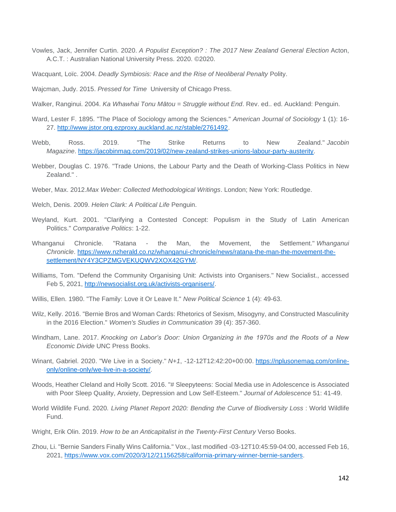- Vowles, Jack, Jennifer Curtin. 2020. *A Populist Exception? : The 2017 New Zealand General Election* Acton, A.C.T. : Australian National University Press. 2020. ©2020.
- Wacquant, Loïc. 2004. *Deadly Symbiosis: Race and the Rise of Neoliberal Penalty* Polity.
- Wajcman, Judy. 2015. *Pressed for Time* University of Chicago Press.
- Walker, Ranginui. 2004. *Ka Whawhai Tonu Mātou = Struggle without End*. Rev. ed.. ed. Auckland: Penguin.
- Ward, Lester F. 1895. "The Place of Sociology among the Sciences." *American Journal of Sociology* 1 (1): 16- 27. [http://www.jstor.org.ezproxy.auckland.ac.nz/stable/2761492.](http://www.jstor.org.ezproxy.auckland.ac.nz/stable/2761492)
- Webb, Ross. 2019. "The Strike Returns to New Zealand." *Jacobin Magazine*. [https://jacobinmag.com/2019/02/new-zealand-strikes-unions-labour-party-austerity.](https://jacobinmag.com/2019/02/new-zealand-strikes-unions-labour-party-austerity)
- Webber, Douglas C. 1976. "Trade Unions, the Labour Party and the Death of Working-Class Politics in New Zealand." .
- Weber, Max. 2012.*Max Weber: Collected Methodological Writings*. London; New York: Routledge.
- Welch, Denis. 2009. *Helen Clark: A Political Life* Penguin.
- Weyland, Kurt. 2001. "Clarifying a Contested Concept: Populism in the Study of Latin American Politics." *Comparative Politics*: 1-22.
- Whanganui Chronicle. "Ratana the Man, the Movement, the Settlement." *Whanganui Chronicle*. [https://www.nzherald.co.nz/whanganui-chronicle/news/ratana-the-man-the-movement-the](https://www.nzherald.co.nz/whanganui-chronicle/news/ratana-the-man-the-movement-the-settlement/NY4Y3CPZMGVEKUQWV2XOX42GYM/)[settlement/NY4Y3CPZMGVEKUQWV2XOX42GYM/.](https://www.nzherald.co.nz/whanganui-chronicle/news/ratana-the-man-the-movement-the-settlement/NY4Y3CPZMGVEKUQWV2XOX42GYM/)
- Williams, Tom. "Defend the Community Organising Unit: Activists into Organisers." New Socialist., accessed Feb 5, 2021, [http://newsocialist.org.uk/activists-organisers/.](http://newsocialist.org.uk/activists-organisers/)
- Willis, Ellen. 1980. "The Family: Love it Or Leave It." *New Political Science* 1 (4): 49-63.
- Wilz, Kelly. 2016. "Bernie Bros and Woman Cards: Rhetorics of Sexism, Misogyny, and Constructed Masculinity in the 2016 Election." *Women's Studies in Communication* 39 (4): 357-360.
- Windham, Lane. 2017. *Knocking on Labor's Door: Union Organizing in the 1970s and the Roots of a New Economic Divide* UNC Press Books.
- Winant, Gabriel. 2020. "We Live in a Society." *N+1*, -12-12T12:42:20+00:00. [https://nplusonemag.com/online](https://nplusonemag.com/online-only/online-only/we-live-in-a-society/)[only/online-only/we-live-in-a-society/.](https://nplusonemag.com/online-only/online-only/we-live-in-a-society/)
- Woods, Heather Cleland and Holly Scott. 2016. "# Sleepyteens: Social Media use in Adolescence is Associated with Poor Sleep Quality, Anxiety, Depression and Low Self-Esteem." *Journal of Adolescence* 51: 41-49.
- World Wildlife Fund. 2020*. Living Planet Report 2020: Bending the Curve of Biodiversity Loss* : World Wildlife Fund.
- Wright, Erik Olin. 2019. *How to be an Anticapitalist in the Twenty-First Century* Verso Books.
- Zhou, Li. "Bernie Sanders Finally Wins California." Vox., last modified -03-12T10:45:59-04:00, accessed Feb 16, 2021, [https://www.vox.com/2020/3/12/21156258/california-primary-winner-bernie-sanders.](https://www.vox.com/2020/3/12/21156258/california-primary-winner-bernie-sanders)